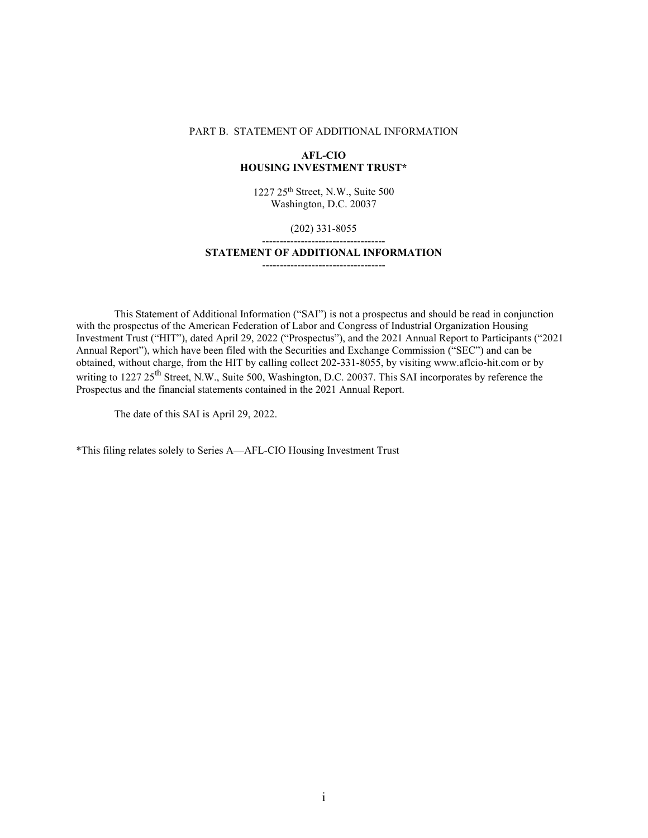#### PART B. STATEMENT OF ADDITIONAL INFORMATION

### **AFL-CIO HOUSING INVESTMENT TRUST\***

1227 25th Street, N.W., Suite 500 Washington, D.C. 20037

### (202) 331-8055 -----------------------------------

#### **STATEMENT OF ADDITIONAL INFORMATION**

-----------------------------------

This Statement of Additional Information ("SAI") is not a prospectus and should be read in conjunction with the prospectus of the American Federation of Labor and Congress of Industrial Organization Housing Investment Trust ("HIT"), dated April 29, 2022 ("Prospectus"), and the 2021 Annual Report to Participants ("2021 Annual Report"), which have been filed with the Securities and Exchange Commission ("SEC") and can be obtained, without charge, from the HIT by calling collect 202-331-8055, by visiting www.aflcio-hit.com or by writing to 1227 25<sup>th</sup> Street, N.W., Suite 500, Washington, D.C. 20037. This SAI incorporates by reference the Prospectus and the financial statements contained in the 2021 Annual Report.

The date of this SAI is April 29, 2022.

\*This filing relates solely to Series A—AFL-CIO Housing Investment Trust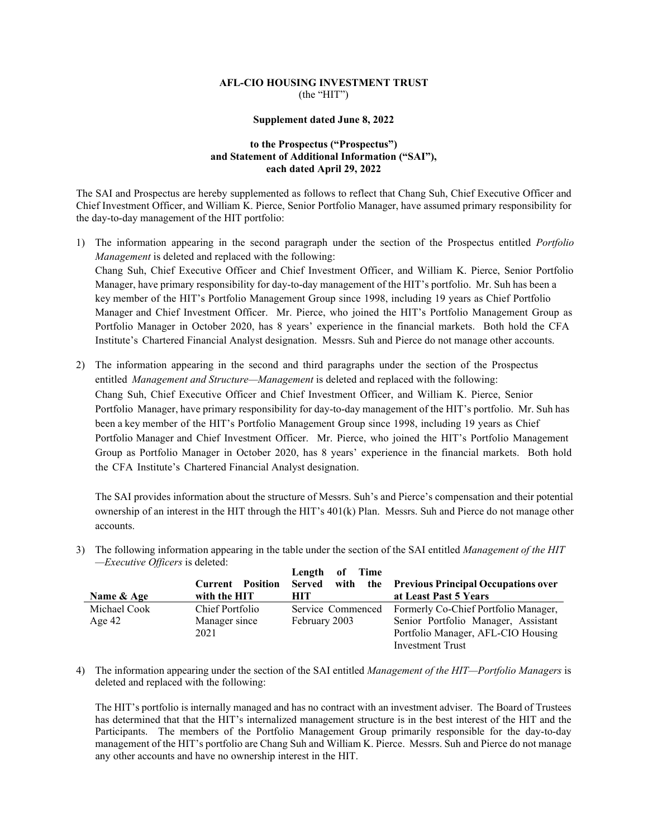# **AFL-CIO HOUSING INVESTMENT TRUST**  (the "HIT")

### **Supplement dated June 8, 2022**

# **to the Prospectus ("Prospectus") and Statement of Additional Information ("SAI"), each dated April 29, 2022**

The SAI and Prospectus are hereby supplemented as follows to reflect that Chang Suh, Chief Executive Officer and Chief Investment Officer, and William K. Pierce, Senior Portfolio Manager, have assumed primary responsibility for the day-to-day management of the HIT portfolio:

- 1) The information appearing in the second paragraph under the section of the Prospectus entitled *Portfolio Management* is deleted and replaced with the following: Chang Suh, Chief Executive Officer and Chief Investment Officer, and William K. Pierce, Senior Portfolio Manager, have primary responsibility for day-to-day management of the HIT's portfolio. Mr. Suh has been a key member of the HIT's Portfolio Management Group since 1998, including 19 years as Chief Portfolio Manager and Chief Investment Officer. Mr. Pierce, who joined the HIT's Portfolio Management Group as Portfolio Manager in October 2020, has 8 years' experience in the financial markets. Both hold the CFA Institute's Chartered Financial Analyst designation. Messrs. Suh and Pierce do not manage other accounts.
- 2) The information appearing in the second and third paragraphs under the section of the Prospectus entitled *Management and Structure—Management* is deleted and replaced with the following: Chang Suh, Chief Executive Officer and Chief Investment Officer, and William K. Pierce, Senior Portfolio Manager, have primary responsibility for day-to-day management of the HIT's portfolio. Mr. Suh has been a key member of the HIT's Portfolio Management Group since 1998, including 19 years as Chief Portfolio Manager and Chief Investment Officer. Mr. Pierce, who joined the HIT's Portfolio Management Group as Portfolio Manager in October 2020, has 8 years' experience in the financial markets. Both hold the CFA Institute's Chartered Financial Analyst designation.

The SAI provides information about the structure of Messrs. Suh's and Pierce's compensation and their potential ownership of an interest in the HIT through the HIT's 401(k) Plan. Messrs. Suh and Pierce do not manage other accounts.

3) The following information appearing in the table under the section of the SAI entitled *Management of the HIT —Executive Officers* is deleted:

|              |                         | Length of Time    |                                                     |
|--------------|-------------------------|-------------------|-----------------------------------------------------|
|              | <b>Current Position</b> |                   | Served with the Previous Principal Occupations over |
| Name & Age   | with the HIT            | HIT.              | at Least Past 5 Years                               |
| Michael Cook | Chief Portfolio         | Service Commenced | Formerly Co-Chief Portfolio Manager,                |
| Age $42$     | Manager since           | February 2003     | Senior Portfolio Manager, Assistant                 |
|              | 2021                    |                   | Portfolio Manager, AFL-CIO Housing                  |
|              |                         |                   | <b>Investment Trust</b>                             |

4) The information appearing under the section of the SAI entitled *Management of the HIT—Portfolio Managers* is deleted and replaced with the following:

The HIT's portfolio is internally managed and has no contract with an investment adviser. The Board of Trustees has determined that that the HIT's internalized management structure is in the best interest of the HIT and the Participants. The members of the Portfolio Management Group primarily responsible for the day-to-day management of the HIT's portfolio are Chang Suh and William K. Pierce. Messrs. Suh and Pierce do not manage any other accounts and have no ownership interest in the HIT.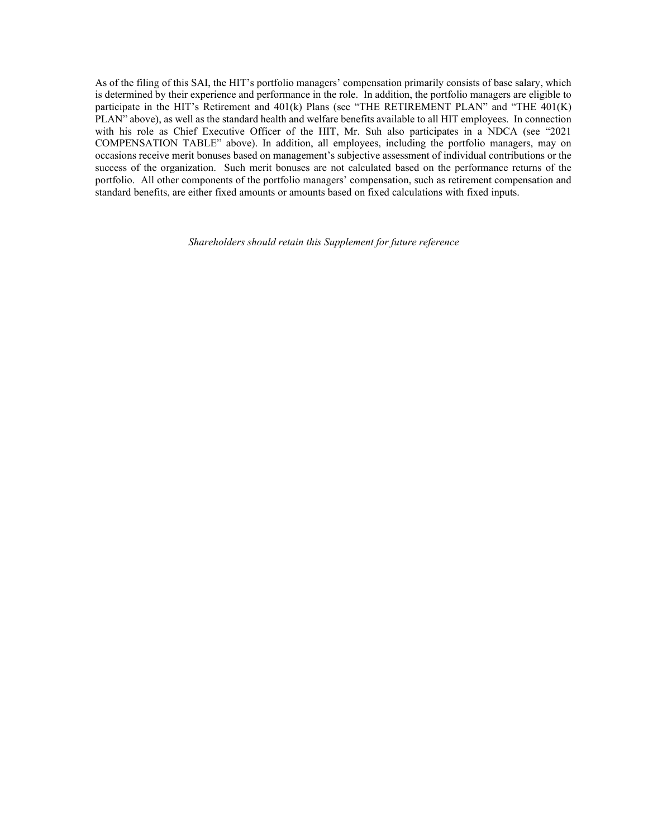As of the filing of this SAI, the HIT's portfolio managers' compensation primarily consists of base salary, which is determined by their experience and performance in the role. In addition, the portfolio managers are eligible to participate in the HIT's Retirement and 401(k) Plans (see "THE RETIREMENT PLAN" and "THE 401(K) PLAN" above), as well as the standard health and welfare benefits available to all HIT employees. In connection with his role as Chief Executive Officer of the HIT, Mr. Suh also participates in a NDCA (see "2021 COMPENSATION TABLE" above). In addition, all employees, including the portfolio managers, may on occasions receive merit bonuses based on management's subjective assessment of individual contributions or the success of the organization. Such merit bonuses are not calculated based on the performance returns of the portfolio. All other components of the portfolio managers' compensation, such as retirement compensation and standard benefits, are either fixed amounts or amounts based on fixed calculations with fixed inputs.

*Shareholders should retain this Supplement for future reference*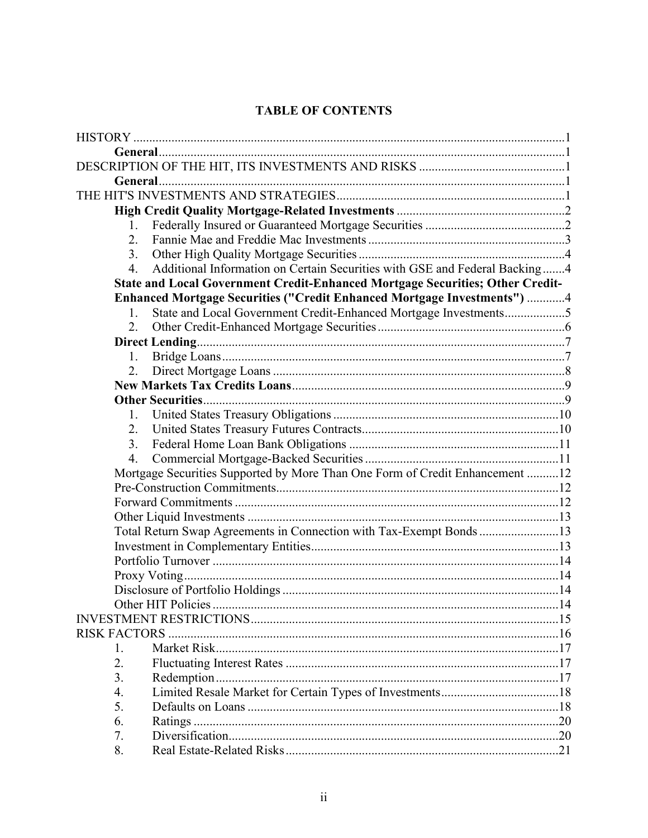# **TABLE OF CONTENTS**

| 1.                   |                                                                               |  |
|----------------------|-------------------------------------------------------------------------------|--|
| 2.                   |                                                                               |  |
| 3.                   |                                                                               |  |
| 4.                   | Additional Information on Certain Securities with GSE and Federal Backing4    |  |
|                      | State and Local Government Credit-Enhanced Mortgage Securities; Other Credit- |  |
|                      | Enhanced Mortgage Securities ("Credit Enhanced Mortgage Investments") 4       |  |
| $\mathbf{1}$ .       | State and Local Government Credit-Enhanced Mortgage Investments5              |  |
| 2.                   |                                                                               |  |
|                      |                                                                               |  |
| 1.                   |                                                                               |  |
| 2.                   |                                                                               |  |
|                      |                                                                               |  |
|                      |                                                                               |  |
| 1.                   |                                                                               |  |
| 2.                   |                                                                               |  |
| 3.                   |                                                                               |  |
| 4.                   |                                                                               |  |
|                      | Mortgage Securities Supported by More Than One Form of Credit Enhancement 12  |  |
|                      |                                                                               |  |
|                      |                                                                               |  |
|                      |                                                                               |  |
|                      | Total Return Swap Agreements in Connection with Tax-Exempt Bonds 13           |  |
|                      |                                                                               |  |
|                      |                                                                               |  |
|                      |                                                                               |  |
|                      |                                                                               |  |
|                      |                                                                               |  |
|                      |                                                                               |  |
| <b>RISK FACTORS </b> |                                                                               |  |
| 1.                   |                                                                               |  |
| 2.                   |                                                                               |  |
| 3.                   |                                                                               |  |
| 4.                   |                                                                               |  |
| 5.                   |                                                                               |  |
| 6.                   |                                                                               |  |
| 7.                   |                                                                               |  |
| 8.                   |                                                                               |  |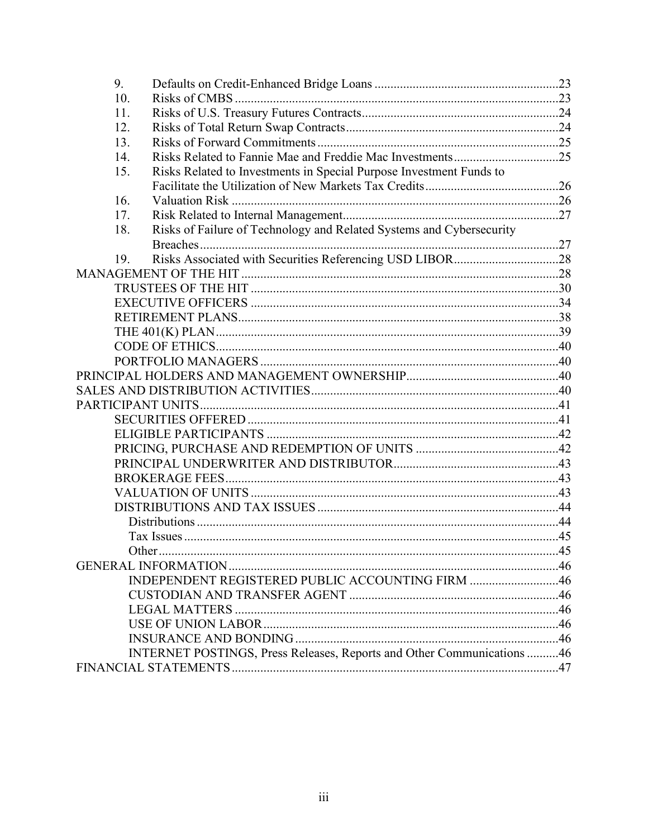| 9.  |                                                                        |  |
|-----|------------------------------------------------------------------------|--|
| 10. |                                                                        |  |
| 11. |                                                                        |  |
| 12. |                                                                        |  |
| 13. |                                                                        |  |
| 14. |                                                                        |  |
| 15. | Risks Related to Investments in Special Purpose Investment Funds to    |  |
|     |                                                                        |  |
| 16. |                                                                        |  |
| 17. |                                                                        |  |
| 18. | Risks of Failure of Technology and Related Systems and Cybersecurity   |  |
|     |                                                                        |  |
| 19. |                                                                        |  |
|     |                                                                        |  |
|     |                                                                        |  |
|     |                                                                        |  |
|     |                                                                        |  |
|     |                                                                        |  |
|     |                                                                        |  |
|     |                                                                        |  |
|     |                                                                        |  |
|     |                                                                        |  |
|     |                                                                        |  |
|     |                                                                        |  |
|     |                                                                        |  |
|     |                                                                        |  |
|     |                                                                        |  |
|     |                                                                        |  |
|     |                                                                        |  |
|     |                                                                        |  |
|     |                                                                        |  |
|     |                                                                        |  |
|     | Other.                                                                 |  |
|     |                                                                        |  |
|     | INDEPENDENT REGISTERED PUBLIC ACCOUNTING FIRM 46                       |  |
|     |                                                                        |  |
|     |                                                                        |  |
|     |                                                                        |  |
|     |                                                                        |  |
|     | INTERNET POSTINGS, Press Releases, Reports and Other Communications 46 |  |
|     |                                                                        |  |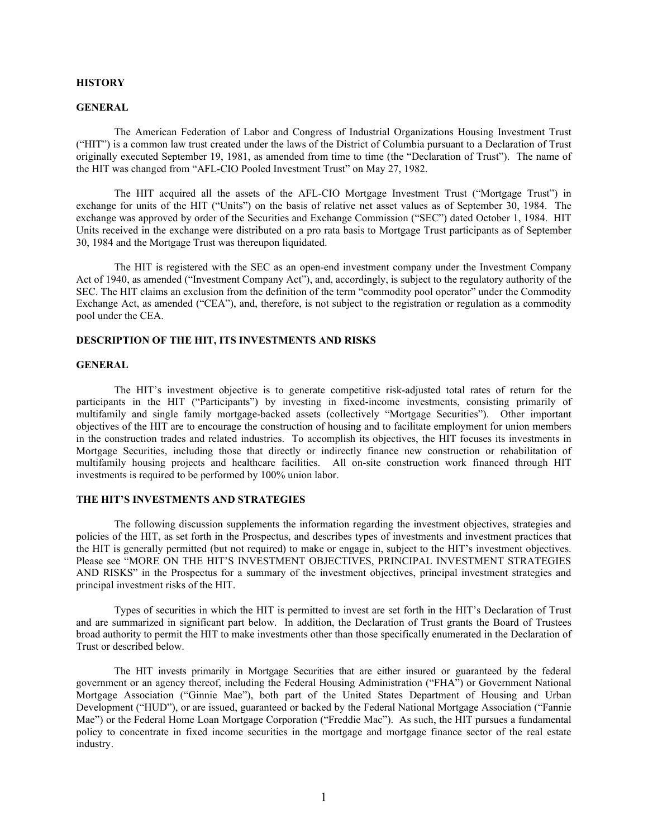### **HISTORY**

#### **GENERAL**

The American Federation of Labor and Congress of Industrial Organizations Housing Investment Trust ("HIT") is a common law trust created under the laws of the District of Columbia pursuant to a Declaration of Trust originally executed September 19, 1981, as amended from time to time (the "Declaration of Trust"). The name of the HIT was changed from "AFL-CIO Pooled Investment Trust" on May 27, 1982.

The HIT acquired all the assets of the AFL-CIO Mortgage Investment Trust ("Mortgage Trust") in exchange for units of the HIT ("Units") on the basis of relative net asset values as of September 30, 1984. The exchange was approved by order of the Securities and Exchange Commission ("SEC") dated October 1, 1984. HIT Units received in the exchange were distributed on a pro rata basis to Mortgage Trust participants as of September 30, 1984 and the Mortgage Trust was thereupon liquidated.

The HIT is registered with the SEC as an open-end investment company under the Investment Company Act of 1940, as amended ("Investment Company Act"), and, accordingly, is subject to the regulatory authority of the SEC. The HIT claims an exclusion from the definition of the term "commodity pool operator" under the Commodity Exchange Act, as amended ("CEA"), and, therefore, is not subject to the registration or regulation as a commodity pool under the CEA.

### **DESCRIPTION OF THE HIT, ITS INVESTMENTS AND RISKS**

### **GENERAL**

The HIT's investment objective is to generate competitive risk-adjusted total rates of return for the participants in the HIT ("Participants") by investing in fixed-income investments, consisting primarily of multifamily and single family mortgage-backed assets (collectively "Mortgage Securities"). Other important objectives of the HIT are to encourage the construction of housing and to facilitate employment for union members in the construction trades and related industries. To accomplish its objectives, the HIT focuses its investments in Mortgage Securities, including those that directly or indirectly finance new construction or rehabilitation of multifamily housing projects and healthcare facilities. All on-site construction work financed through HIT investments is required to be performed by 100% union labor.

#### **THE HIT'S INVESTMENTS AND STRATEGIES**

The following discussion supplements the information regarding the investment objectives, strategies and policies of the HIT, as set forth in the Prospectus, and describes types of investments and investment practices that the HIT is generally permitted (but not required) to make or engage in, subject to the HIT's investment objectives. Please see "MORE ON THE HIT'S INVESTMENT OBJECTIVES, PRINCIPAL INVESTMENT STRATEGIES AND RISKS" in the Prospectus for a summary of the investment objectives, principal investment strategies and principal investment risks of the HIT.

Types of securities in which the HIT is permitted to invest are set forth in the HIT's Declaration of Trust and are summarized in significant part below. In addition, the Declaration of Trust grants the Board of Trustees broad authority to permit the HIT to make investments other than those specifically enumerated in the Declaration of Trust or described below.

The HIT invests primarily in Mortgage Securities that are either insured or guaranteed by the federal government or an agency thereof, including the Federal Housing Administration ("FHA") or Government National Mortgage Association ("Ginnie Mae"), both part of the United States Department of Housing and Urban Development ("HUD"), or are issued, guaranteed or backed by the Federal National Mortgage Association ("Fannie Mae") or the Federal Home Loan Mortgage Corporation ("Freddie Mac"). As such, the HIT pursues a fundamental policy to concentrate in fixed income securities in the mortgage and mortgage finance sector of the real estate industry.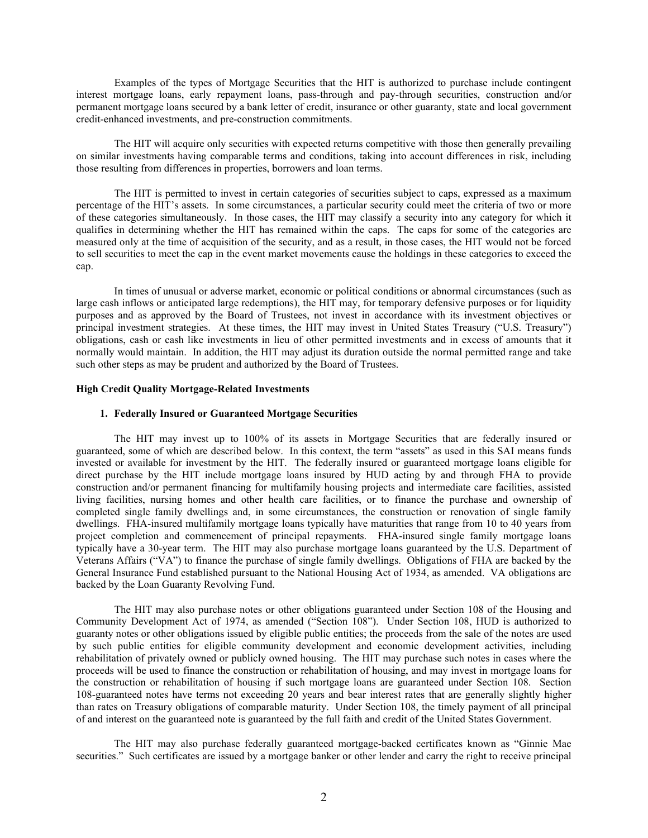Examples of the types of Mortgage Securities that the HIT is authorized to purchase include contingent interest mortgage loans, early repayment loans, pass-through and pay-through securities, construction and/or permanent mortgage loans secured by a bank letter of credit, insurance or other guaranty, state and local government credit-enhanced investments, and pre-construction commitments.

The HIT will acquire only securities with expected returns competitive with those then generally prevailing on similar investments having comparable terms and conditions, taking into account differences in risk, including those resulting from differences in properties, borrowers and loan terms.

The HIT is permitted to invest in certain categories of securities subject to caps, expressed as a maximum percentage of the HIT's assets. In some circumstances, a particular security could meet the criteria of two or more of these categories simultaneously. In those cases, the HIT may classify a security into any category for which it qualifies in determining whether the HIT has remained within the caps. The caps for some of the categories are measured only at the time of acquisition of the security, and as a result, in those cases, the HIT would not be forced to sell securities to meet the cap in the event market movements cause the holdings in these categories to exceed the cap.

In times of unusual or adverse market, economic or political conditions or abnormal circumstances (such as large cash inflows or anticipated large redemptions), the HIT may, for temporary defensive purposes or for liquidity purposes and as approved by the Board of Trustees, not invest in accordance with its investment objectives or principal investment strategies. At these times, the HIT may invest in United States Treasury ("U.S. Treasury") obligations, cash or cash like investments in lieu of other permitted investments and in excess of amounts that it normally would maintain. In addition, the HIT may adjust its duration outside the normal permitted range and take such other steps as may be prudent and authorized by the Board of Trustees.

#### **High Credit Quality Mortgage-Related Investments**

### **1. Federally Insured or Guaranteed Mortgage Securities**

The HIT may invest up to 100% of its assets in Mortgage Securities that are federally insured or guaranteed, some of which are described below. In this context, the term "assets" as used in this SAI means funds invested or available for investment by the HIT. The federally insured or guaranteed mortgage loans eligible for direct purchase by the HIT include mortgage loans insured by HUD acting by and through FHA to provide construction and/or permanent financing for multifamily housing projects and intermediate care facilities, assisted living facilities, nursing homes and other health care facilities, or to finance the purchase and ownership of completed single family dwellings and, in some circumstances, the construction or renovation of single family dwellings. FHA-insured multifamily mortgage loans typically have maturities that range from 10 to 40 years from project completion and commencement of principal repayments. FHA-insured single family mortgage loans typically have a 30-year term. The HIT may also purchase mortgage loans guaranteed by the U.S. Department of Veterans Affairs ("VA") to finance the purchase of single family dwellings. Obligations of FHA are backed by the General Insurance Fund established pursuant to the National Housing Act of 1934, as amended. VA obligations are backed by the Loan Guaranty Revolving Fund.

The HIT may also purchase notes or other obligations guaranteed under Section 108 of the Housing and Community Development Act of 1974, as amended ("Section 108"). Under Section 108, HUD is authorized to guaranty notes or other obligations issued by eligible public entities; the proceeds from the sale of the notes are used by such public entities for eligible community development and economic development activities, including rehabilitation of privately owned or publicly owned housing. The HIT may purchase such notes in cases where the proceeds will be used to finance the construction or rehabilitation of housing, and may invest in mortgage loans for the construction or rehabilitation of housing if such mortgage loans are guaranteed under Section 108. Section 108-guaranteed notes have terms not exceeding 20 years and bear interest rates that are generally slightly higher than rates on Treasury obligations of comparable maturity. Under Section 108, the timely payment of all principal of and interest on the guaranteed note is guaranteed by the full faith and credit of the United States Government.

The HIT may also purchase federally guaranteed mortgage-backed certificates known as "Ginnie Mae securities." Such certificates are issued by a mortgage banker or other lender and carry the right to receive principal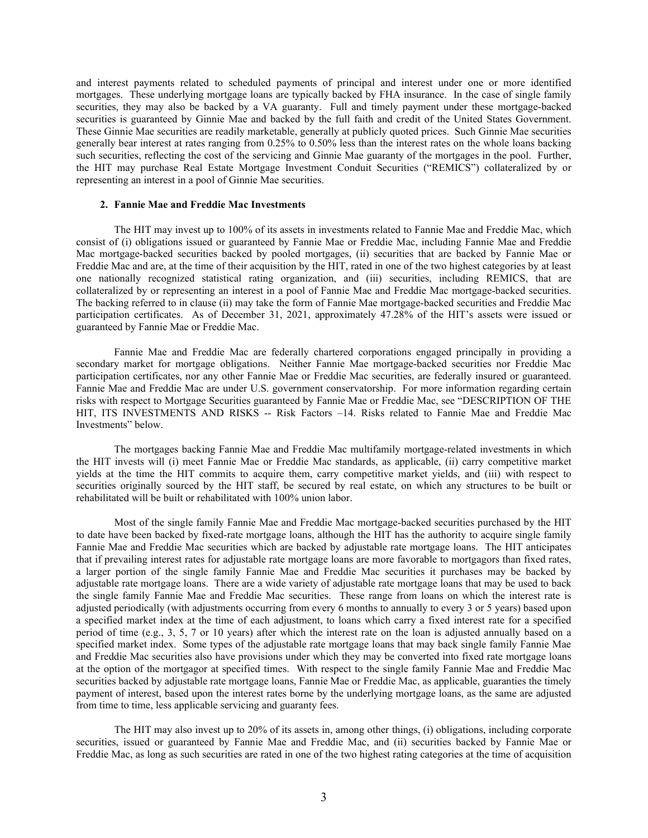and interest payments related to scheduled payments of principal and interest under one or more identified mortgages. These underlying mortgage loans are typically backed by FHA insurance. In the case of single family securities, they may also be backed by a VA guaranty. Full and timely payment under these mortgage-backed securities is guaranteed by Ginnie Mae and backed by the full faith and credit of the United States Government. These Ginnie Mae securities are readily marketable, generally at publicly quoted prices. Such Ginnie Mae securities generally bear interest at rates ranging from 0.25% to 0.50% less than the interest rates on the whole loans backing such securities, reflecting the cost of the servicing and Ginnie Mae guaranty of the mortgages in the pool. Further, the HIT may purchase Real Estate Mortgage Investment Conduit Securities ("REMICS") collateralized by or representing an interest in a pool of Ginnie Mae securities.

#### **2. Fannie Mae and Freddie Mac Investments**

The HIT may invest up to 100% of its assets in investments related to Fannie Mae and Freddie Mac, which consist of (i) obligations issued or guaranteed by Fannie Mae or Freddie Mac, including Fannie Mae and Freddie Mac mortgage-backed securities backed by pooled mortgages, (ii) securities that are backed by Fannie Mae or Freddie Mac and are, at the time of their acquisition by the HIT, rated in one of the two highest categories by at least one nationally recognized statistical rating organization, and (iii) securities, including REMICS, that are collateralized by or representing an interest in a pool of Fannie Mae and Freddie Mac mortgage-backed securities. The backing referred to in clause (ii) may take the form of Fannie Mae mortgage-backed securities and Freddie Mac participation certificates. As of December 31, 2021, approximately 47.28% of the HIT's assets were issued or guaranteed by Fannie Mae or Freddie Mac.

Fannie Mae and Freddie Mac are federally chartered corporations engaged principally in providing a secondary market for mortgage obligations. Neither Fannie Mae mortgage-backed securities nor Freddie Mac participation certificates, nor any other Fannie Mae or Freddie Mac securities, are federally insured or guaranteed. Fannie Mae and Freddie Mac are under U.S. government conservatorship. For more information regarding certain risks with respect to Mortgage Securities guaranteed by Fannie Mae or Freddie Mac, see "DESCRIPTION OF THE HIT, ITS INVESTMENTS AND RISKS -- Risk Factors –14. Risks related to Fannie Mae and Freddie Mac Investments" below.

The mortgages backing Fannie Mae and Freddie Mac multifamily mortgage-related investments in which the HIT invests will (i) meet Fannie Mae or Freddie Mac standards, as applicable, (ii) carry competitive market yields at the time the HIT commits to acquire them, carry competitive market yields, and (iii) with respect to securities originally sourced by the HIT staff, be secured by real estate, on which any structures to be built or rehabilitated will be built or rehabilitated with 100% union labor.

Most of the single family Fannie Mae and Freddie Mac mortgage-backed securities purchased by the HIT to date have been backed by fixed-rate mortgage loans, although the HIT has the authority to acquire single family Fannie Mae and Freddie Mac securities which are backed by adjustable rate mortgage loans. The HIT anticipates that if prevailing interest rates for adjustable rate mortgage loans are more favorable to mortgagors than fixed rates, a larger portion of the single family Fannie Mae and Freddie Mac securities it purchases may be backed by adjustable rate mortgage loans. There are a wide variety of adjustable rate mortgage loans that may be used to back the single family Fannie Mae and Freddie Mac securities. These range from loans on which the interest rate is adjusted periodically (with adjustments occurring from every 6 months to annually to every 3 or 5 years) based upon a specified market index at the time of each adjustment, to loans which carry a fixed interest rate for a specified period of time (e.g., 3, 5, 7 or 10 years) after which the interest rate on the loan is adjusted annually based on a specified market index. Some types of the adjustable rate mortgage loans that may back single family Fannie Mae and Freddie Mac securities also have provisions under which they may be converted into fixed rate mortgage loans at the option of the mortgagor at specified times. With respect to the single family Fannie Mae and Freddie Mac securities backed by adjustable rate mortgage loans, Fannie Mae or Freddie Mac, as applicable, guaranties the timely payment of interest, based upon the interest rates borne by the underlying mortgage loans, as the same are adjusted from time to time, less applicable servicing and guaranty fees.

The HIT may also invest up to 20% of its assets in, among other things, (i) obligations, including corporate securities, issued or guaranteed by Fannie Mae and Freddie Mac, and (ii) securities backed by Fannie Mae or Freddie Mac, as long as such securities are rated in one of the two highest rating categories at the time of acquisition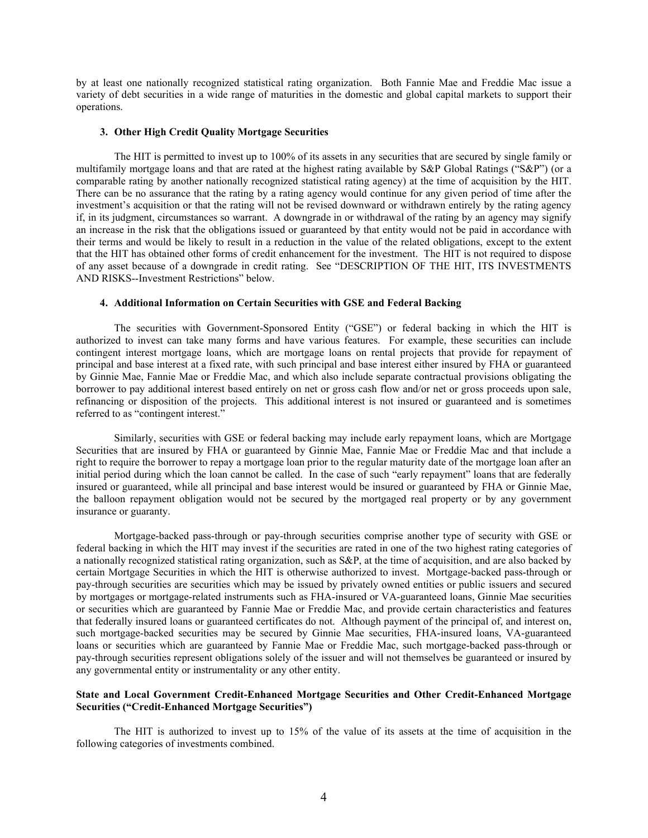by at least one nationally recognized statistical rating organization. Both Fannie Mae and Freddie Mac issue a variety of debt securities in a wide range of maturities in the domestic and global capital markets to support their operations.

#### **3. Other High Credit Quality Mortgage Securities**

The HIT is permitted to invest up to 100% of its assets in any securities that are secured by single family or multifamily mortgage loans and that are rated at the highest rating available by S&P Global Ratings ("S&P") (or a comparable rating by another nationally recognized statistical rating agency) at the time of acquisition by the HIT. There can be no assurance that the rating by a rating agency would continue for any given period of time after the investment's acquisition or that the rating will not be revised downward or withdrawn entirely by the rating agency if, in its judgment, circumstances so warrant. A downgrade in or withdrawal of the rating by an agency may signify an increase in the risk that the obligations issued or guaranteed by that entity would not be paid in accordance with their terms and would be likely to result in a reduction in the value of the related obligations, except to the extent that the HIT has obtained other forms of credit enhancement for the investment. The HIT is not required to dispose of any asset because of a downgrade in credit rating. See "DESCRIPTION OF THE HIT, ITS INVESTMENTS AND RISKS--Investment Restrictions" below.

# **4. Additional Information on Certain Securities with GSE and Federal Backing**

The securities with Government-Sponsored Entity ("GSE") or federal backing in which the HIT is authorized to invest can take many forms and have various features. For example, these securities can include contingent interest mortgage loans, which are mortgage loans on rental projects that provide for repayment of principal and base interest at a fixed rate, with such principal and base interest either insured by FHA or guaranteed by Ginnie Mae, Fannie Mae or Freddie Mac, and which also include separate contractual provisions obligating the borrower to pay additional interest based entirely on net or gross cash flow and/or net or gross proceeds upon sale, refinancing or disposition of the projects. This additional interest is not insured or guaranteed and is sometimes referred to as "contingent interest."

Similarly, securities with GSE or federal backing may include early repayment loans, which are Mortgage Securities that are insured by FHA or guaranteed by Ginnie Mae, Fannie Mae or Freddie Mac and that include a right to require the borrower to repay a mortgage loan prior to the regular maturity date of the mortgage loan after an initial period during which the loan cannot be called. In the case of such "early repayment" loans that are federally insured or guaranteed, while all principal and base interest would be insured or guaranteed by FHA or Ginnie Mae, the balloon repayment obligation would not be secured by the mortgaged real property or by any government insurance or guaranty.

Mortgage-backed pass-through or pay-through securities comprise another type of security with GSE or federal backing in which the HIT may invest if the securities are rated in one of the two highest rating categories of a nationally recognized statistical rating organization, such as S&P, at the time of acquisition, and are also backed by certain Mortgage Securities in which the HIT is otherwise authorized to invest. Mortgage-backed pass-through or pay-through securities are securities which may be issued by privately owned entities or public issuers and secured by mortgages or mortgage-related instruments such as FHA-insured or VA-guaranteed loans, Ginnie Mae securities or securities which are guaranteed by Fannie Mae or Freddie Mac, and provide certain characteristics and features that federally insured loans or guaranteed certificates do not. Although payment of the principal of, and interest on, such mortgage-backed securities may be secured by Ginnie Mae securities, FHA-insured loans, VA-guaranteed loans or securities which are guaranteed by Fannie Mae or Freddie Mac, such mortgage-backed pass-through or pay-through securities represent obligations solely of the issuer and will not themselves be guaranteed or insured by any governmental entity or instrumentality or any other entity.

# **State and Local Government Credit-Enhanced Mortgage Securities and Other Credit-Enhanced Mortgage Securities ("Credit-Enhanced Mortgage Securities")**

The HIT is authorized to invest up to 15% of the value of its assets at the time of acquisition in the following categories of investments combined.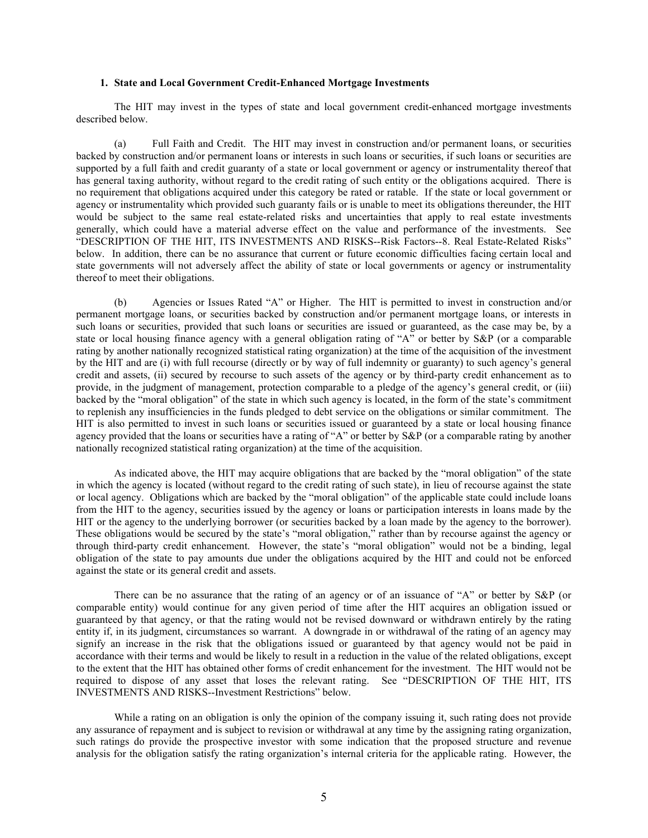### **1. State and Local Government Credit-Enhanced Mortgage Investments**

The HIT may invest in the types of state and local government credit-enhanced mortgage investments described below.

(a) Full Faith and Credit. The HIT may invest in construction and/or permanent loans, or securities backed by construction and/or permanent loans or interests in such loans or securities, if such loans or securities are supported by a full faith and credit guaranty of a state or local government or agency or instrumentality thereof that has general taxing authority, without regard to the credit rating of such entity or the obligations acquired. There is no requirement that obligations acquired under this category be rated or ratable. If the state or local government or agency or instrumentality which provided such guaranty fails or is unable to meet its obligations thereunder, the HIT would be subject to the same real estate-related risks and uncertainties that apply to real estate investments generally, which could have a material adverse effect on the value and performance of the investments. See "DESCRIPTION OF THE HIT, ITS INVESTMENTS AND RISKS--Risk Factors--8. Real Estate-Related Risks" below. In addition, there can be no assurance that current or future economic difficulties facing certain local and state governments will not adversely affect the ability of state or local governments or agency or instrumentality thereof to meet their obligations.

(b) Agencies or Issues Rated "A" or Higher. The HIT is permitted to invest in construction and/or permanent mortgage loans, or securities backed by construction and/or permanent mortgage loans, or interests in such loans or securities, provided that such loans or securities are issued or guaranteed, as the case may be, by a state or local housing finance agency with a general obligation rating of "A" or better by S&P (or a comparable rating by another nationally recognized statistical rating organization) at the time of the acquisition of the investment by the HIT and are (i) with full recourse (directly or by way of full indemnity or guaranty) to such agency's general credit and assets, (ii) secured by recourse to such assets of the agency or by third-party credit enhancement as to provide, in the judgment of management, protection comparable to a pledge of the agency's general credit, or (iii) backed by the "moral obligation" of the state in which such agency is located, in the form of the state's commitment to replenish any insufficiencies in the funds pledged to debt service on the obligations or similar commitment. The HIT is also permitted to invest in such loans or securities issued or guaranteed by a state or local housing finance agency provided that the loans or securities have a rating of "A" or better by S&P (or a comparable rating by another nationally recognized statistical rating organization) at the time of the acquisition.

As indicated above, the HIT may acquire obligations that are backed by the "moral obligation" of the state in which the agency is located (without regard to the credit rating of such state), in lieu of recourse against the state or local agency. Obligations which are backed by the "moral obligation" of the applicable state could include loans from the HIT to the agency, securities issued by the agency or loans or participation interests in loans made by the HIT or the agency to the underlying borrower (or securities backed by a loan made by the agency to the borrower). These obligations would be secured by the state's "moral obligation," rather than by recourse against the agency or through third-party credit enhancement. However, the state's "moral obligation" would not be a binding, legal obligation of the state to pay amounts due under the obligations acquired by the HIT and could not be enforced against the state or its general credit and assets.

There can be no assurance that the rating of an agency or of an issuance of "A" or better by S&P (or comparable entity) would continue for any given period of time after the HIT acquires an obligation issued or guaranteed by that agency, or that the rating would not be revised downward or withdrawn entirely by the rating entity if, in its judgment, circumstances so warrant. A downgrade in or withdrawal of the rating of an agency may signify an increase in the risk that the obligations issued or guaranteed by that agency would not be paid in accordance with their terms and would be likely to result in a reduction in the value of the related obligations, except to the extent that the HIT has obtained other forms of credit enhancement for the investment. The HIT would not be required to dispose of any asset that loses the relevant rating. See "DESCRIPTION OF THE HIT, ITS INVESTMENTS AND RISKS--Investment Restrictions" below.

While a rating on an obligation is only the opinion of the company issuing it, such rating does not provide any assurance of repayment and is subject to revision or withdrawal at any time by the assigning rating organization, such ratings do provide the prospective investor with some indication that the proposed structure and revenue analysis for the obligation satisfy the rating organization's internal criteria for the applicable rating. However, the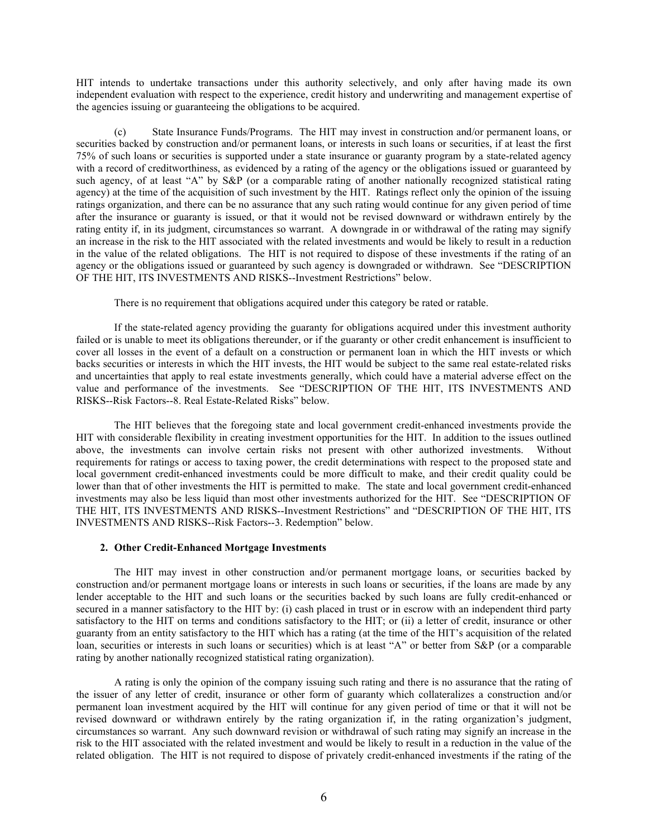HIT intends to undertake transactions under this authority selectively, and only after having made its own independent evaluation with respect to the experience, credit history and underwriting and management expertise of the agencies issuing or guaranteeing the obligations to be acquired.

State Insurance Funds/Programs. The HIT may invest in construction and/or permanent loans, or securities backed by construction and/or permanent loans, or interests in such loans or securities, if at least the first 75% of such loans or securities is supported under a state insurance or guaranty program by a state-related agency with a record of creditworthiness, as evidenced by a rating of the agency or the obligations issued or guaranteed by such agency, of at least "A" by S&P (or a comparable rating of another nationally recognized statistical rating agency) at the time of the acquisition of such investment by the HIT. Ratings reflect only the opinion of the issuing ratings organization, and there can be no assurance that any such rating would continue for any given period of time after the insurance or guaranty is issued, or that it would not be revised downward or withdrawn entirely by the rating entity if, in its judgment, circumstances so warrant. A downgrade in or withdrawal of the rating may signify an increase in the risk to the HIT associated with the related investments and would be likely to result in a reduction in the value of the related obligations. The HIT is not required to dispose of these investments if the rating of an agency or the obligations issued or guaranteed by such agency is downgraded or withdrawn. See "DESCRIPTION OF THE HIT, ITS INVESTMENTS AND RISKS--Investment Restrictions" below.

There is no requirement that obligations acquired under this category be rated or ratable.

If the state-related agency providing the guaranty for obligations acquired under this investment authority failed or is unable to meet its obligations thereunder, or if the guaranty or other credit enhancement is insufficient to cover all losses in the event of a default on a construction or permanent loan in which the HIT invests or which backs securities or interests in which the HIT invests, the HIT would be subject to the same real estate-related risks and uncertainties that apply to real estate investments generally, which could have a material adverse effect on the value and performance of the investments. See "DESCRIPTION OF THE HIT, ITS INVESTMENTS AND RISKS--Risk Factors--8. Real Estate-Related Risks" below.

The HIT believes that the foregoing state and local government credit-enhanced investments provide the HIT with considerable flexibility in creating investment opportunities for the HIT. In addition to the issues outlined above, the investments can involve certain risks not present with other authorized investments. Without requirements for ratings or access to taxing power, the credit determinations with respect to the proposed state and local government credit-enhanced investments could be more difficult to make, and their credit quality could be lower than that of other investments the HIT is permitted to make. The state and local government credit-enhanced investments may also be less liquid than most other investments authorized for the HIT. See "DESCRIPTION OF THE HIT, ITS INVESTMENTS AND RISKS--Investment Restrictions" and "DESCRIPTION OF THE HIT, ITS INVESTMENTS AND RISKS--Risk Factors--3. Redemption" below.

### **2. Other Credit-Enhanced Mortgage Investments**

The HIT may invest in other construction and/or permanent mortgage loans, or securities backed by construction and/or permanent mortgage loans or interests in such loans or securities, if the loans are made by any lender acceptable to the HIT and such loans or the securities backed by such loans are fully credit-enhanced or secured in a manner satisfactory to the HIT by: (i) cash placed in trust or in escrow with an independent third party satisfactory to the HIT on terms and conditions satisfactory to the HIT; or (ii) a letter of credit, insurance or other guaranty from an entity satisfactory to the HIT which has a rating (at the time of the HIT's acquisition of the related loan, securities or interests in such loans or securities) which is at least "A" or better from S&P (or a comparable rating by another nationally recognized statistical rating organization).

A rating is only the opinion of the company issuing such rating and there is no assurance that the rating of the issuer of any letter of credit, insurance or other form of guaranty which collateralizes a construction and/or permanent loan investment acquired by the HIT will continue for any given period of time or that it will not be revised downward or withdrawn entirely by the rating organization if, in the rating organization's judgment, circumstances so warrant. Any such downward revision or withdrawal of such rating may signify an increase in the risk to the HIT associated with the related investment and would be likely to result in a reduction in the value of the related obligation. The HIT is not required to dispose of privately credit-enhanced investments if the rating of the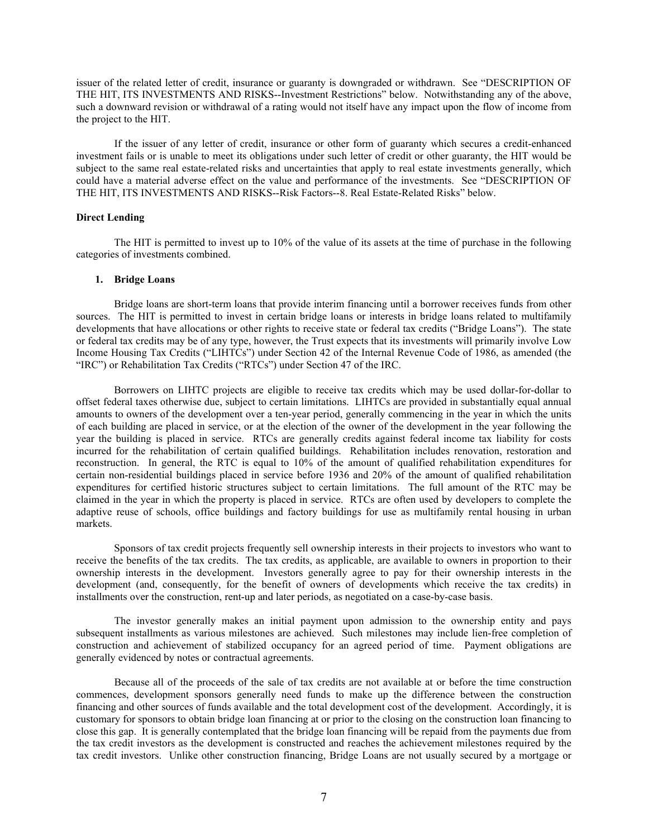issuer of the related letter of credit, insurance or guaranty is downgraded or withdrawn. See "DESCRIPTION OF THE HIT, ITS INVESTMENTS AND RISKS--Investment Restrictions" below. Notwithstanding any of the above, such a downward revision or withdrawal of a rating would not itself have any impact upon the flow of income from the project to the HIT.

If the issuer of any letter of credit, insurance or other form of guaranty which secures a credit-enhanced investment fails or is unable to meet its obligations under such letter of credit or other guaranty, the HIT would be subject to the same real estate-related risks and uncertainties that apply to real estate investments generally, which could have a material adverse effect on the value and performance of the investments. See "DESCRIPTION OF THE HIT, ITS INVESTMENTS AND RISKS--Risk Factors--8. Real Estate-Related Risks" below.

### **Direct Lending**

The HIT is permitted to invest up to 10% of the value of its assets at the time of purchase in the following categories of investments combined.

### **1. Bridge Loans**

Bridge loans are short-term loans that provide interim financing until a borrower receives funds from other sources. The HIT is permitted to invest in certain bridge loans or interests in bridge loans related to multifamily developments that have allocations or other rights to receive state or federal tax credits ("Bridge Loans"). The state or federal tax credits may be of any type, however, the Trust expects that its investments will primarily involve Low Income Housing Tax Credits ("LIHTCs") under Section 42 of the Internal Revenue Code of 1986, as amended (the "IRC") or Rehabilitation Tax Credits ("RTCs") under Section 47 of the IRC.

Borrowers on LIHTC projects are eligible to receive tax credits which may be used dollar-for-dollar to offset federal taxes otherwise due, subject to certain limitations. LIHTCs are provided in substantially equal annual amounts to owners of the development over a ten-year period, generally commencing in the year in which the units of each building are placed in service, or at the election of the owner of the development in the year following the year the building is placed in service. RTCs are generally credits against federal income tax liability for costs incurred for the rehabilitation of certain qualified buildings. Rehabilitation includes renovation, restoration and reconstruction. In general, the RTC is equal to 10% of the amount of qualified rehabilitation expenditures for certain non-residential buildings placed in service before 1936 and 20% of the amount of qualified rehabilitation expenditures for certified historic structures subject to certain limitations. The full amount of the RTC may be claimed in the year in which the property is placed in service. RTCs are often used by developers to complete the adaptive reuse of schools, office buildings and factory buildings for use as multifamily rental housing in urban markets.

Sponsors of tax credit projects frequently sell ownership interests in their projects to investors who want to receive the benefits of the tax credits. The tax credits, as applicable, are available to owners in proportion to their ownership interests in the development. Investors generally agree to pay for their ownership interests in the development (and, consequently, for the benefit of owners of developments which receive the tax credits) in installments over the construction, rent-up and later periods, as negotiated on a case-by-case basis.

The investor generally makes an initial payment upon admission to the ownership entity and pays subsequent installments as various milestones are achieved. Such milestones may include lien-free completion of construction and achievement of stabilized occupancy for an agreed period of time. Payment obligations are generally evidenced by notes or contractual agreements.

Because all of the proceeds of the sale of tax credits are not available at or before the time construction commences, development sponsors generally need funds to make up the difference between the construction financing and other sources of funds available and the total development cost of the development. Accordingly, it is customary for sponsors to obtain bridge loan financing at or prior to the closing on the construction loan financing to close this gap. It is generally contemplated that the bridge loan financing will be repaid from the payments due from the tax credit investors as the development is constructed and reaches the achievement milestones required by the tax credit investors. Unlike other construction financing, Bridge Loans are not usually secured by a mortgage or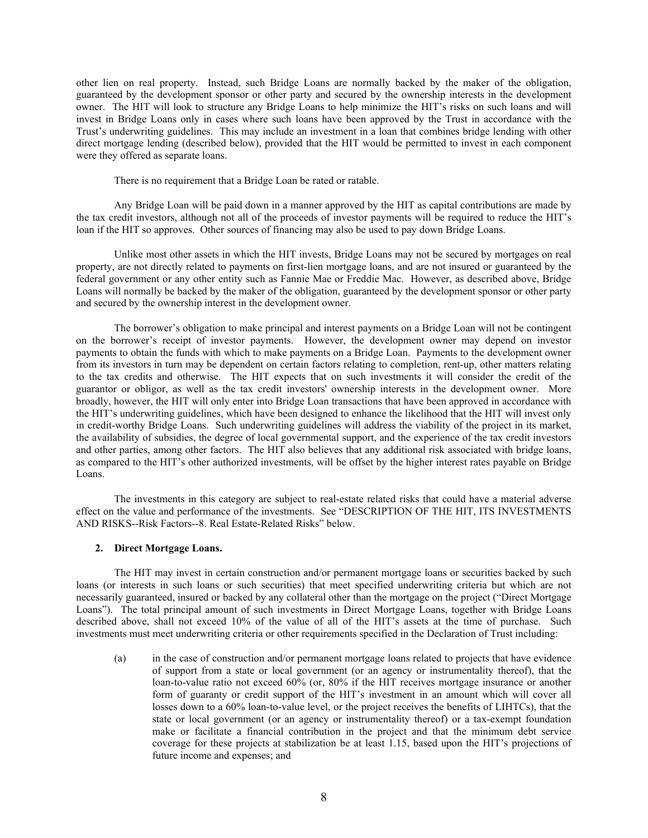other lien on real property. Instead, such Bridge Loans are normally backed by the maker of the obligation, guaranteed by the development sponsor or other party and secured by the ownership interests in the development owner. The HIT will look to structure any Bridge Loans to help minimize the HIT's risks on such loans and will invest in Bridge Loans only in cases where such loans have been approved by the Trust in accordance with the Trust's underwriting guidelines. This may include an investment in a loan that combines bridge lending with other direct mortgage lending (described below), provided that the HIT would be permitted to invest in each component were they offered as separate loans.

There is no requirement that a Bridge Loan be rated or ratable.

Any Bridge Loan will be paid down in a manner approved by the HIT as capital contributions are made by the tax credit investors, although not all of the proceeds of investor payments will be required to reduce the HIT's loan if the HIT so approves. Other sources of financing may also be used to pay down Bridge Loans.

Unlike most other assets in which the HIT invests, Bridge Loans may not be secured by mortgages on real property, are not directly related to payments on first-lien mortgage loans, and are not insured or guaranteed by the federal government or any other entity such as Fannie Mae or Freddie Mac. However, as described above, Bridge Loans will normally be backed by the maker of the obligation, guaranteed by the development sponsor or other party and secured by the ownership interest in the development owner.

The borrower's obligation to make principal and interest payments on a Bridge Loan will not be contingent on the borrower's receipt of investor payments. However, the development owner may depend on investor payments to obtain the funds with which to make payments on a Bridge Loan. Payments to the development owner from its investors in turn may be dependent on certain factors relating to completion, rent-up, other matters relating to the tax credits and otherwise. The HIT expects that on such investments it will consider the credit of the guarantor or obligor, as well as the tax credit investors' ownership interests in the development owner. More broadly, however, the HIT will only enter into Bridge Loan transactions that have been approved in accordance with the HIT's underwriting guidelines, which have been designed to enhance the likelihood that the HIT will invest only in credit-worthy Bridge Loans. Such underwriting guidelines will address the viability of the project in its market, the availability of subsidies, the degree of local governmental support, and the experience of the tax credit investors and other parties, among other factors. The HIT also believes that any additional risk associated with bridge loans, as compared to the HIT's other authorized investments, will be offset by the higher interest rates payable on Bridge Loans.

The investments in this category are subject to real-estate related risks that could have a material adverse effect on the value and performance of the investments. See "DESCRIPTION OF THE HIT, ITS INVESTMENTS AND RISKS--Risk Factors--8. Real Estate-Related Risks" below.

### **2. Direct Mortgage Loans.**

The HIT may invest in certain construction and/or permanent mortgage loans or securities backed by such loans (or interests in such loans or such securities) that meet specified underwriting criteria but which are not necessarily guaranteed, insured or backed by any collateral other than the mortgage on the project ("Direct Mortgage Loans"). The total principal amount of such investments in Direct Mortgage Loans, together with Bridge Loans described above, shall not exceed 10% of the value of all of the HIT's assets at the time of purchase. Such investments must meet underwriting criteria or other requirements specified in the Declaration of Trust including:

(a) in the case of construction and/or permanent mortgage loans related to projects that have evidence of support from a state or local government (or an agency or instrumentality thereof), that the loan-to-value ratio not exceed 60% (or, 80% if the HIT receives mortgage insurance or another form of guaranty or credit support of the HIT's investment in an amount which will cover all losses down to a 60% loan-to-value level, or the project receives the benefits of LIHTCs), that the state or local government (or an agency or instrumentality thereof) or a tax-exempt foundation make or facilitate a financial contribution in the project and that the minimum debt service coverage for these projects at stabilization be at least 1.15, based upon the HIT's projections of future income and expenses; and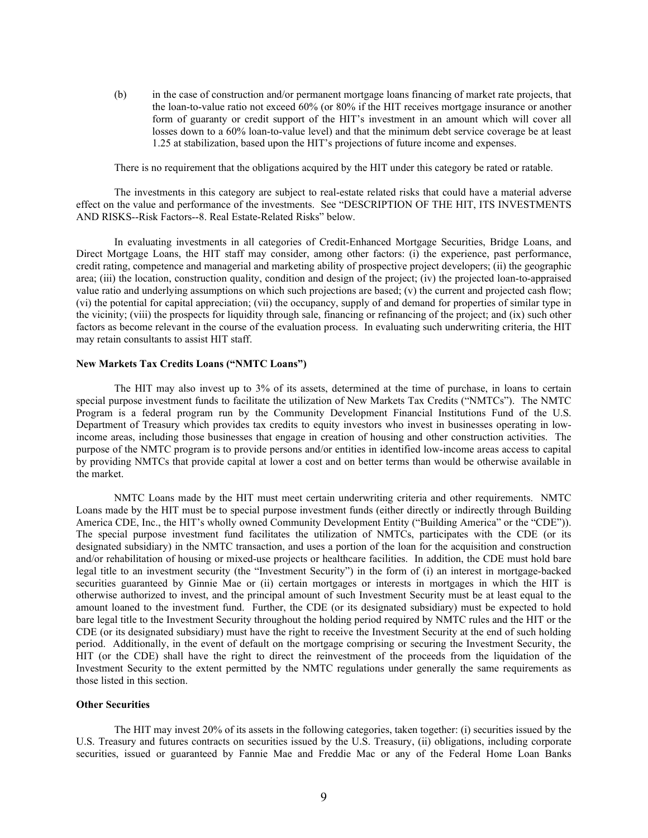(b) in the case of construction and/or permanent mortgage loans financing of market rate projects, that the loan-to-value ratio not exceed 60% (or 80% if the HIT receives mortgage insurance or another form of guaranty or credit support of the HIT's investment in an amount which will cover all losses down to a 60% loan-to-value level) and that the minimum debt service coverage be at least 1.25 at stabilization, based upon the HIT's projections of future income and expenses.

There is no requirement that the obligations acquired by the HIT under this category be rated or ratable.

The investments in this category are subject to real-estate related risks that could have a material adverse effect on the value and performance of the investments. See "DESCRIPTION OF THE HIT, ITS INVESTMENTS AND RISKS--Risk Factors--8. Real Estate-Related Risks" below.

In evaluating investments in all categories of Credit-Enhanced Mortgage Securities, Bridge Loans, and Direct Mortgage Loans, the HIT staff may consider, among other factors: (i) the experience, past performance, credit rating, competence and managerial and marketing ability of prospective project developers; (ii) the geographic area; (iii) the location, construction quality, condition and design of the project; (iv) the projected loan-to-appraised value ratio and underlying assumptions on which such projections are based; (v) the current and projected cash flow; (vi) the potential for capital appreciation; (vii) the occupancy, supply of and demand for properties of similar type in the vicinity; (viii) the prospects for liquidity through sale, financing or refinancing of the project; and (ix) such other factors as become relevant in the course of the evaluation process. In evaluating such underwriting criteria, the HIT may retain consultants to assist HIT staff.

#### **New Markets Tax Credits Loans ("NMTC Loans")**

The HIT may also invest up to 3% of its assets, determined at the time of purchase, in loans to certain special purpose investment funds to facilitate the utilization of New Markets Tax Credits ("NMTCs"). The NMTC Program is a federal program run by the Community Development Financial Institutions Fund of the U.S. Department of Treasury which provides tax credits to equity investors who invest in businesses operating in lowincome areas, including those businesses that engage in creation of housing and other construction activities. The purpose of the NMTC program is to provide persons and/or entities in identified low-income areas access to capital by providing NMTCs that provide capital at lower a cost and on better terms than would be otherwise available in the market.

NMTC Loans made by the HIT must meet certain underwriting criteria and other requirements. NMTC Loans made by the HIT must be to special purpose investment funds (either directly or indirectly through Building America CDE, Inc., the HIT's wholly owned Community Development Entity ("Building America" or the "CDE")). The special purpose investment fund facilitates the utilization of NMTCs, participates with the CDE (or its designated subsidiary) in the NMTC transaction, and uses a portion of the loan for the acquisition and construction and/or rehabilitation of housing or mixed-use projects or healthcare facilities. In addition, the CDE must hold bare legal title to an investment security (the "Investment Security") in the form of (i) an interest in mortgage-backed securities guaranteed by Ginnie Mae or (ii) certain mortgages or interests in mortgages in which the HIT is otherwise authorized to invest, and the principal amount of such Investment Security must be at least equal to the amount loaned to the investment fund. Further, the CDE (or its designated subsidiary) must be expected to hold bare legal title to the Investment Security throughout the holding period required by NMTC rules and the HIT or the CDE (or its designated subsidiary) must have the right to receive the Investment Security at the end of such holding period. Additionally, in the event of default on the mortgage comprising or securing the Investment Security, the HIT (or the CDE) shall have the right to direct the reinvestment of the proceeds from the liquidation of the Investment Security to the extent permitted by the NMTC regulations under generally the same requirements as those listed in this section.

### **Other Securities**

The HIT may invest 20% of its assets in the following categories, taken together: (i) securities issued by the U.S. Treasury and futures contracts on securities issued by the U.S. Treasury, (ii) obligations, including corporate securities, issued or guaranteed by Fannie Mae and Freddie Mac or any of the Federal Home Loan Banks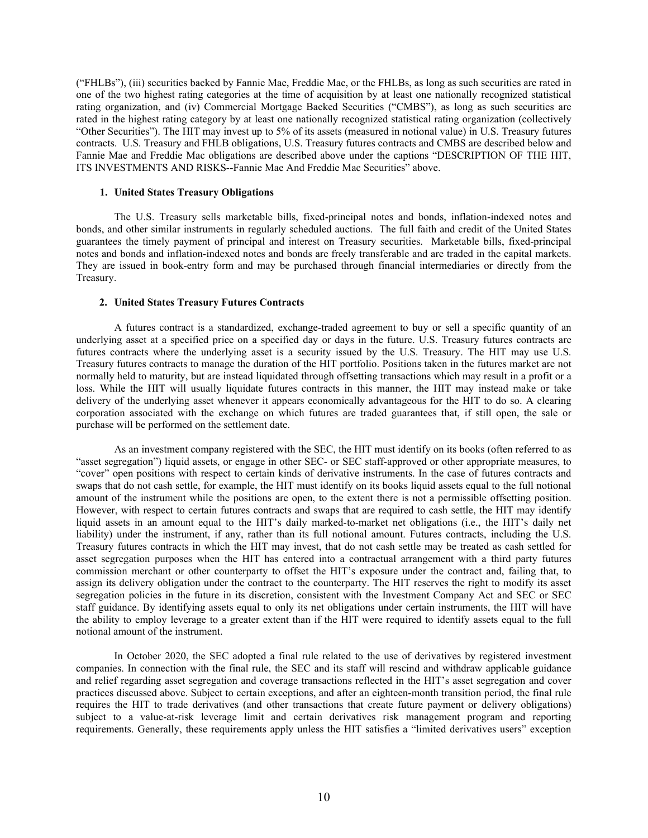("FHLBs"), (iii) securities backed by Fannie Mae, Freddie Mac, or the FHLBs, as long as such securities are rated in one of the two highest rating categories at the time of acquisition by at least one nationally recognized statistical rating organization, and (iv) Commercial Mortgage Backed Securities ("CMBS"), as long as such securities are rated in the highest rating category by at least one nationally recognized statistical rating organization (collectively "Other Securities"). The HIT may invest up to 5% of its assets (measured in notional value) in U.S. Treasury futures contracts. U.S. Treasury and FHLB obligations, U.S. Treasury futures contracts and CMBS are described below and Fannie Mae and Freddie Mac obligations are described above under the captions "DESCRIPTION OF THE HIT, ITS INVESTMENTS AND RISKS--Fannie Mae And Freddie Mac Securities" above.

### **1. United States Treasury Obligations**

The U.S. Treasury sells marketable bills, fixed-principal notes and bonds, inflation-indexed notes and bonds, and other similar instruments in regularly scheduled auctions. The full faith and credit of the United States guarantees the timely payment of principal and interest on Treasury securities. Marketable bills, fixed-principal notes and bonds and inflation-indexed notes and bonds are freely transferable and are traded in the capital markets. They are issued in book-entry form and may be purchased through financial intermediaries or directly from the Treasury.

### **2. United States Treasury Futures Contracts**

A futures contract is a standardized, exchange-traded agreement to buy or sell a specific quantity of an underlying asset at a specified price on a specified day or days in the future. U.S. Treasury futures contracts are futures contracts where the underlying asset is a security issued by the U.S. Treasury. The HIT may use U.S. Treasury futures contracts to manage the duration of the HIT portfolio. Positions taken in the futures market are not normally held to maturity, but are instead liquidated through offsetting transactions which may result in a profit or a loss. While the HIT will usually liquidate futures contracts in this manner, the HIT may instead make or take delivery of the underlying asset whenever it appears economically advantageous for the HIT to do so. A clearing corporation associated with the exchange on which futures are traded guarantees that, if still open, the sale or purchase will be performed on the settlement date.

As an investment company registered with the SEC, the HIT must identify on its books (often referred to as "asset segregation") liquid assets, or engage in other SEC- or SEC staff-approved or other appropriate measures, to "cover" open positions with respect to certain kinds of derivative instruments. In the case of futures contracts and swaps that do not cash settle, for example, the HIT must identify on its books liquid assets equal to the full notional amount of the instrument while the positions are open, to the extent there is not a permissible offsetting position. However, with respect to certain futures contracts and swaps that are required to cash settle, the HIT may identify liquid assets in an amount equal to the HIT's daily marked-to-market net obligations (i.e., the HIT's daily net liability) under the instrument, if any, rather than its full notional amount. Futures contracts, including the U.S. Treasury futures contracts in which the HIT may invest, that do not cash settle may be treated as cash settled for asset segregation purposes when the HIT has entered into a contractual arrangement with a third party futures commission merchant or other counterparty to offset the HIT's exposure under the contract and, failing that, to assign its delivery obligation under the contract to the counterparty. The HIT reserves the right to modify its asset segregation policies in the future in its discretion, consistent with the Investment Company Act and SEC or SEC staff guidance. By identifying assets equal to only its net obligations under certain instruments, the HIT will have the ability to employ leverage to a greater extent than if the HIT were required to identify assets equal to the full notional amount of the instrument.

In October 2020, the SEC adopted a final rule related to the use of derivatives by registered investment companies. In connection with the final rule, the SEC and its staff will rescind and withdraw applicable guidance and relief regarding asset segregation and coverage transactions reflected in the HIT's asset segregation and cover practices discussed above. Subject to certain exceptions, and after an eighteen-month transition period, the final rule requires the HIT to trade derivatives (and other transactions that create future payment or delivery obligations) subject to a value-at-risk leverage limit and certain derivatives risk management program and reporting requirements. Generally, these requirements apply unless the HIT satisfies a "limited derivatives users" exception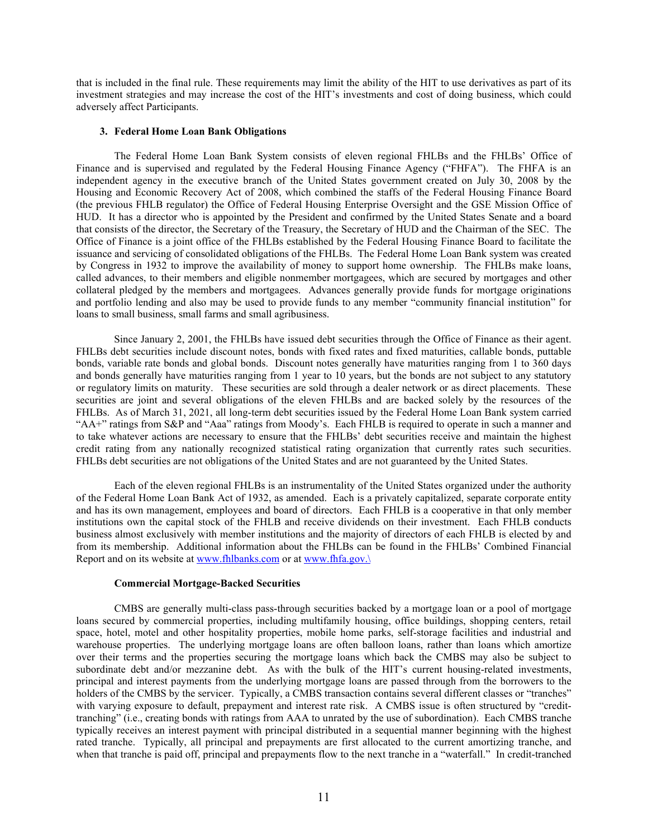that is included in the final rule. These requirements may limit the ability of the HIT to use derivatives as part of its investment strategies and may increase the cost of the HIT's investments and cost of doing business, which could adversely affect Participants.

### **3. Federal Home Loan Bank Obligations**

The Federal Home Loan Bank System consists of eleven regional FHLBs and the FHLBs' Office of Finance and is supervised and regulated by the Federal Housing Finance Agency ("FHFA"). The FHFA is an independent agency in the executive branch of the United States government created on July 30, 2008 by the Housing and Economic Recovery Act of 2008, which combined the staffs of the Federal Housing Finance Board (the previous FHLB regulator) the Office of Federal Housing Enterprise Oversight and the GSE Mission Office of HUD. It has a director who is appointed by the President and confirmed by the United States Senate and a board that consists of the director, the Secretary of the Treasury, the Secretary of HUD and the Chairman of the SEC. The Office of Finance is a joint office of the FHLBs established by the Federal Housing Finance Board to facilitate the issuance and servicing of consolidated obligations of the FHLBs. The Federal Home Loan Bank system was created by Congress in 1932 to improve the availability of money to support home ownership. The FHLBs make loans, called advances, to their members and eligible nonmember mortgagees, which are secured by mortgages and other collateral pledged by the members and mortgagees. Advances generally provide funds for mortgage originations and portfolio lending and also may be used to provide funds to any member "community financial institution" for loans to small business, small farms and small agribusiness.

Since January 2, 2001, the FHLBs have issued debt securities through the Office of Finance as their agent. FHLBs debt securities include discount notes, bonds with fixed rates and fixed maturities, callable bonds, puttable bonds, variable rate bonds and global bonds. Discount notes generally have maturities ranging from 1 to 360 days and bonds generally have maturities ranging from 1 year to 10 years, but the bonds are not subject to any statutory or regulatory limits on maturity. These securities are sold through a dealer network or as direct placements. These securities are joint and several obligations of the eleven FHLBs and are backed solely by the resources of the FHLBs. As of March 31, 2021, all long-term debt securities issued by the Federal Home Loan Bank system carried "AA+" ratings from S&P and "Aaa" ratings from Moody's. Each FHLB is required to operate in such a manner and to take whatever actions are necessary to ensure that the FHLBs' debt securities receive and maintain the highest credit rating from any nationally recognized statistical rating organization that currently rates such securities. FHLBs debt securities are not obligations of the United States and are not guaranteed by the United States.

Each of the eleven regional FHLBs is an instrumentality of the United States organized under the authority of the Federal Home Loan Bank Act of 1932, as amended. Each is a privately capitalized, separate corporate entity and has its own management, employees and board of directors. Each FHLB is a cooperative in that only member institutions own the capital stock of the FHLB and receive dividends on their investment. Each FHLB conducts business almost exclusively with member institutions and the majority of directors of each FHLB is elected by and from its membership. Additional information about the FHLBs can be found in the FHLBs' Combined Financial Report and on its website at [www.fhlbanks.com](http://www.fhlbanks.com/) or at www.fhfa.gov.

#### **Commercial Mortgage-Backed Securities**

CMBS are generally multi-class pass-through securities backed by a mortgage loan or a pool of mortgage loans secured by commercial properties, including multifamily housing, office buildings, shopping centers, retail space, hotel, motel and other hospitality properties, mobile home parks, self-storage facilities and industrial and warehouse properties. The underlying mortgage loans are often balloon loans, rather than loans which amortize over their terms and the properties securing the mortgage loans which back the CMBS may also be subject to subordinate debt and/or mezzanine debt. As with the bulk of the HIT's current housing-related investments, principal and interest payments from the underlying mortgage loans are passed through from the borrowers to the holders of the CMBS by the servicer. Typically, a CMBS transaction contains several different classes or "tranches" with varying exposure to default, prepayment and interest rate risk. A CMBS issue is often structured by "credittranching" (i.e., creating bonds with ratings from AAA to unrated by the use of subordination). Each CMBS tranche typically receives an interest payment with principal distributed in a sequential manner beginning with the highest rated tranche. Typically, all principal and prepayments are first allocated to the current amortizing tranche, and when that tranche is paid off, principal and prepayments flow to the next tranche in a "waterfall." In credit-tranched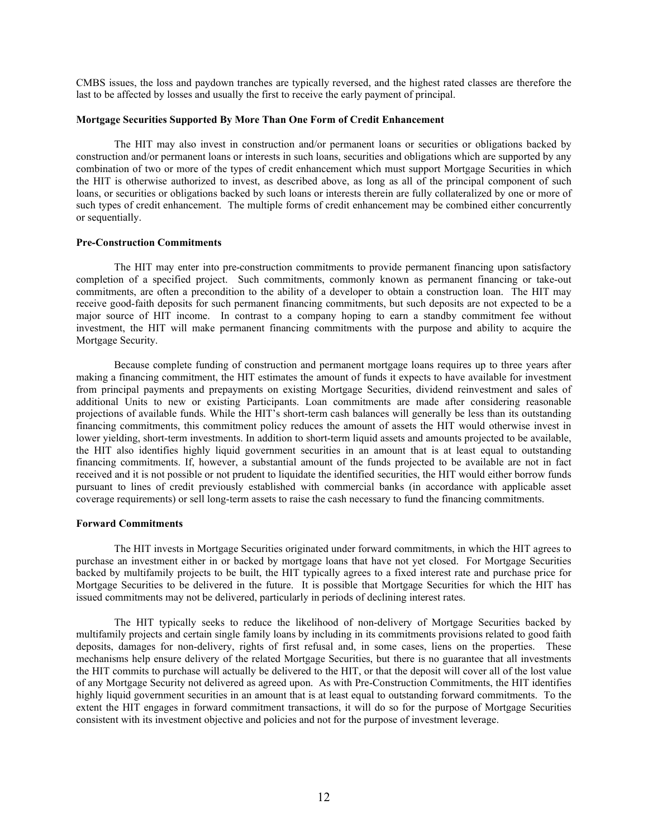CMBS issues, the loss and paydown tranches are typically reversed, and the highest rated classes are therefore the last to be affected by losses and usually the first to receive the early payment of principal.

#### **Mortgage Securities Supported By More Than One Form of Credit Enhancement**

The HIT may also invest in construction and/or permanent loans or securities or obligations backed by construction and/or permanent loans or interests in such loans, securities and obligations which are supported by any combination of two or more of the types of credit enhancement which must support Mortgage Securities in which the HIT is otherwise authorized to invest, as described above, as long as all of the principal component of such loans, or securities or obligations backed by such loans or interests therein are fully collateralized by one or more of such types of credit enhancement. The multiple forms of credit enhancement may be combined either concurrently or sequentially.

### **Pre-Construction Commitments**

The HIT may enter into pre-construction commitments to provide permanent financing upon satisfactory completion of a specified project. Such commitments, commonly known as permanent financing or take-out commitments, are often a precondition to the ability of a developer to obtain a construction loan. The HIT may receive good-faith deposits for such permanent financing commitments, but such deposits are not expected to be a major source of HIT income. In contrast to a company hoping to earn a standby commitment fee without investment, the HIT will make permanent financing commitments with the purpose and ability to acquire the Mortgage Security.

Because complete funding of construction and permanent mortgage loans requires up to three years after making a financing commitment, the HIT estimates the amount of funds it expects to have available for investment from principal payments and prepayments on existing Mortgage Securities, dividend reinvestment and sales of additional Units to new or existing Participants. Loan commitments are made after considering reasonable projections of available funds. While the HIT's short-term cash balances will generally be less than its outstanding financing commitments, this commitment policy reduces the amount of assets the HIT would otherwise invest in lower yielding, short-term investments. In addition to short-term liquid assets and amounts projected to be available, the HIT also identifies highly liquid government securities in an amount that is at least equal to outstanding financing commitments. If, however, a substantial amount of the funds projected to be available are not in fact received and it is not possible or not prudent to liquidate the identified securities, the HIT would either borrow funds pursuant to lines of credit previously established with commercial banks (in accordance with applicable asset coverage requirements) or sell long-term assets to raise the cash necessary to fund the financing commitments.

### **Forward Commitments**

The HIT invests in Mortgage Securities originated under forward commitments, in which the HIT agrees to purchase an investment either in or backed by mortgage loans that have not yet closed. For Mortgage Securities backed by multifamily projects to be built, the HIT typically agrees to a fixed interest rate and purchase price for Mortgage Securities to be delivered in the future. It is possible that Mortgage Securities for which the HIT has issued commitments may not be delivered, particularly in periods of declining interest rates.

The HIT typically seeks to reduce the likelihood of non-delivery of Mortgage Securities backed by multifamily projects and certain single family loans by including in its commitments provisions related to good faith deposits, damages for non-delivery, rights of first refusal and, in some cases, liens on the properties. These mechanisms help ensure delivery of the related Mortgage Securities, but there is no guarantee that all investments the HIT commits to purchase will actually be delivered to the HIT, or that the deposit will cover all of the lost value of any Mortgage Security not delivered as agreed upon. As with Pre-Construction Commitments, the HIT identifies highly liquid government securities in an amount that is at least equal to outstanding forward commitments. To the extent the HIT engages in forward commitment transactions, it will do so for the purpose of Mortgage Securities consistent with its investment objective and policies and not for the purpose of investment leverage.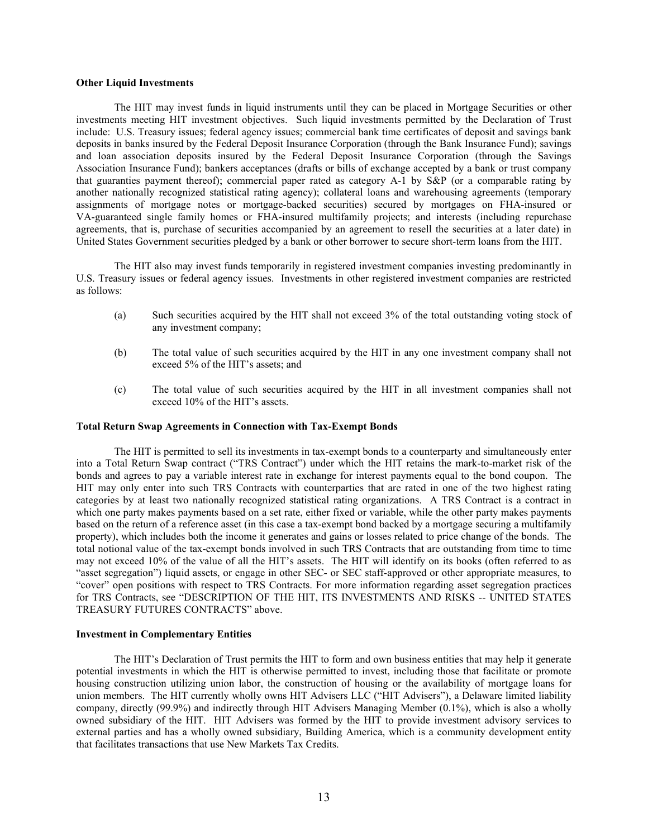### **Other Liquid Investments**

The HIT may invest funds in liquid instruments until they can be placed in Mortgage Securities or other investments meeting HIT investment objectives. Such liquid investments permitted by the Declaration of Trust include: U.S. Treasury issues; federal agency issues; commercial bank time certificates of deposit and savings bank deposits in banks insured by the Federal Deposit Insurance Corporation (through the Bank Insurance Fund); savings and loan association deposits insured by the Federal Deposit Insurance Corporation (through the Savings Association Insurance Fund); bankers acceptances (drafts or bills of exchange accepted by a bank or trust company that guaranties payment thereof); commercial paper rated as category A-1 by S&P (or a comparable rating by another nationally recognized statistical rating agency); collateral loans and warehousing agreements (temporary assignments of mortgage notes or mortgage-backed securities) secured by mortgages on FHA-insured or VA-guaranteed single family homes or FHA-insured multifamily projects; and interests (including repurchase agreements, that is, purchase of securities accompanied by an agreement to resell the securities at a later date) in United States Government securities pledged by a bank or other borrower to secure short-term loans from the HIT.

The HIT also may invest funds temporarily in registered investment companies investing predominantly in U.S. Treasury issues or federal agency issues. Investments in other registered investment companies are restricted as follows:

- (a) Such securities acquired by the HIT shall not exceed 3% of the total outstanding voting stock of any investment company;
- (b) The total value of such securities acquired by the HIT in any one investment company shall not exceed 5% of the HIT's assets; and
- (c) The total value of such securities acquired by the HIT in all investment companies shall not exceed 10% of the HIT's assets.

### **Total Return Swap Agreements in Connection with Tax-Exempt Bonds**

The HIT is permitted to sell its investments in tax-exempt bonds to a counterparty and simultaneously enter into a Total Return Swap contract ("TRS Contract") under which the HIT retains the mark-to-market risk of the bonds and agrees to pay a variable interest rate in exchange for interest payments equal to the bond coupon. The HIT may only enter into such TRS Contracts with counterparties that are rated in one of the two highest rating categories by at least two nationally recognized statistical rating organizations. A TRS Contract is a contract in which one party makes payments based on a set rate, either fixed or variable, while the other party makes payments based on the return of a reference asset (in this case a tax-exempt bond backed by a mortgage securing a multifamily property), which includes both the income it generates and gains or losses related to price change of the bonds. The total notional value of the tax-exempt bonds involved in such TRS Contracts that are outstanding from time to time may not exceed 10% of the value of all the HIT's assets. The HIT will identify on its books (often referred to as "asset segregation") liquid assets, or engage in other SEC- or SEC staff-approved or other appropriate measures, to "cover" open positions with respect to TRS Contracts. For more information regarding asset segregation practices for TRS Contracts, see "DESCRIPTION OF THE HIT, ITS INVESTMENTS AND RISKS -- UNITED STATES TREASURY FUTURES CONTRACTS" above.

### **Investment in Complementary Entities**

The HIT's Declaration of Trust permits the HIT to form and own business entities that may help it generate potential investments in which the HIT is otherwise permitted to invest, including those that facilitate or promote housing construction utilizing union labor, the construction of housing or the availability of mortgage loans for union members. The HIT currently wholly owns HIT Advisers LLC ("HIT Advisers"), a Delaware limited liability company, directly (99.9%) and indirectly through HIT Advisers Managing Member (0.1%), which is also a wholly owned subsidiary of the HIT. HIT Advisers was formed by the HIT to provide investment advisory services to external parties and has a wholly owned subsidiary, Building America, which is a community development entity that facilitates transactions that use New Markets Tax Credits.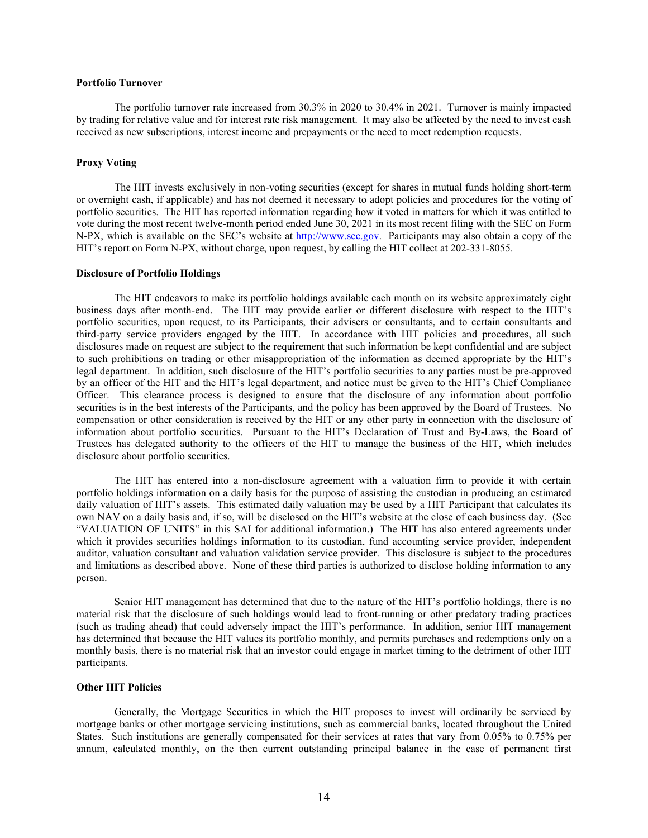### **Portfolio Turnover**

The portfolio turnover rate increased from 30.3% in 2020 to 30.4% in 2021. Turnover is mainly impacted by trading for relative value and for interest rate risk management. It may also be affected by the need to invest cash received as new subscriptions, interest income and prepayments or the need to meet redemption requests.

# **Proxy Voting**

The HIT invests exclusively in non-voting securities (except for shares in mutual funds holding short-term or overnight cash, if applicable) and has not deemed it necessary to adopt policies and procedures for the voting of portfolio securities. The HIT has reported information regarding how it voted in matters for which it was entitled to vote during the most recent twelve-month period ended June 30, 2021 in its most recent filing with the SEC on Form N-PX, which is available on the SEC's website at [http://www.sec.gov.](http://www.sec.gov/) Participants may also obtain a copy of the HIT's report on Form N-PX, without charge, upon request, by calling the HIT collect at 202-331-8055.

### **Disclosure of Portfolio Holdings**

The HIT endeavors to make its portfolio holdings available each month on its website approximately eight business days after month-end. The HIT may provide earlier or different disclosure with respect to the HIT's portfolio securities, upon request, to its Participants, their advisers or consultants, and to certain consultants and third-party service providers engaged by the HIT. In accordance with HIT policies and procedures, all such disclosures made on request are subject to the requirement that such information be kept confidential and are subject to such prohibitions on trading or other misappropriation of the information as deemed appropriate by the HIT's legal department. In addition, such disclosure of the HIT's portfolio securities to any parties must be pre-approved by an officer of the HIT and the HIT's legal department, and notice must be given to the HIT's Chief Compliance Officer. This clearance process is designed to ensure that the disclosure of any information about portfolio securities is in the best interests of the Participants, and the policy has been approved by the Board of Trustees. No compensation or other consideration is received by the HIT or any other party in connection with the disclosure of information about portfolio securities. Pursuant to the HIT's Declaration of Trust and By-Laws, the Board of Trustees has delegated authority to the officers of the HIT to manage the business of the HIT, which includes disclosure about portfolio securities.

The HIT has entered into a non-disclosure agreement with a valuation firm to provide it with certain portfolio holdings information on a daily basis for the purpose of assisting the custodian in producing an estimated daily valuation of HIT's assets. This estimated daily valuation may be used by a HIT Participant that calculates its own NAV on a daily basis and, if so, will be disclosed on the HIT's website at the close of each business day. (See "VALUATION OF UNITS" in this SAI for additional information.) The HIT has also entered agreements under which it provides securities holdings information to its custodian, fund accounting service provider, independent auditor, valuation consultant and valuation validation service provider. This disclosure is subject to the procedures and limitations as described above. None of these third parties is authorized to disclose holding information to any person.

Senior HIT management has determined that due to the nature of the HIT's portfolio holdings, there is no material risk that the disclosure of such holdings would lead to front-running or other predatory trading practices (such as trading ahead) that could adversely impact the HIT's performance. In addition, senior HIT management has determined that because the HIT values its portfolio monthly, and permits purchases and redemptions only on a monthly basis, there is no material risk that an investor could engage in market timing to the detriment of other HIT participants.

# **Other HIT Policies**

Generally, the Mortgage Securities in which the HIT proposes to invest will ordinarily be serviced by mortgage banks or other mortgage servicing institutions, such as commercial banks, located throughout the United States. Such institutions are generally compensated for their services at rates that vary from 0.05% to 0.75% per annum, calculated monthly, on the then current outstanding principal balance in the case of permanent first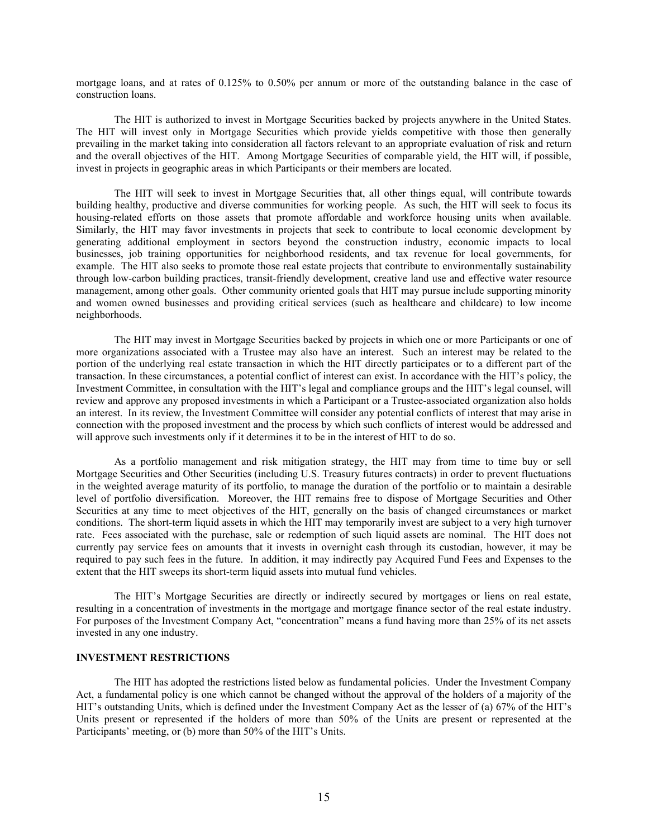mortgage loans, and at rates of 0.125% to 0.50% per annum or more of the outstanding balance in the case of construction loans.

The HIT is authorized to invest in Mortgage Securities backed by projects anywhere in the United States. The HIT will invest only in Mortgage Securities which provide yields competitive with those then generally prevailing in the market taking into consideration all factors relevant to an appropriate evaluation of risk and return and the overall objectives of the HIT. Among Mortgage Securities of comparable yield, the HIT will, if possible, invest in projects in geographic areas in which Participants or their members are located.

The HIT will seek to invest in Mortgage Securities that, all other things equal, will contribute towards building healthy, productive and diverse communities for working people. As such, the HIT will seek to focus its housing-related efforts on those assets that promote affordable and workforce housing units when available. Similarly, the HIT may favor investments in projects that seek to contribute to local economic development by generating additional employment in sectors beyond the construction industry, economic impacts to local businesses, job training opportunities for neighborhood residents, and tax revenue for local governments, for example. The HIT also seeks to promote those real estate projects that contribute to environmentally sustainability through low-carbon building practices, transit-friendly development, creative land use and effective water resource management, among other goals. Other community oriented goals that HIT may pursue include supporting minority and women owned businesses and providing critical services (such as healthcare and childcare) to low income neighborhoods.

The HIT may invest in Mortgage Securities backed by projects in which one or more Participants or one of more organizations associated with a Trustee may also have an interest. Such an interest may be related to the portion of the underlying real estate transaction in which the HIT directly participates or to a different part of the transaction. In these circumstances, a potential conflict of interest can exist. In accordance with the HIT's policy, the Investment Committee, in consultation with the HIT's legal and compliance groups and the HIT's legal counsel, will review and approve any proposed investments in which a Participant or a Trustee-associated organization also holds an interest. In its review, the Investment Committee will consider any potential conflicts of interest that may arise in connection with the proposed investment and the process by which such conflicts of interest would be addressed and will approve such investments only if it determines it to be in the interest of HIT to do so.

As a portfolio management and risk mitigation strategy, the HIT may from time to time buy or sell Mortgage Securities and Other Securities (including U.S. Treasury futures contracts) in order to prevent fluctuations in the weighted average maturity of its portfolio, to manage the duration of the portfolio or to maintain a desirable level of portfolio diversification. Moreover, the HIT remains free to dispose of Mortgage Securities and Other Securities at any time to meet objectives of the HIT, generally on the basis of changed circumstances or market conditions. The short-term liquid assets in which the HIT may temporarily invest are subject to a very high turnover rate. Fees associated with the purchase, sale or redemption of such liquid assets are nominal. The HIT does not currently pay service fees on amounts that it invests in overnight cash through its custodian, however, it may be required to pay such fees in the future. In addition, it may indirectly pay Acquired Fund Fees and Expenses to the extent that the HIT sweeps its short-term liquid assets into mutual fund vehicles.

The HIT's Mortgage Securities are directly or indirectly secured by mortgages or liens on real estate, resulting in a concentration of investments in the mortgage and mortgage finance sector of the real estate industry. For purposes of the Investment Company Act, "concentration" means a fund having more than 25% of its net assets invested in any one industry.

# **INVESTMENT RESTRICTIONS**

The HIT has adopted the restrictions listed below as fundamental policies. Under the Investment Company Act, a fundamental policy is one which cannot be changed without the approval of the holders of a majority of the HIT's outstanding Units, which is defined under the Investment Company Act as the lesser of (a) 67% of the HIT's Units present or represented if the holders of more than 50% of the Units are present or represented at the Participants' meeting, or (b) more than 50% of the HIT's Units.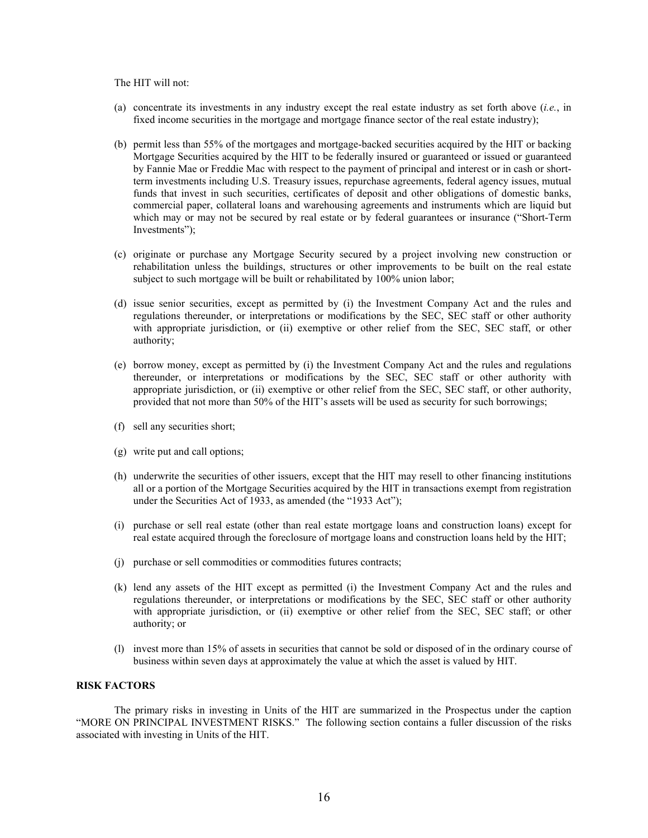The HIT will not:

- (a) concentrate its investments in any industry except the real estate industry as set forth above (*i.e.*, in fixed income securities in the mortgage and mortgage finance sector of the real estate industry);
- (b) permit less than 55% of the mortgages and mortgage-backed securities acquired by the HIT or backing Mortgage Securities acquired by the HIT to be federally insured or guaranteed or issued or guaranteed by Fannie Mae or Freddie Mac with respect to the payment of principal and interest or in cash or shortterm investments including U.S. Treasury issues, repurchase agreements, federal agency issues, mutual funds that invest in such securities, certificates of deposit and other obligations of domestic banks, commercial paper, collateral loans and warehousing agreements and instruments which are liquid but which may or may not be secured by real estate or by federal guarantees or insurance ("Short-Term") Investments");
- (c) originate or purchase any Mortgage Security secured by a project involving new construction or rehabilitation unless the buildings, structures or other improvements to be built on the real estate subject to such mortgage will be built or rehabilitated by 100% union labor;
- (d) issue senior securities, except as permitted by (i) the Investment Company Act and the rules and regulations thereunder, or interpretations or modifications by the SEC, SEC staff or other authority with appropriate jurisdiction, or (ii) exemptive or other relief from the SEC, SEC staff, or other authority;
- (e) borrow money, except as permitted by (i) the Investment Company Act and the rules and regulations thereunder, or interpretations or modifications by the SEC, SEC staff or other authority with appropriate jurisdiction, or (ii) exemptive or other relief from the SEC, SEC staff, or other authority, provided that not more than 50% of the HIT's assets will be used as security for such borrowings;
- (f) sell any securities short;
- (g) write put and call options;
- (h) underwrite the securities of other issuers, except that the HIT may resell to other financing institutions all or a portion of the Mortgage Securities acquired by the HIT in transactions exempt from registration under the Securities Act of 1933, as amended (the "1933 Act");
- (i) purchase or sell real estate (other than real estate mortgage loans and construction loans) except for real estate acquired through the foreclosure of mortgage loans and construction loans held by the HIT;
- (j) purchase or sell commodities or commodities futures contracts;
- (k) lend any assets of the HIT except as permitted (i) the Investment Company Act and the rules and regulations thereunder, or interpretations or modifications by the SEC, SEC staff or other authority with appropriate jurisdiction, or (ii) exemptive or other relief from the SEC, SEC staff; or other authority; or
- (l) invest more than 15% of assets in securities that cannot be sold or disposed of in the ordinary course of business within seven days at approximately the value at which the asset is valued by HIT.

### **RISK FACTORS**

The primary risks in investing in Units of the HIT are summarized in the Prospectus under the caption "MORE ON PRINCIPAL INVESTMENT RISKS." The following section contains a fuller discussion of the risks associated with investing in Units of the HIT.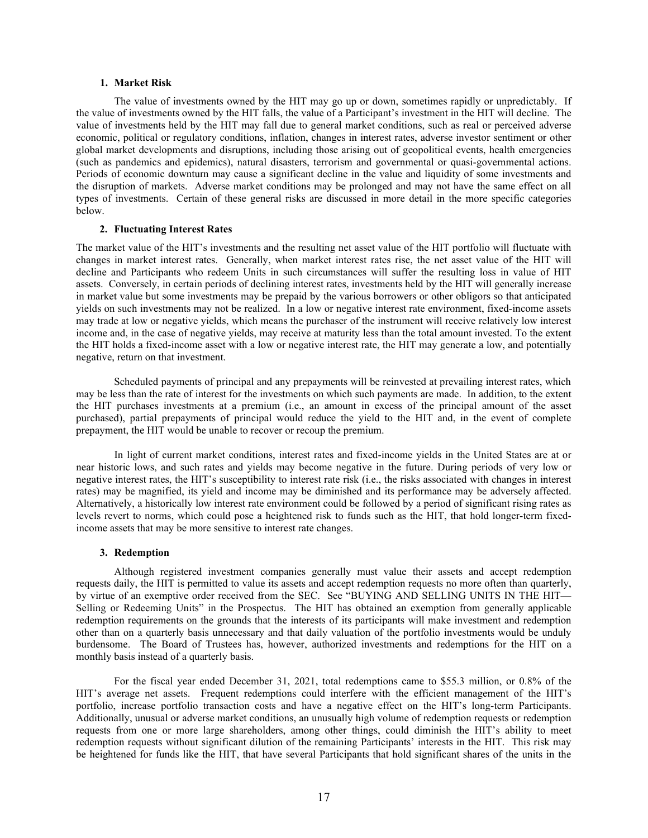### **1. Market Risk**

The value of investments owned by the HIT may go up or down, sometimes rapidly or unpredictably. If the value of investments owned by the HIT falls, the value of a Participant's investment in the HIT will decline. The value of investments held by the HIT may fall due to general market conditions, such as real or perceived adverse economic, political or regulatory conditions, inflation, changes in interest rates, adverse investor sentiment or other global market developments and disruptions, including those arising out of geopolitical events, health emergencies (such as pandemics and epidemics), natural disasters, terrorism and governmental or quasi-governmental actions. Periods of economic downturn may cause a significant decline in the value and liquidity of some investments and the disruption of markets. Adverse market conditions may be prolonged and may not have the same effect on all types of investments. Certain of these general risks are discussed in more detail in the more specific categories below.

#### **2. Fluctuating Interest Rates**

The market value of the HIT's investments and the resulting net asset value of the HIT portfolio will fluctuate with changes in market interest rates. Generally, when market interest rates rise, the net asset value of the HIT will decline and Participants who redeem Units in such circumstances will suffer the resulting loss in value of HIT assets. Conversely, in certain periods of declining interest rates, investments held by the HIT will generally increase in market value but some investments may be prepaid by the various borrowers or other obligors so that anticipated yields on such investments may not be realized. In a low or negative interest rate environment, fixed-income assets may trade at low or negative yields, which means the purchaser of the instrument will receive relatively low interest income and, in the case of negative yields, may receive at maturity less than the total amount invested. To the extent the HIT holds a fixed-income asset with a low or negative interest rate, the HIT may generate a low, and potentially negative, return on that investment.

Scheduled payments of principal and any prepayments will be reinvested at prevailing interest rates, which may be less than the rate of interest for the investments on which such payments are made. In addition, to the extent the HIT purchases investments at a premium (i.e., an amount in excess of the principal amount of the asset purchased), partial prepayments of principal would reduce the yield to the HIT and, in the event of complete prepayment, the HIT would be unable to recover or recoup the premium.

In light of current market conditions, interest rates and fixed-income yields in the United States are at or near historic lows, and such rates and yields may become negative in the future. During periods of very low or negative interest rates, the HIT's susceptibility to interest rate risk (i.e., the risks associated with changes in interest rates) may be magnified, its yield and income may be diminished and its performance may be adversely affected. Alternatively, a historically low interest rate environment could be followed by a period of significant rising rates as levels revert to norms, which could pose a heightened risk to funds such as the HIT, that hold longer-term fixedincome assets that may be more sensitive to interest rate changes.

#### **3. Redemption**

Although registered investment companies generally must value their assets and accept redemption requests daily, the HIT is permitted to value its assets and accept redemption requests no more often than quarterly, by virtue of an exemptive order received from the SEC. See "BUYING AND SELLING UNITS IN THE HIT— Selling or Redeeming Units" in the Prospectus. The HIT has obtained an exemption from generally applicable redemption requirements on the grounds that the interests of its participants will make investment and redemption other than on a quarterly basis unnecessary and that daily valuation of the portfolio investments would be unduly burdensome. The Board of Trustees has, however, authorized investments and redemptions for the HIT on a monthly basis instead of a quarterly basis.

For the fiscal year ended December 31, 2021, total redemptions came to \$55.3 million, or 0.8% of the HIT's average net assets. Frequent redemptions could interfere with the efficient management of the HIT's portfolio, increase portfolio transaction costs and have a negative effect on the HIT's long-term Participants. Additionally, unusual or adverse market conditions, an unusually high volume of redemption requests or redemption requests from one or more large shareholders, among other things, could diminish the HIT's ability to meet redemption requests without significant dilution of the remaining Participants' interests in the HIT. This risk may be heightened for funds like the HIT, that have several Participants that hold significant shares of the units in the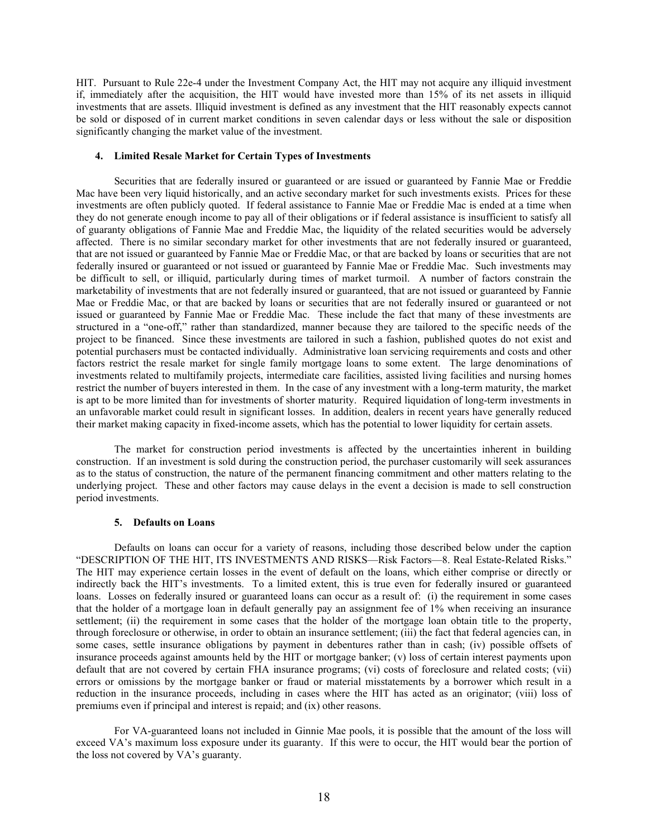HIT. Pursuant to Rule 22e-4 under the Investment Company Act, the HIT may not acquire any illiquid investment if, immediately after the acquisition, the HIT would have invested more than 15% of its net assets in illiquid investments that are assets. Illiquid investment is defined as any investment that the HIT reasonably expects cannot be sold or disposed of in current market conditions in seven calendar days or less without the sale or disposition significantly changing the market value of the investment.

### **4. Limited Resale Market for Certain Types of Investments**

Securities that are federally insured or guaranteed or are issued or guaranteed by Fannie Mae or Freddie Mac have been very liquid historically, and an active secondary market for such investments exists. Prices for these investments are often publicly quoted. If federal assistance to Fannie Mae or Freddie Mac is ended at a time when they do not generate enough income to pay all of their obligations or if federal assistance is insufficient to satisfy all of guaranty obligations of Fannie Mae and Freddie Mac, the liquidity of the related securities would be adversely affected. There is no similar secondary market for other investments that are not federally insured or guaranteed, that are not issued or guaranteed by Fannie Mae or Freddie Mac, or that are backed by loans or securities that are not federally insured or guaranteed or not issued or guaranteed by Fannie Mae or Freddie Mac. Such investments may be difficult to sell, or illiquid, particularly during times of market turmoil. A number of factors constrain the marketability of investments that are not federally insured or guaranteed, that are not issued or guaranteed by Fannie Mae or Freddie Mac, or that are backed by loans or securities that are not federally insured or guaranteed or not issued or guaranteed by Fannie Mae or Freddie Mac. These include the fact that many of these investments are structured in a "one-off," rather than standardized, manner because they are tailored to the specific needs of the project to be financed. Since these investments are tailored in such a fashion, published quotes do not exist and potential purchasers must be contacted individually. Administrative loan servicing requirements and costs and other factors restrict the resale market for single family mortgage loans to some extent. The large denominations of investments related to multifamily projects, intermediate care facilities, assisted living facilities and nursing homes restrict the number of buyers interested in them. In the case of any investment with a long-term maturity, the market is apt to be more limited than for investments of shorter maturity. Required liquidation of long-term investments in an unfavorable market could result in significant losses. In addition, dealers in recent years have generally reduced their market making capacity in fixed-income assets, which has the potential to lower liquidity for certain assets.

The market for construction period investments is affected by the uncertainties inherent in building construction. If an investment is sold during the construction period, the purchaser customarily will seek assurances as to the status of construction, the nature of the permanent financing commitment and other matters relating to the underlying project. These and other factors may cause delays in the event a decision is made to sell construction period investments.

### **5. Defaults on Loans**

Defaults on loans can occur for a variety of reasons, including those described below under the caption "DESCRIPTION OF THE HIT, ITS INVESTMENTS AND RISKS—Risk Factors—8. Real Estate-Related Risks." The HIT may experience certain losses in the event of default on the loans, which either comprise or directly or indirectly back the HIT's investments. To a limited extent, this is true even for federally insured or guaranteed loans. Losses on federally insured or guaranteed loans can occur as a result of: (i) the requirement in some cases that the holder of a mortgage loan in default generally pay an assignment fee of 1% when receiving an insurance settlement; (ii) the requirement in some cases that the holder of the mortgage loan obtain title to the property, through foreclosure or otherwise, in order to obtain an insurance settlement; (iii) the fact that federal agencies can, in some cases, settle insurance obligations by payment in debentures rather than in cash; (iv) possible offsets of insurance proceeds against amounts held by the HIT or mortgage banker; (v) loss of certain interest payments upon default that are not covered by certain FHA insurance programs; (vi) costs of foreclosure and related costs; (vii) errors or omissions by the mortgage banker or fraud or material misstatements by a borrower which result in a reduction in the insurance proceeds, including in cases where the HIT has acted as an originator; (viii) loss of premiums even if principal and interest is repaid; and (ix) other reasons.

For VA-guaranteed loans not included in Ginnie Mae pools, it is possible that the amount of the loss will exceed VA's maximum loss exposure under its guaranty. If this were to occur, the HIT would bear the portion of the loss not covered by VA's guaranty.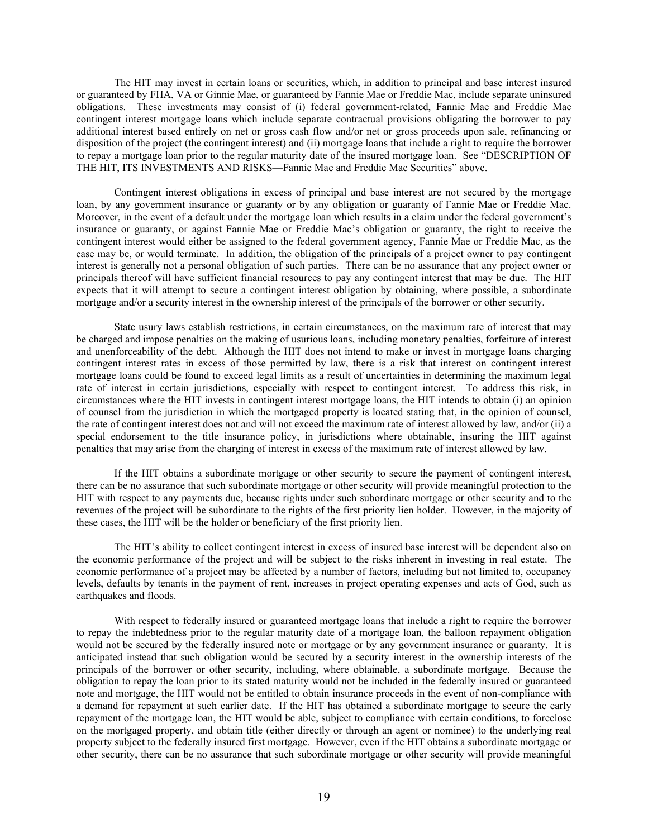The HIT may invest in certain loans or securities, which, in addition to principal and base interest insured or guaranteed by FHA, VA or Ginnie Mae, or guaranteed by Fannie Mae or Freddie Mac, include separate uninsured obligations. These investments may consist of (i) federal government-related, Fannie Mae and Freddie Mac contingent interest mortgage loans which include separate contractual provisions obligating the borrower to pay additional interest based entirely on net or gross cash flow and/or net or gross proceeds upon sale, refinancing or disposition of the project (the contingent interest) and (ii) mortgage loans that include a right to require the borrower to repay a mortgage loan prior to the regular maturity date of the insured mortgage loan. See "DESCRIPTION OF THE HIT, ITS INVESTMENTS AND RISKS—Fannie Mae and Freddie Mac Securities" above.

Contingent interest obligations in excess of principal and base interest are not secured by the mortgage loan, by any government insurance or guaranty or by any obligation or guaranty of Fannie Mae or Freddie Mac. Moreover, in the event of a default under the mortgage loan which results in a claim under the federal government's insurance or guaranty, or against Fannie Mae or Freddie Mac's obligation or guaranty, the right to receive the contingent interest would either be assigned to the federal government agency, Fannie Mae or Freddie Mac, as the case may be, or would terminate. In addition, the obligation of the principals of a project owner to pay contingent interest is generally not a personal obligation of such parties. There can be no assurance that any project owner or principals thereof will have sufficient financial resources to pay any contingent interest that may be due. The HIT expects that it will attempt to secure a contingent interest obligation by obtaining, where possible, a subordinate mortgage and/or a security interest in the ownership interest of the principals of the borrower or other security.

State usury laws establish restrictions, in certain circumstances, on the maximum rate of interest that may be charged and impose penalties on the making of usurious loans, including monetary penalties, forfeiture of interest and unenforceability of the debt. Although the HIT does not intend to make or invest in mortgage loans charging contingent interest rates in excess of those permitted by law, there is a risk that interest on contingent interest mortgage loans could be found to exceed legal limits as a result of uncertainties in determining the maximum legal rate of interest in certain jurisdictions, especially with respect to contingent interest. To address this risk, in circumstances where the HIT invests in contingent interest mortgage loans, the HIT intends to obtain (i) an opinion of counsel from the jurisdiction in which the mortgaged property is located stating that, in the opinion of counsel, the rate of contingent interest does not and will not exceed the maximum rate of interest allowed by law, and/or (ii) a special endorsement to the title insurance policy, in jurisdictions where obtainable, insuring the HIT against penalties that may arise from the charging of interest in excess of the maximum rate of interest allowed by law.

If the HIT obtains a subordinate mortgage or other security to secure the payment of contingent interest, there can be no assurance that such subordinate mortgage or other security will provide meaningful protection to the HIT with respect to any payments due, because rights under such subordinate mortgage or other security and to the revenues of the project will be subordinate to the rights of the first priority lien holder. However, in the majority of these cases, the HIT will be the holder or beneficiary of the first priority lien.

The HIT's ability to collect contingent interest in excess of insured base interest will be dependent also on the economic performance of the project and will be subject to the risks inherent in investing in real estate. The economic performance of a project may be affected by a number of factors, including but not limited to, occupancy levels, defaults by tenants in the payment of rent, increases in project operating expenses and acts of God, such as earthquakes and floods.

With respect to federally insured or guaranteed mortgage loans that include a right to require the borrower to repay the indebtedness prior to the regular maturity date of a mortgage loan, the balloon repayment obligation would not be secured by the federally insured note or mortgage or by any government insurance or guaranty. It is anticipated instead that such obligation would be secured by a security interest in the ownership interests of the principals of the borrower or other security, including, where obtainable, a subordinate mortgage. Because the obligation to repay the loan prior to its stated maturity would not be included in the federally insured or guaranteed note and mortgage, the HIT would not be entitled to obtain insurance proceeds in the event of non-compliance with a demand for repayment at such earlier date. If the HIT has obtained a subordinate mortgage to secure the early repayment of the mortgage loan, the HIT would be able, subject to compliance with certain conditions, to foreclose on the mortgaged property, and obtain title (either directly or through an agent or nominee) to the underlying real property subject to the federally insured first mortgage. However, even if the HIT obtains a subordinate mortgage or other security, there can be no assurance that such subordinate mortgage or other security will provide meaningful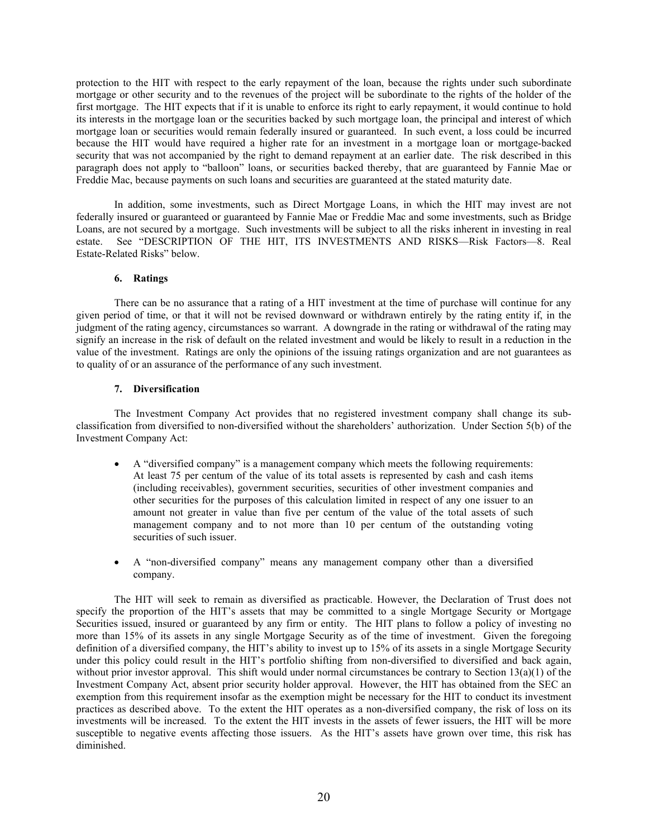protection to the HIT with respect to the early repayment of the loan, because the rights under such subordinate mortgage or other security and to the revenues of the project will be subordinate to the rights of the holder of the first mortgage. The HIT expects that if it is unable to enforce its right to early repayment, it would continue to hold its interests in the mortgage loan or the securities backed by such mortgage loan, the principal and interest of which mortgage loan or securities would remain federally insured or guaranteed. In such event, a loss could be incurred because the HIT would have required a higher rate for an investment in a mortgage loan or mortgage-backed security that was not accompanied by the right to demand repayment at an earlier date. The risk described in this paragraph does not apply to "balloon" loans, or securities backed thereby, that are guaranteed by Fannie Mae or Freddie Mac, because payments on such loans and securities are guaranteed at the stated maturity date.

In addition, some investments, such as Direct Mortgage Loans, in which the HIT may invest are not federally insured or guaranteed or guaranteed by Fannie Mae or Freddie Mac and some investments, such as Bridge Loans, are not secured by a mortgage. Such investments will be subject to all the risks inherent in investing in real estate. See "DESCRIPTION OF THE HIT, ITS INVESTMENTS AND RISKS—Risk Factors—8. Real Estate-Related Risks" below.

# **6. Ratings**

There can be no assurance that a rating of a HIT investment at the time of purchase will continue for any given period of time, or that it will not be revised downward or withdrawn entirely by the rating entity if, in the judgment of the rating agency, circumstances so warrant. A downgrade in the rating or withdrawal of the rating may signify an increase in the risk of default on the related investment and would be likely to result in a reduction in the value of the investment. Ratings are only the opinions of the issuing ratings organization and are not guarantees as to quality of or an assurance of the performance of any such investment.

# **7. Diversification**

The Investment Company Act provides that no registered investment company shall change its subclassification from diversified to non-diversified without the shareholders' authorization. Under Section 5(b) of the Investment Company Act:

- A "diversified company" is a management company which meets the following requirements: At least 75 per centum of the value of its total assets is represented by cash and cash items (including receivables), government securities, securities of other investment companies and other securities for the purposes of this calculation limited in respect of any one issuer to an amount not greater in value than five per centum of the value of the total assets of such management company and to not more than 10 per centum of the outstanding voting securities of such issuer.
- A "non-diversified company" means any management company other than a diversified company.

The HIT will seek to remain as diversified as practicable. However, the Declaration of Trust does not specify the proportion of the HIT's assets that may be committed to a single Mortgage Security or Mortgage Securities issued, insured or guaranteed by any firm or entity. The HIT plans to follow a policy of investing no more than 15% of its assets in any single Mortgage Security as of the time of investment. Given the foregoing definition of a diversified company, the HIT's ability to invest up to 15% of its assets in a single Mortgage Security under this policy could result in the HIT's portfolio shifting from non-diversified to diversified and back again, without prior investor approval. This shift would under normal circumstances be contrary to Section 13(a)(1) of the Investment Company Act, absent prior security holder approval. However, the HIT has obtained from the SEC an exemption from this requirement insofar as the exemption might be necessary for the HIT to conduct its investment practices as described above. To the extent the HIT operates as a non-diversified company, the risk of loss on its investments will be increased. To the extent the HIT invests in the assets of fewer issuers, the HIT will be more susceptible to negative events affecting those issuers. As the HIT's assets have grown over time, this risk has diminished.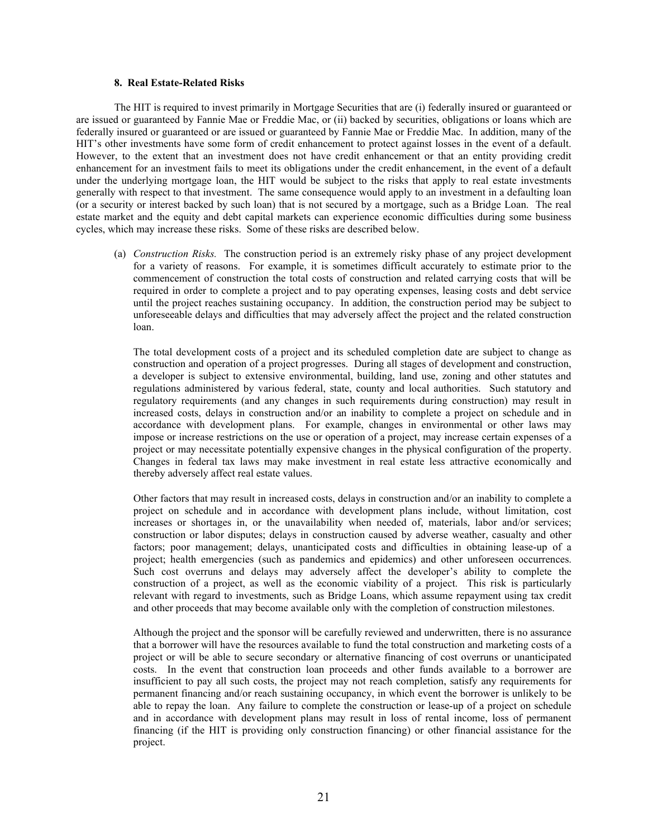### **8. Real Estate-Related Risks**

The HIT is required to invest primarily in Mortgage Securities that are (i) federally insured or guaranteed or are issued or guaranteed by Fannie Mae or Freddie Mac, or (ii) backed by securities, obligations or loans which are federally insured or guaranteed or are issued or guaranteed by Fannie Mae or Freddie Mac. In addition, many of the HIT's other investments have some form of credit enhancement to protect against losses in the event of a default. However, to the extent that an investment does not have credit enhancement or that an entity providing credit enhancement for an investment fails to meet its obligations under the credit enhancement, in the event of a default under the underlying mortgage loan, the HIT would be subject to the risks that apply to real estate investments generally with respect to that investment. The same consequence would apply to an investment in a defaulting loan (or a security or interest backed by such loan) that is not secured by a mortgage, such as a Bridge Loan. The real estate market and the equity and debt capital markets can experience economic difficulties during some business cycles, which may increase these risks. Some of these risks are described below.

(a) *Construction Risks.* The construction period is an extremely risky phase of any project development for a variety of reasons. For example, it is sometimes difficult accurately to estimate prior to the commencement of construction the total costs of construction and related carrying costs that will be required in order to complete a project and to pay operating expenses, leasing costs and debt service until the project reaches sustaining occupancy. In addition, the construction period may be subject to unforeseeable delays and difficulties that may adversely affect the project and the related construction loan.

The total development costs of a project and its scheduled completion date are subject to change as construction and operation of a project progresses. During all stages of development and construction, a developer is subject to extensive environmental, building, land use, zoning and other statutes and regulations administered by various federal, state, county and local authorities. Such statutory and regulatory requirements (and any changes in such requirements during construction) may result in increased costs, delays in construction and/or an inability to complete a project on schedule and in accordance with development plans. For example, changes in environmental or other laws may impose or increase restrictions on the use or operation of a project, may increase certain expenses of a project or may necessitate potentially expensive changes in the physical configuration of the property. Changes in federal tax laws may make investment in real estate less attractive economically and thereby adversely affect real estate values.

Other factors that may result in increased costs, delays in construction and/or an inability to complete a project on schedule and in accordance with development plans include, without limitation, cost increases or shortages in, or the unavailability when needed of, materials, labor and/or services; construction or labor disputes; delays in construction caused by adverse weather, casualty and other factors; poor management; delays, unanticipated costs and difficulties in obtaining lease-up of a project; health emergencies (such as pandemics and epidemics) and other unforeseen occurrences. Such cost overruns and delays may adversely affect the developer's ability to complete the construction of a project, as well as the economic viability of a project. This risk is particularly relevant with regard to investments, such as Bridge Loans, which assume repayment using tax credit and other proceeds that may become available only with the completion of construction milestones.

Although the project and the sponsor will be carefully reviewed and underwritten, there is no assurance that a borrower will have the resources available to fund the total construction and marketing costs of a project or will be able to secure secondary or alternative financing of cost overruns or unanticipated costs. In the event that construction loan proceeds and other funds available to a borrower are insufficient to pay all such costs, the project may not reach completion, satisfy any requirements for permanent financing and/or reach sustaining occupancy, in which event the borrower is unlikely to be able to repay the loan. Any failure to complete the construction or lease-up of a project on schedule and in accordance with development plans may result in loss of rental income, loss of permanent financing (if the HIT is providing only construction financing) or other financial assistance for the project.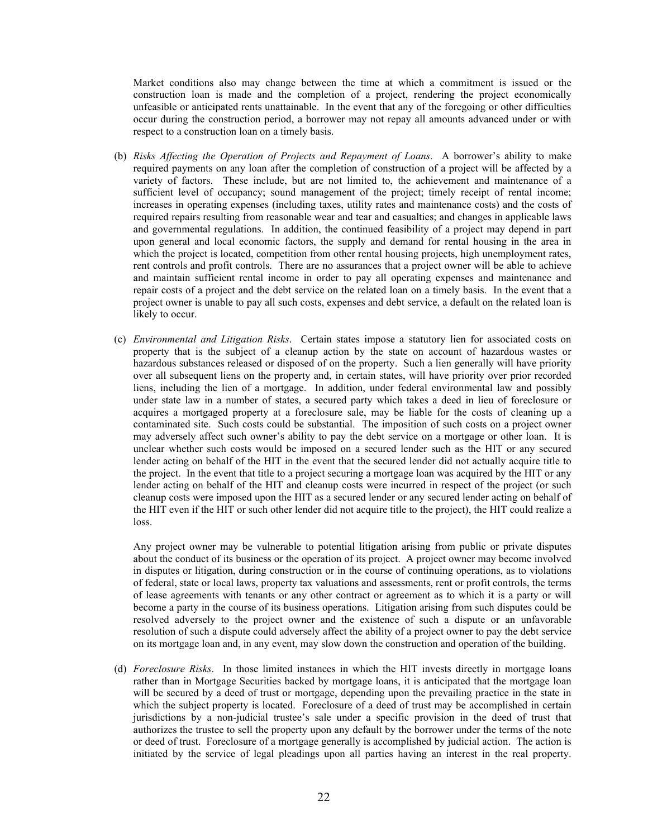Market conditions also may change between the time at which a commitment is issued or the construction loan is made and the completion of a project, rendering the project economically unfeasible or anticipated rents unattainable. In the event that any of the foregoing or other difficulties occur during the construction period, a borrower may not repay all amounts advanced under or with respect to a construction loan on a timely basis.

- (b) *Risks Affecting the Operation of Projects and Repayment of Loans*. A borrower's ability to make required payments on any loan after the completion of construction of a project will be affected by a variety of factors. These include, but are not limited to, the achievement and maintenance of a sufficient level of occupancy; sound management of the project; timely receipt of rental income; increases in operating expenses (including taxes, utility rates and maintenance costs) and the costs of required repairs resulting from reasonable wear and tear and casualties; and changes in applicable laws and governmental regulations. In addition, the continued feasibility of a project may depend in part upon general and local economic factors, the supply and demand for rental housing in the area in which the project is located, competition from other rental housing projects, high unemployment rates, rent controls and profit controls. There are no assurances that a project owner will be able to achieve and maintain sufficient rental income in order to pay all operating expenses and maintenance and repair costs of a project and the debt service on the related loan on a timely basis. In the event that a project owner is unable to pay all such costs, expenses and debt service, a default on the related loan is likely to occur.
- (c) *Environmental and Litigation Risks*. Certain states impose a statutory lien for associated costs on property that is the subject of a cleanup action by the state on account of hazardous wastes or hazardous substances released or disposed of on the property. Such a lien generally will have priority over all subsequent liens on the property and, in certain states, will have priority over prior recorded liens, including the lien of a mortgage. In addition, under federal environmental law and possibly under state law in a number of states, a secured party which takes a deed in lieu of foreclosure or acquires a mortgaged property at a foreclosure sale, may be liable for the costs of cleaning up a contaminated site. Such costs could be substantial. The imposition of such costs on a project owner may adversely affect such owner's ability to pay the debt service on a mortgage or other loan. It is unclear whether such costs would be imposed on a secured lender such as the HIT or any secured lender acting on behalf of the HIT in the event that the secured lender did not actually acquire title to the project. In the event that title to a project securing a mortgage loan was acquired by the HIT or any lender acting on behalf of the HIT and cleanup costs were incurred in respect of the project (or such cleanup costs were imposed upon the HIT as a secured lender or any secured lender acting on behalf of the HIT even if the HIT or such other lender did not acquire title to the project), the HIT could realize a loss.

Any project owner may be vulnerable to potential litigation arising from public or private disputes about the conduct of its business or the operation of its project. A project owner may become involved in disputes or litigation, during construction or in the course of continuing operations, as to violations of federal, state or local laws, property tax valuations and assessments, rent or profit controls, the terms of lease agreements with tenants or any other contract or agreement as to which it is a party or will become a party in the course of its business operations. Litigation arising from such disputes could be resolved adversely to the project owner and the existence of such a dispute or an unfavorable resolution of such a dispute could adversely affect the ability of a project owner to pay the debt service on its mortgage loan and, in any event, may slow down the construction and operation of the building.

(d) *Foreclosure Risks*. In those limited instances in which the HIT invests directly in mortgage loans rather than in Mortgage Securities backed by mortgage loans, it is anticipated that the mortgage loan will be secured by a deed of trust or mortgage, depending upon the prevailing practice in the state in which the subject property is located. Foreclosure of a deed of trust may be accomplished in certain jurisdictions by a non-judicial trustee's sale under a specific provision in the deed of trust that authorizes the trustee to sell the property upon any default by the borrower under the terms of the note or deed of trust. Foreclosure of a mortgage generally is accomplished by judicial action. The action is initiated by the service of legal pleadings upon all parties having an interest in the real property.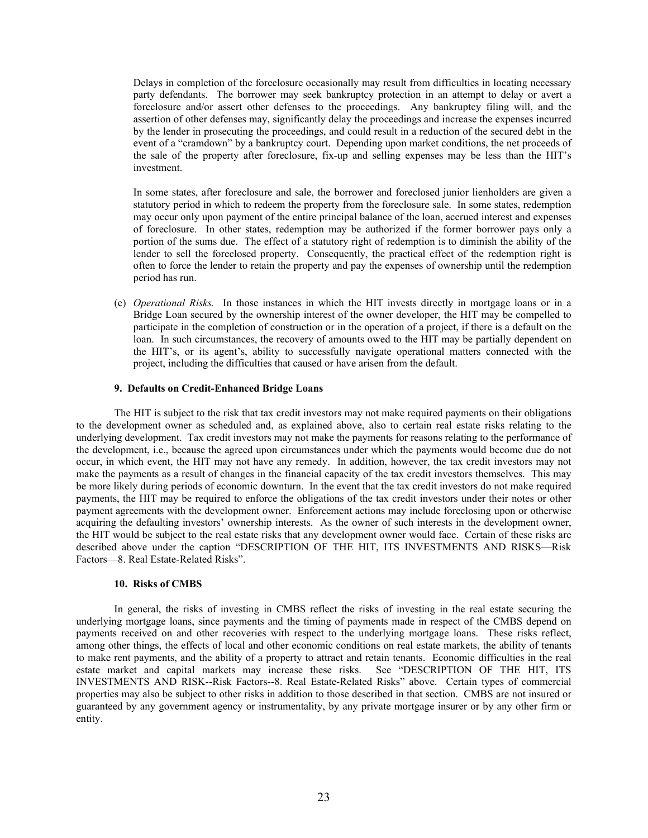Delays in completion of the foreclosure occasionally may result from difficulties in locating necessary party defendants. The borrower may seek bankruptcy protection in an attempt to delay or avert a foreclosure and/or assert other defenses to the proceedings. Any bankruptcy filing will, and the assertion of other defenses may, significantly delay the proceedings and increase the expenses incurred by the lender in prosecuting the proceedings, and could result in a reduction of the secured debt in the event of a "cramdown" by a bankruptcy court. Depending upon market conditions, the net proceeds of the sale of the property after foreclosure, fix-up and selling expenses may be less than the HIT's investment.

In some states, after foreclosure and sale, the borrower and foreclosed junior lienholders are given a statutory period in which to redeem the property from the foreclosure sale. In some states, redemption may occur only upon payment of the entire principal balance of the loan, accrued interest and expenses of foreclosure. In other states, redemption may be authorized if the former borrower pays only a portion of the sums due. The effect of a statutory right of redemption is to diminish the ability of the lender to sell the foreclosed property. Consequently, the practical effect of the redemption right is often to force the lender to retain the property and pay the expenses of ownership until the redemption period has run.

(e) *Operational Risks.* In those instances in which the HIT invests directly in mortgage loans or in a Bridge Loan secured by the ownership interest of the owner developer, the HIT may be compelled to participate in the completion of construction or in the operation of a project, if there is a default on the loan. In such circumstances, the recovery of amounts owed to the HIT may be partially dependent on the HIT's, or its agent's, ability to successfully navigate operational matters connected with the project, including the difficulties that caused or have arisen from the default.

### **9. Defaults on Credit-Enhanced Bridge Loans**

The HIT is subject to the risk that tax credit investors may not make required payments on their obligations to the development owner as scheduled and, as explained above, also to certain real estate risks relating to the underlying development. Tax credit investors may not make the payments for reasons relating to the performance of the development, i.e., because the agreed upon circumstances under which the payments would become due do not occur, in which event, the HIT may not have any remedy. In addition, however, the tax credit investors may not make the payments as a result of changes in the financial capacity of the tax credit investors themselves. This may be more likely during periods of economic downturn. In the event that the tax credit investors do not make required payments, the HIT may be required to enforce the obligations of the tax credit investors under their notes or other payment agreements with the development owner. Enforcement actions may include foreclosing upon or otherwise acquiring the defaulting investors' ownership interests. As the owner of such interests in the development owner, the HIT would be subject to the real estate risks that any development owner would face. Certain of these risks are described above under the caption "DESCRIPTION OF THE HIT, ITS INVESTMENTS AND RISKS—Risk Factors—8. Real Estate-Related Risks".

#### **10. Risks of CMBS**

In general, the risks of investing in CMBS reflect the risks of investing in the real estate securing the underlying mortgage loans, since payments and the timing of payments made in respect of the CMBS depend on payments received on and other recoveries with respect to the underlying mortgage loans. These risks reflect, among other things, the effects of local and other economic conditions on real estate markets, the ability of tenants to make rent payments, and the ability of a property to attract and retain tenants. Economic difficulties in the real estate market and capital markets may increase these risks. See "DESCRIPTION OF THE HIT, ITS INVESTMENTS AND RISK--Risk Factors--8. Real Estate-Related Risks" above. Certain types of commercial properties may also be subject to other risks in addition to those described in that section. CMBS are not insured or guaranteed by any government agency or instrumentality, by any private mortgage insurer or by any other firm or entity.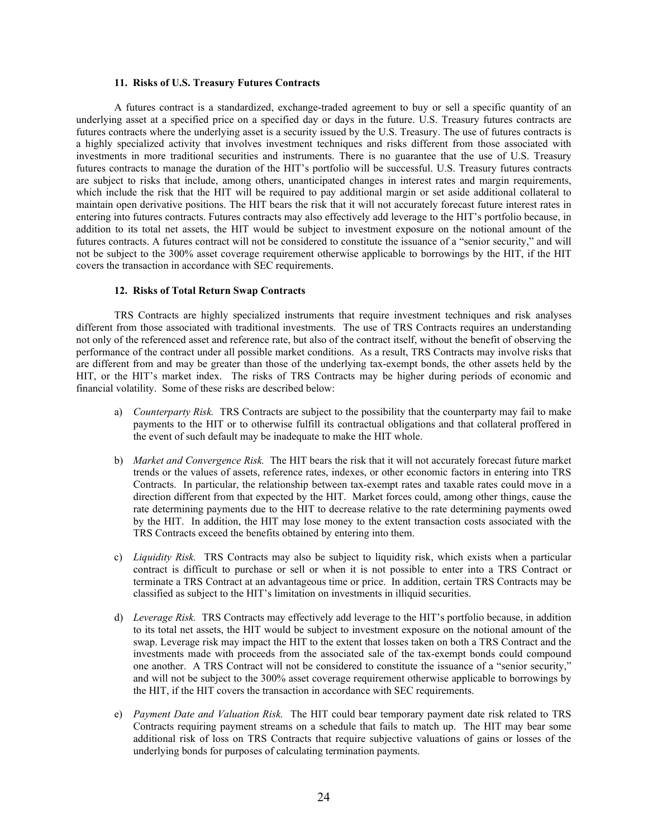#### **11. Risks of U.S. Treasury Futures Contracts**

A futures contract is a standardized, exchange-traded agreement to buy or sell a specific quantity of an underlying asset at a specified price on a specified day or days in the future. U.S. Treasury futures contracts are futures contracts where the underlying asset is a security issued by the U.S. Treasury. The use of futures contracts is a highly specialized activity that involves investment techniques and risks different from those associated with investments in more traditional securities and instruments. There is no guarantee that the use of U.S. Treasury futures contracts to manage the duration of the HIT's portfolio will be successful. U.S. Treasury futures contracts are subject to risks that include, among others, unanticipated changes in interest rates and margin requirements, which include the risk that the HIT will be required to pay additional margin or set aside additional collateral to maintain open derivative positions. The HIT bears the risk that it will not accurately forecast future interest rates in entering into futures contracts. Futures contracts may also effectively add leverage to the HIT's portfolio because, in addition to its total net assets, the HIT would be subject to investment exposure on the notional amount of the futures contracts. A futures contract will not be considered to constitute the issuance of a "senior security," and will not be subject to the 300% asset coverage requirement otherwise applicable to borrowings by the HIT, if the HIT covers the transaction in accordance with SEC requirements.

#### **12. Risks of Total Return Swap Contracts**

TRS Contracts are highly specialized instruments that require investment techniques and risk analyses different from those associated with traditional investments. The use of TRS Contracts requires an understanding not only of the referenced asset and reference rate, but also of the contract itself, without the benefit of observing the performance of the contract under all possible market conditions. As a result, TRS Contracts may involve risks that are different from and may be greater than those of the underlying tax-exempt bonds, the other assets held by the HIT, or the HIT's market index. The risks of TRS Contracts may be higher during periods of economic and financial volatility. Some of these risks are described below:

- a) *Counterparty Risk.* TRS Contracts are subject to the possibility that the counterparty may fail to make payments to the HIT or to otherwise fulfill its contractual obligations and that collateral proffered in the event of such default may be inadequate to make the HIT whole.
- b) *Market and Convergence Risk.* The HIT bears the risk that it will not accurately forecast future market trends or the values of assets, reference rates, indexes, or other economic factors in entering into TRS Contracts. In particular, the relationship between tax-exempt rates and taxable rates could move in a direction different from that expected by the HIT. Market forces could, among other things, cause the rate determining payments due to the HIT to decrease relative to the rate determining payments owed by the HIT. In addition, the HIT may lose money to the extent transaction costs associated with the TRS Contracts exceed the benefits obtained by entering into them.
- c) *Liquidity Risk.* TRS Contracts may also be subject to liquidity risk, which exists when a particular contract is difficult to purchase or sell or when it is not possible to enter into a TRS Contract or terminate a TRS Contract at an advantageous time or price. In addition, certain TRS Contracts may be classified as subject to the HIT's limitation on investments in illiquid securities.
- d) *Leverage Risk.* TRS Contracts may effectively add leverage to the HIT's portfolio because, in addition to its total net assets, the HIT would be subject to investment exposure on the notional amount of the swap. Leverage risk may impact the HIT to the extent that losses taken on both a TRS Contract and the investments made with proceeds from the associated sale of the tax-exempt bonds could compound one another. A TRS Contract will not be considered to constitute the issuance of a "senior security," and will not be subject to the 300% asset coverage requirement otherwise applicable to borrowings by the HIT, if the HIT covers the transaction in accordance with SEC requirements.
- e) *Payment Date and Valuation Risk.* The HIT could bear temporary payment date risk related to TRS Contracts requiring payment streams on a schedule that fails to match up. The HIT may bear some additional risk of loss on TRS Contracts that require subjective valuations of gains or losses of the underlying bonds for purposes of calculating termination payments.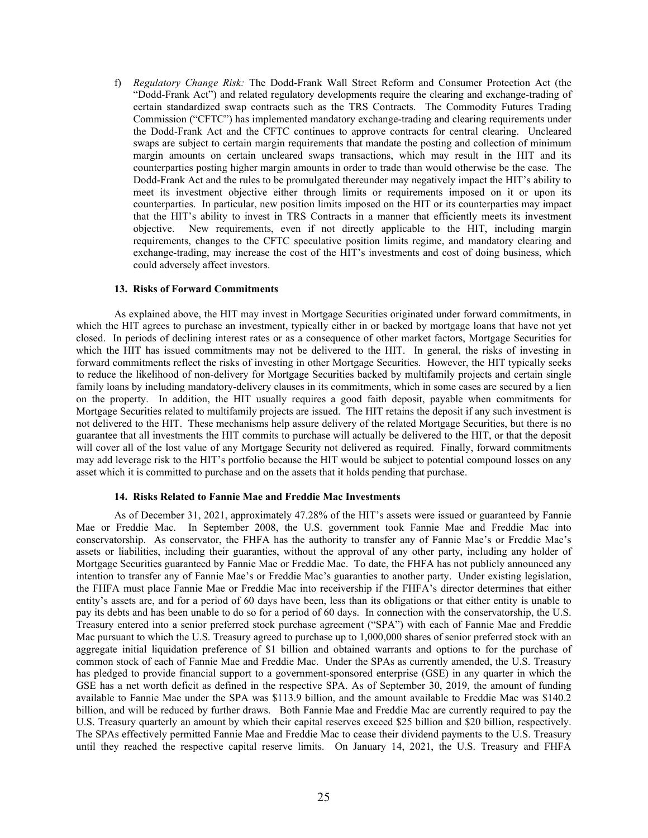f) *Regulatory Change Risk:* The Dodd-Frank Wall Street Reform and Consumer Protection Act (the "Dodd-Frank Act") and related regulatory developments require the clearing and exchange-trading of certain standardized swap contracts such as the TRS Contracts. The Commodity Futures Trading Commission ("CFTC") has implemented mandatory exchange-trading and clearing requirements under the Dodd-Frank Act and the CFTC continues to approve contracts for central clearing. Uncleared swaps are subject to certain margin requirements that mandate the posting and collection of minimum margin amounts on certain uncleared swaps transactions, which may result in the HIT and its counterparties posting higher margin amounts in order to trade than would otherwise be the case. The Dodd-Frank Act and the rules to be promulgated thereunder may negatively impact the HIT's ability to meet its investment objective either through limits or requirements imposed on it or upon its counterparties. In particular, new position limits imposed on the HIT or its counterparties may impact that the HIT's ability to invest in TRS Contracts in a manner that efficiently meets its investment objective. New requirements, even if not directly applicable to the HIT, including margin requirements, changes to the CFTC speculative position limits regime, and mandatory clearing and exchange-trading, may increase the cost of the HIT's investments and cost of doing business, which could adversely affect investors.

#### **13. Risks of Forward Commitments**

As explained above, the HIT may invest in Mortgage Securities originated under forward commitments, in which the HIT agrees to purchase an investment, typically either in or backed by mortgage loans that have not yet closed. In periods of declining interest rates or as a consequence of other market factors, Mortgage Securities for which the HIT has issued commitments may not be delivered to the HIT. In general, the risks of investing in forward commitments reflect the risks of investing in other Mortgage Securities. However, the HIT typically seeks to reduce the likelihood of non-delivery for Mortgage Securities backed by multifamily projects and certain single family loans by including mandatory-delivery clauses in its commitments, which in some cases are secured by a lien on the property. In addition, the HIT usually requires a good faith deposit, payable when commitments for Mortgage Securities related to multifamily projects are issued. The HIT retains the deposit if any such investment is not delivered to the HIT. These mechanisms help assure delivery of the related Mortgage Securities, but there is no guarantee that all investments the HIT commits to purchase will actually be delivered to the HIT, or that the deposit will cover all of the lost value of any Mortgage Security not delivered as required. Finally, forward commitments may add leverage risk to the HIT's portfolio because the HIT would be subject to potential compound losses on any asset which it is committed to purchase and on the assets that it holds pending that purchase.

#### **14. Risks Related to Fannie Mae and Freddie Mac Investments**

As of December 31, 2021, approximately 47.28% of the HIT's assets were issued or guaranteed by Fannie Mae or Freddie Mac. In September 2008, the U.S. government took Fannie Mae and Freddie Mac into conservatorship. As conservator, the FHFA has the authority to transfer any of Fannie Mae's or Freddie Mac's assets or liabilities, including their guaranties, without the approval of any other party, including any holder of Mortgage Securities guaranteed by Fannie Mae or Freddie Mac. To date, the FHFA has not publicly announced any intention to transfer any of Fannie Mae's or Freddie Mac's guaranties to another party. Under existing legislation, the FHFA must place Fannie Mae or Freddie Mac into receivership if the FHFA's director determines that either entity's assets are, and for a period of 60 days have been, less than its obligations or that either entity is unable to pay its debts and has been unable to do so for a period of 60 days. In connection with the conservatorship, the U.S. Treasury entered into a senior preferred stock purchase agreement ("SPA") with each of Fannie Mae and Freddie Mac pursuant to which the U.S. Treasury agreed to purchase up to 1,000,000 shares of senior preferred stock with an aggregate initial liquidation preference of \$1 billion and obtained warrants and options to for the purchase of common stock of each of Fannie Mae and Freddie Mac. Under the SPAs as currently amended, the U.S. Treasury has pledged to provide financial support to a government-sponsored enterprise (GSE) in any quarter in which the GSE has a net worth deficit as defined in the respective SPA. As of September 30, 2019, the amount of funding available to Fannie Mae under the SPA was \$113.9 billion, and the amount available to Freddie Mac was \$140.2 billion, and will be reduced by further draws. Both Fannie Mae and Freddie Mac are currently required to pay the U.S. Treasury quarterly an amount by which their capital reserves exceed \$25 billion and \$20 billion, respectively. The SPAs effectively permitted Fannie Mae and Freddie Mac to cease their dividend payments to the U.S. Treasury until they reached the respective capital reserve limits. On January 14, 2021, the U.S. Treasury and FHFA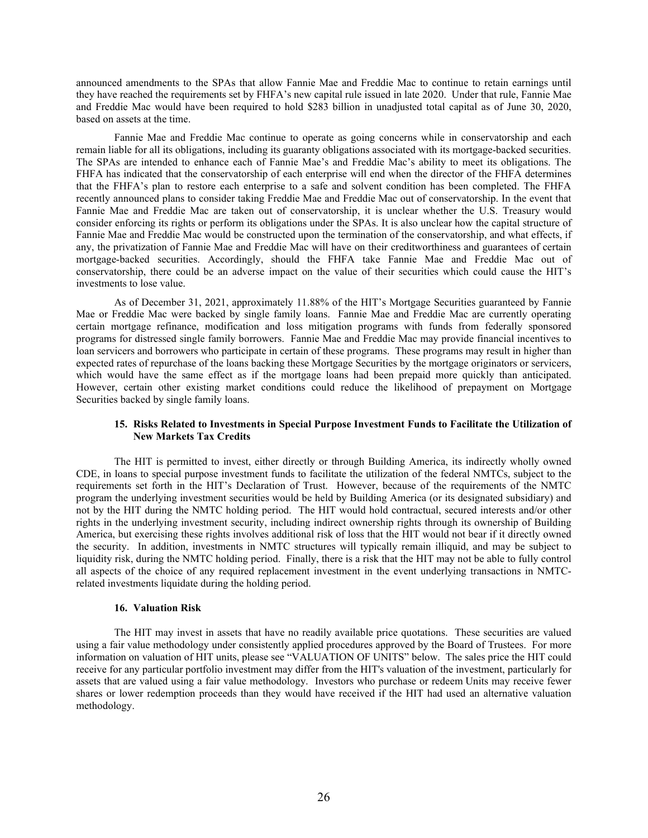announced amendments to the SPAs that allow Fannie Mae and Freddie Mac to continue to retain earnings until they have reached the requirements set by FHFA's new capital rule issued in late 2020. Under that rule, Fannie Mae and Freddie Mac would have been required to hold \$283 billion in unadjusted total capital as of June 30, 2020, based on assets at the time.

Fannie Mae and Freddie Mac continue to operate as going concerns while in conservatorship and each remain liable for all its obligations, including its guaranty obligations associated with its mortgage-backed securities. The SPAs are intended to enhance each of Fannie Mae's and Freddie Mac's ability to meet its obligations. The FHFA has indicated that the conservatorship of each enterprise will end when the director of the FHFA determines that the FHFA's plan to restore each enterprise to a safe and solvent condition has been completed. The FHFA recently announced plans to consider taking Freddie Mae and Freddie Mac out of conservatorship. In the event that Fannie Mae and Freddie Mac are taken out of conservatorship, it is unclear whether the U.S. Treasury would consider enforcing its rights or perform its obligations under the SPAs. It is also unclear how the capital structure of Fannie Mae and Freddie Mac would be constructed upon the termination of the conservatorship, and what effects, if any, the privatization of Fannie Mae and Freddie Mac will have on their creditworthiness and guarantees of certain mortgage-backed securities. Accordingly, should the FHFA take Fannie Mae and Freddie Mac out of conservatorship, there could be an adverse impact on the value of their securities which could cause the HIT's investments to lose value.

As of December 31, 2021, approximately 11.88% of the HIT's Mortgage Securities guaranteed by Fannie Mae or Freddie Mac were backed by single family loans. Fannie Mae and Freddie Mac are currently operating certain mortgage refinance, modification and loss mitigation programs with funds from federally sponsored programs for distressed single family borrowers. Fannie Mae and Freddie Mac may provide financial incentives to loan servicers and borrowers who participate in certain of these programs. These programs may result in higher than expected rates of repurchase of the loans backing these Mortgage Securities by the mortgage originators or servicers, which would have the same effect as if the mortgage loans had been prepaid more quickly than anticipated. However, certain other existing market conditions could reduce the likelihood of prepayment on Mortgage Securities backed by single family loans.

# **15. Risks Related to Investments in Special Purpose Investment Funds to Facilitate the Utilization of New Markets Tax Credits**

The HIT is permitted to invest, either directly or through Building America, its indirectly wholly owned CDE, in loans to special purpose investment funds to facilitate the utilization of the federal NMTCs, subject to the requirements set forth in the HIT's Declaration of Trust. However, because of the requirements of the NMTC program the underlying investment securities would be held by Building America (or its designated subsidiary) and not by the HIT during the NMTC holding period. The HIT would hold contractual, secured interests and/or other rights in the underlying investment security, including indirect ownership rights through its ownership of Building America, but exercising these rights involves additional risk of loss that the HIT would not bear if it directly owned the security. In addition, investments in NMTC structures will typically remain illiquid, and may be subject to liquidity risk, during the NMTC holding period. Finally, there is a risk that the HIT may not be able to fully control all aspects of the choice of any required replacement investment in the event underlying transactions in NMTCrelated investments liquidate during the holding period.

### **16. Valuation Risk**

The HIT may invest in assets that have no readily available price quotations. These securities are valued using a fair value methodology under consistently applied procedures approved by the Board of Trustees. For more information on valuation of HIT units, please see "VALUATION OF UNITS" below. The sales price the HIT could receive for any particular portfolio investment may differ from the HIT's valuation of the investment, particularly for assets that are valued using a fair value methodology. Investors who purchase or redeem Units may receive fewer shares or lower redemption proceeds than they would have received if the HIT had used an alternative valuation methodology.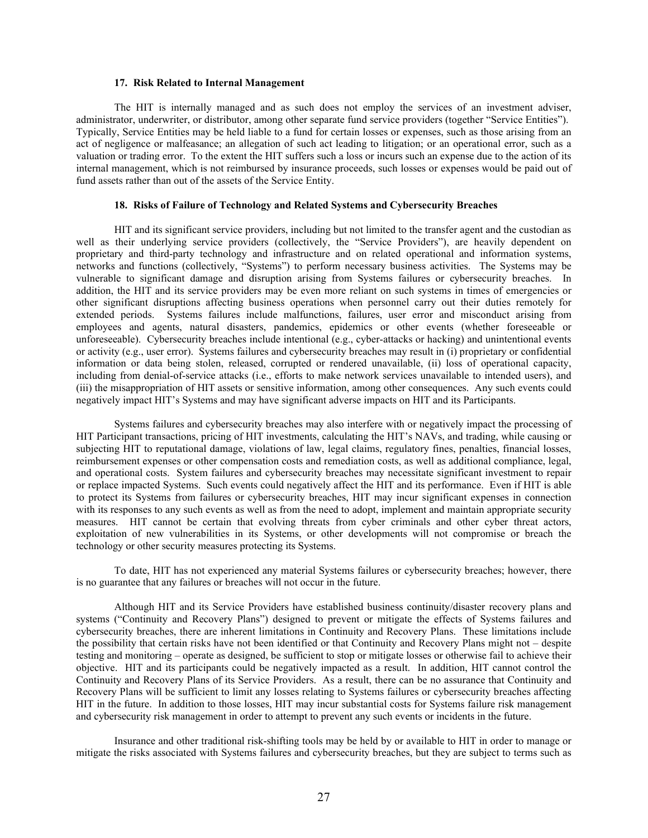#### **17. Risk Related to Internal Management**

The HIT is internally managed and as such does not employ the services of an investment adviser, administrator, underwriter, or distributor, among other separate fund service providers (together "Service Entities"). Typically, Service Entities may be held liable to a fund for certain losses or expenses, such as those arising from an act of negligence or malfeasance; an allegation of such act leading to litigation; or an operational error, such as a valuation or trading error. To the extent the HIT suffers such a loss or incurs such an expense due to the action of its internal management, which is not reimbursed by insurance proceeds, such losses or expenses would be paid out of fund assets rather than out of the assets of the Service Entity.

### **18. Risks of Failure of Technology and Related Systems and Cybersecurity Breaches**

HIT and its significant service providers, including but not limited to the transfer agent and the custodian as well as their underlying service providers (collectively, the "Service Providers"), are heavily dependent on proprietary and third-party technology and infrastructure and on related operational and information systems, networks and functions (collectively, "Systems") to perform necessary business activities. The Systems may be vulnerable to significant damage and disruption arising from Systems failures or cybersecurity breaches. In addition, the HIT and its service providers may be even more reliant on such systems in times of emergencies or other significant disruptions affecting business operations when personnel carry out their duties remotely for extended periods. Systems failures include malfunctions, failures, user error and misconduct arising from employees and agents, natural disasters, pandemics, epidemics or other events (whether foreseeable or unforeseeable). Cybersecurity breaches include intentional (e.g., cyber-attacks or hacking) and unintentional events or activity (e.g., user error). Systems failures and cybersecurity breaches may result in (i) proprietary or confidential information or data being stolen, released, corrupted or rendered unavailable, (ii) loss of operational capacity, including from denial-of-service attacks (i.e., efforts to make network services unavailable to intended users), and (iii) the misappropriation of HIT assets or sensitive information, among other consequences. Any such events could negatively impact HIT's Systems and may have significant adverse impacts on HIT and its Participants.

Systems failures and cybersecurity breaches may also interfere with or negatively impact the processing of HIT Participant transactions, pricing of HIT investments, calculating the HIT's NAVs, and trading, while causing or subjecting HIT to reputational damage, violations of law, legal claims, regulatory fines, penalties, financial losses, reimbursement expenses or other compensation costs and remediation costs, as well as additional compliance, legal, and operational costs. System failures and cybersecurity breaches may necessitate significant investment to repair or replace impacted Systems. Such events could negatively affect the HIT and its performance. Even if HIT is able to protect its Systems from failures or cybersecurity breaches, HIT may incur significant expenses in connection with its responses to any such events as well as from the need to adopt, implement and maintain appropriate security measures. HIT cannot be certain that evolving threats from cyber criminals and other cyber threat actors, exploitation of new vulnerabilities in its Systems, or other developments will not compromise or breach the technology or other security measures protecting its Systems.

To date, HIT has not experienced any material Systems failures or cybersecurity breaches; however, there is no guarantee that any failures or breaches will not occur in the future.

Although HIT and its Service Providers have established business continuity/disaster recovery plans and systems ("Continuity and Recovery Plans") designed to prevent or mitigate the effects of Systems failures and cybersecurity breaches, there are inherent limitations in Continuity and Recovery Plans. These limitations include the possibility that certain risks have not been identified or that Continuity and Recovery Plans might not – despite testing and monitoring – operate as designed, be sufficient to stop or mitigate losses or otherwise fail to achieve their objective. HIT and its participants could be negatively impacted as a result. In addition, HIT cannot control the Continuity and Recovery Plans of its Service Providers. As a result, there can be no assurance that Continuity and Recovery Plans will be sufficient to limit any losses relating to Systems failures or cybersecurity breaches affecting HIT in the future. In addition to those losses, HIT may incur substantial costs for Systems failure risk management and cybersecurity risk management in order to attempt to prevent any such events or incidents in the future.

Insurance and other traditional risk-shifting tools may be held by or available to HIT in order to manage or mitigate the risks associated with Systems failures and cybersecurity breaches, but they are subject to terms such as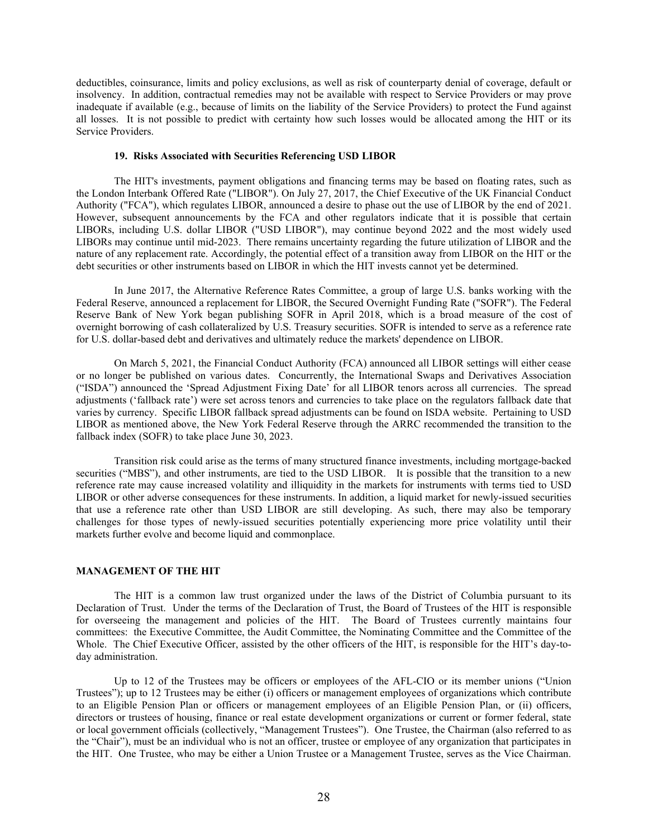deductibles, coinsurance, limits and policy exclusions, as well as risk of counterparty denial of coverage, default or insolvency. In addition, contractual remedies may not be available with respect to Service Providers or may prove inadequate if available (e.g., because of limits on the liability of the Service Providers) to protect the Fund against all losses. It is not possible to predict with certainty how such losses would be allocated among the HIT or its Service Providers.

### **19. Risks Associated with Securities Referencing USD LIBOR**

The HIT's investments, payment obligations and financing terms may be based on floating rates, such as the London Interbank Offered Rate ("LIBOR"). On July 27, 2017, the Chief Executive of the UK Financial Conduct Authority ("FCA"), which regulates LIBOR, announced a desire to phase out the use of LIBOR by the end of 2021. However, subsequent announcements by the FCA and other regulators indicate that it is possible that certain LIBORs, including U.S. dollar LIBOR ("USD LIBOR"), may continue beyond 2022 and the most widely used LIBORs may continue until mid-2023. There remains uncertainty regarding the future utilization of LIBOR and the nature of any replacement rate. Accordingly, the potential effect of a transition away from LIBOR on the HIT or the debt securities or other instruments based on LIBOR in which the HIT invests cannot yet be determined.

In June 2017, the Alternative Reference Rates Committee, a group of large U.S. banks working with the Federal Reserve, announced a replacement for LIBOR, the Secured Overnight Funding Rate ("SOFR"). The Federal Reserve Bank of New York began publishing SOFR in April 2018, which is a broad measure of the cost of overnight borrowing of cash collateralized by U.S. Treasury securities. SOFR is intended to serve as a reference rate for U.S. dollar-based debt and derivatives and ultimately reduce the markets' dependence on LIBOR.

On March 5, 2021, the Financial Conduct Authority (FCA) announced all LIBOR settings will either cease or no longer be published on various dates. Concurrently, the International Swaps and Derivatives Association ("ISDA") announced the 'Spread Adjustment Fixing Date' for all LIBOR tenors across all currencies. The spread adjustments ('fallback rate') were set across tenors and currencies to take place on the regulators fallback date that varies by currency. Specific LIBOR fallback spread adjustments can be found on ISDA website. Pertaining to USD LIBOR as mentioned above, the New York Federal Reserve through the ARRC recommended the transition to the fallback index (SOFR) to take place June 30, 2023.

Transition risk could arise as the terms of many structured finance investments, including mortgage-backed securities ("MBS"), and other instruments, are tied to the USD LIBOR. It is possible that the transition to a new reference rate may cause increased volatility and illiquidity in the markets for instruments with terms tied to USD LIBOR or other adverse consequences for these instruments. In addition, a liquid market for newly-issued securities that use a reference rate other than USD LIBOR are still developing. As such, there may also be temporary challenges for those types of newly-issued securities potentially experiencing more price volatility until their markets further evolve and become liquid and commonplace.

# **MANAGEMENT OF THE HIT**

The HIT is a common law trust organized under the laws of the District of Columbia pursuant to its Declaration of Trust. Under the terms of the Declaration of Trust, the Board of Trustees of the HIT is responsible for overseeing the management and policies of the HIT. The Board of Trustees currently maintains four committees: the Executive Committee, the Audit Committee, the Nominating Committee and the Committee of the Whole. The Chief Executive Officer, assisted by the other officers of the HIT, is responsible for the HIT's day-today administration.

Up to 12 of the Trustees may be officers or employees of the AFL-CIO or its member unions ("Union Trustees"); up to 12 Trustees may be either (i) officers or management employees of organizations which contribute to an Eligible Pension Plan or officers or management employees of an Eligible Pension Plan, or (ii) officers, directors or trustees of housing, finance or real estate development organizations or current or former federal, state or local government officials (collectively, "Management Trustees"). One Trustee, the Chairman (also referred to as the "Chair"), must be an individual who is not an officer, trustee or employee of any organization that participates in the HIT. One Trustee, who may be either a Union Trustee or a Management Trustee, serves as the Vice Chairman.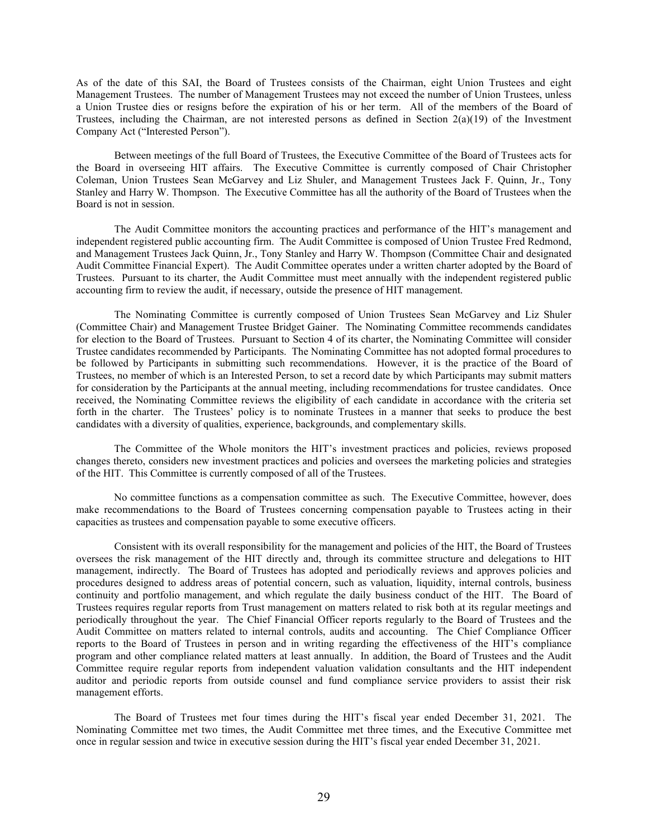As of the date of this SAI, the Board of Trustees consists of the Chairman, eight Union Trustees and eight Management Trustees. The number of Management Trustees may not exceed the number of Union Trustees, unless a Union Trustee dies or resigns before the expiration of his or her term. All of the members of the Board of Trustees, including the Chairman, are not interested persons as defined in Section 2(a)(19) of the Investment Company Act ("Interested Person").

Between meetings of the full Board of Trustees, the Executive Committee of the Board of Trustees acts for the Board in overseeing HIT affairs. The Executive Committee is currently composed of Chair Christopher Coleman, Union Trustees Sean McGarvey and Liz Shuler, and Management Trustees Jack F. Quinn, Jr., Tony Stanley and Harry W. Thompson. The Executive Committee has all the authority of the Board of Trustees when the Board is not in session.

The Audit Committee monitors the accounting practices and performance of the HIT's management and independent registered public accounting firm. The Audit Committee is composed of Union Trustee Fred Redmond, and Management Trustees Jack Quinn, Jr., Tony Stanley and Harry W. Thompson (Committee Chair and designated Audit Committee Financial Expert). The Audit Committee operates under a written charter adopted by the Board of Trustees. Pursuant to its charter, the Audit Committee must meet annually with the independent registered public accounting firm to review the audit, if necessary, outside the presence of HIT management.

The Nominating Committee is currently composed of Union Trustees Sean McGarvey and Liz Shuler (Committee Chair) and Management Trustee Bridget Gainer. The Nominating Committee recommends candidates for election to the Board of Trustees. Pursuant to Section 4 of its charter, the Nominating Committee will consider Trustee candidates recommended by Participants. The Nominating Committee has not adopted formal procedures to be followed by Participants in submitting such recommendations. However, it is the practice of the Board of Trustees, no member of which is an Interested Person, to set a record date by which Participants may submit matters for consideration by the Participants at the annual meeting, including recommendations for trustee candidates. Once received, the Nominating Committee reviews the eligibility of each candidate in accordance with the criteria set forth in the charter. The Trustees' policy is to nominate Trustees in a manner that seeks to produce the best candidates with a diversity of qualities, experience, backgrounds, and complementary skills.

The Committee of the Whole monitors the HIT's investment practices and policies, reviews proposed changes thereto, considers new investment practices and policies and oversees the marketing policies and strategies of the HIT. This Committee is currently composed of all of the Trustees.

No committee functions as a compensation committee as such. The Executive Committee, however, does make recommendations to the Board of Trustees concerning compensation payable to Trustees acting in their capacities as trustees and compensation payable to some executive officers.

Consistent with its overall responsibility for the management and policies of the HIT, the Board of Trustees oversees the risk management of the HIT directly and, through its committee structure and delegations to HIT management, indirectly. The Board of Trustees has adopted and periodically reviews and approves policies and procedures designed to address areas of potential concern, such as valuation, liquidity, internal controls, business continuity and portfolio management, and which regulate the daily business conduct of the HIT. The Board of Trustees requires regular reports from Trust management on matters related to risk both at its regular meetings and periodically throughout the year. The Chief Financial Officer reports regularly to the Board of Trustees and the Audit Committee on matters related to internal controls, audits and accounting. The Chief Compliance Officer reports to the Board of Trustees in person and in writing regarding the effectiveness of the HIT's compliance program and other compliance related matters at least annually. In addition, the Board of Trustees and the Audit Committee require regular reports from independent valuation validation consultants and the HIT independent auditor and periodic reports from outside counsel and fund compliance service providers to assist their risk management efforts.

The Board of Trustees met four times during the HIT's fiscal year ended December 31, 2021. The Nominating Committee met two times, the Audit Committee met three times, and the Executive Committee met once in regular session and twice in executive session during the HIT's fiscal year ended December 31, 2021.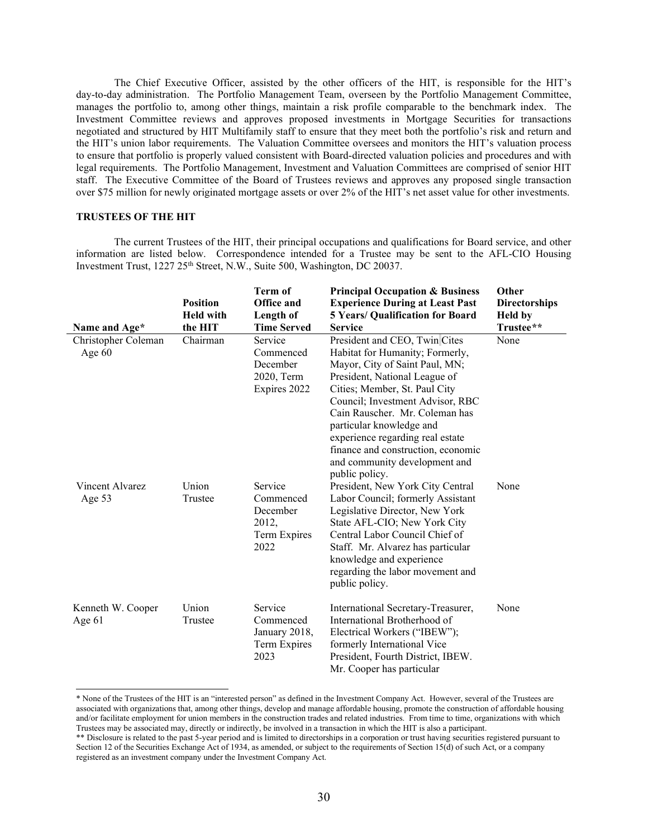The Chief Executive Officer, assisted by the other officers of the HIT, is responsible for the HIT's day-to-day administration. The Portfolio Management Team, overseen by the Portfolio Management Committee, manages the portfolio to, among other things, maintain a risk profile comparable to the benchmark index. The Investment Committee reviews and approves proposed investments in Mortgage Securities for transactions negotiated and structured by HIT Multifamily staff to ensure that they meet both the portfolio's risk and return and the HIT's union labor requirements. The Valuation Committee oversees and monitors the HIT's valuation process to ensure that portfolio is properly valued consistent with Board-directed valuation policies and procedures and with legal requirements. The Portfolio Management, Investment and Valuation Committees are comprised of senior HIT staff. The Executive Committee of the Board of Trustees reviews and approves any proposed single transaction over \$75 million for newly originated mortgage assets or over 2% of the HIT's net asset value for other investments.

### **TRUSTEES OF THE HIT**

The current Trustees of the HIT, their principal occupations and qualifications for Board service, and other information are listed below. Correspondence intended for a Trustee may be sent to the AFL-CIO Housing Investment Trust, 1227 25<sup>th</sup> Street, N.W., Suite 500, Washington, DC 20037.

|                                 | <b>Position</b><br><b>Held with</b> | <b>Term of</b><br>Office and<br>Length of                         | <b>Principal Occupation &amp; Business</b><br><b>Experience During at Least Past</b><br>5 Years/ Qualification for Board                                                                                                                                                                                                                                                                            | Other<br><b>Directorships</b><br><b>Held</b> by |
|---------------------------------|-------------------------------------|-------------------------------------------------------------------|-----------------------------------------------------------------------------------------------------------------------------------------------------------------------------------------------------------------------------------------------------------------------------------------------------------------------------------------------------------------------------------------------------|-------------------------------------------------|
| Name and Age*                   | the HIT                             | <b>Time Served</b>                                                | <b>Service</b>                                                                                                                                                                                                                                                                                                                                                                                      | Trustee**                                       |
| Christopher Coleman<br>Age $60$ | Chairman                            | Service<br>Commenced<br>December<br>2020, Term<br>Expires 2022    | President and CEO, Twin Cites<br>Habitat for Humanity; Formerly,<br>Mayor, City of Saint Paul, MN;<br>President, National League of<br>Cities; Member, St. Paul City<br>Council; Investment Advisor, RBC<br>Cain Rauscher. Mr. Coleman has<br>particular knowledge and<br>experience regarding real estate<br>finance and construction, economic<br>and community development and<br>public policy. | None                                            |
| Vincent Alvarez<br>Age 53       | Union<br>Trustee                    | Service<br>Commenced<br>December<br>2012,<br>Term Expires<br>2022 | President, New York City Central<br>Labor Council; formerly Assistant<br>Legislative Director, New York<br>State AFL-CIO; New York City<br>Central Labor Council Chief of<br>Staff. Mr. Alvarez has particular<br>knowledge and experience<br>regarding the labor movement and<br>public policy.                                                                                                    | None                                            |
| Kenneth W. Cooper<br>Age 61     | Union<br>Trustee                    | Service<br>Commenced<br>January 2018,<br>Term Expires<br>2023     | International Secretary-Treasurer,<br>International Brotherhood of<br>Electrical Workers ("IBEW");<br>formerly International Vice<br>President, Fourth District, IBEW.<br>Mr. Cooper has particular                                                                                                                                                                                                 | None                                            |

<span id="page-34-0"></span><sup>\*</sup> None of the Trustees of the HIT is an "interested person" as defined in the Investment Company Act. However, several of the Trustees are associated with organizations that, among other things, develop and manage affordable housing, promote the construction of affordable housing and/or facilitate employment for union members in the construction trades and related industries. From time to time, organizations with which Trustees may be associated may, directly or indirectly, be involved in a transaction in which the HIT is also a participant.

<span id="page-34-1"></span><sup>\*\*</sup> Disclosure is related to the past 5-year period and is limited to directorships in a corporation or trust having securities registered pursuant to Section 12 of the Securities Exchange Act of 1934, as amended, or subject to the requirements of Section 15(d) of such Act, or a company registered as an investment company under the Investment Company Act.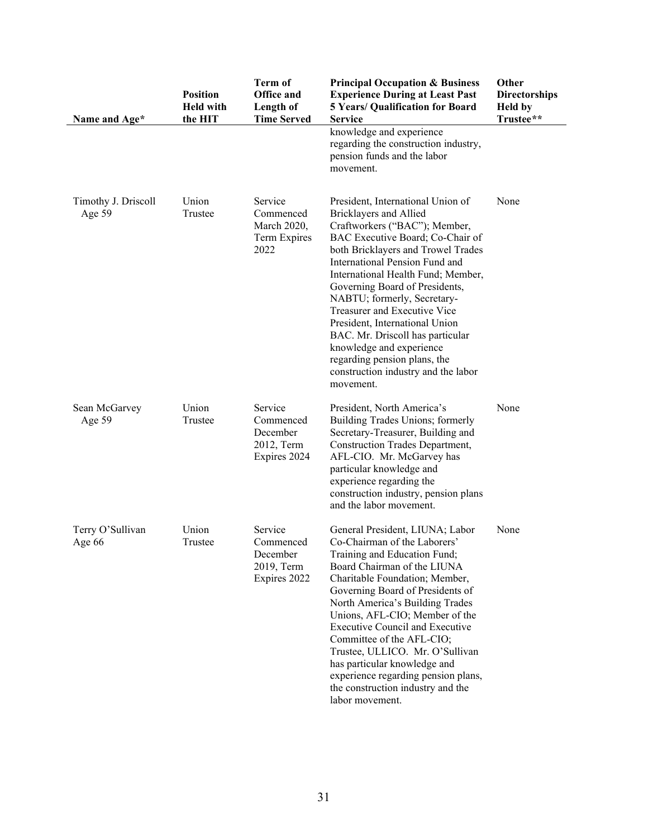| Name and Age*                 | <b>Position</b><br><b>Held with</b><br>the HIT | <b>Term of</b><br><b>Office and</b><br>Length of<br><b>Time Served</b> | <b>Principal Occupation &amp; Business</b><br><b>Experience During at Least Past</b><br><b>5 Years/ Qualification for Board</b><br><b>Service</b><br>knowledge and experience<br>regarding the construction industry,<br>pension funds and the labor<br>movement.                                                                                                                                                                                                                                                                     | Other<br><b>Directorships</b><br><b>Held</b> by<br>Trustee** |
|-------------------------------|------------------------------------------------|------------------------------------------------------------------------|---------------------------------------------------------------------------------------------------------------------------------------------------------------------------------------------------------------------------------------------------------------------------------------------------------------------------------------------------------------------------------------------------------------------------------------------------------------------------------------------------------------------------------------|--------------------------------------------------------------|
| Timothy J. Driscoll<br>Age 59 | Union<br>Trustee                               | Service<br>Commenced<br>March 2020,<br>Term Expires<br>2022            | President, International Union of<br>Bricklayers and Allied<br>Craftworkers ("BAC"); Member,<br>BAC Executive Board; Co-Chair of<br>both Bricklayers and Trowel Trades<br>International Pension Fund and<br>International Health Fund; Member,<br>Governing Board of Presidents,<br>NABTU; formerly, Secretary-<br>Treasurer and Executive Vice<br>President, International Union<br>BAC. Mr. Driscoll has particular<br>knowledge and experience<br>regarding pension plans, the<br>construction industry and the labor<br>movement. | None                                                         |
| Sean McGarvey<br>Age 59       | Union<br>Trustee                               | Service<br>Commenced<br>December<br>2012, Term<br>Expires 2024         | President, North America's<br>Building Trades Unions; formerly<br>Secretary-Treasurer, Building and<br>Construction Trades Department,<br>AFL-CIO. Mr. McGarvey has<br>particular knowledge and<br>experience regarding the<br>construction industry, pension plans<br>and the labor movement.                                                                                                                                                                                                                                        | None                                                         |
| Terry O'Sullivan<br>Age 66    | Union<br>Trustee                               | Service<br>Commenced<br>December<br>2019, Term<br>Expires 2022         | General President, LIUNA; Labor<br>Co-Chairman of the Laborers'<br>Training and Education Fund;<br>Board Chairman of the LIUNA<br>Charitable Foundation; Member,<br>Governing Board of Presidents of<br>North America's Building Trades<br>Unions, AFL-CIO; Member of the<br><b>Executive Council and Executive</b><br>Committee of the AFL-CIO;<br>Trustee, ULLICO. Mr. O'Sullivan<br>has particular knowledge and<br>experience regarding pension plans,<br>the construction industry and the<br>labor movement.                    | None                                                         |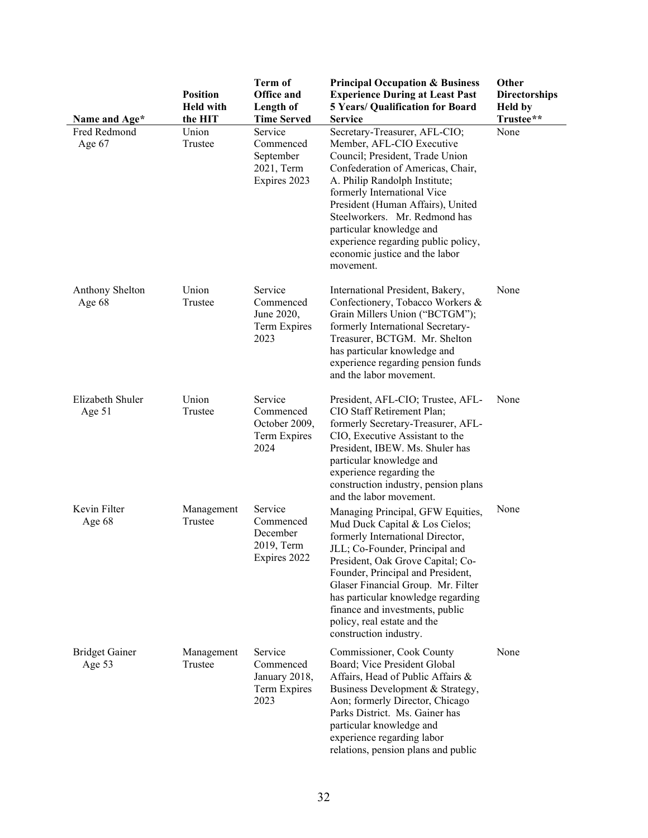| Name and Age*                     | <b>Position</b><br><b>Held with</b><br>the HIT | <b>Term of</b><br><b>Office and</b><br>Length of<br><b>Time Served</b> | <b>Principal Occupation &amp; Business</b><br><b>Experience During at Least Past</b><br><b>5 Years/ Qualification for Board</b><br><b>Service</b>                                                                                                                                                                                                                                           | Other<br><b>Directorships</b><br><b>Held by</b><br>Trustee** |
|-----------------------------------|------------------------------------------------|------------------------------------------------------------------------|---------------------------------------------------------------------------------------------------------------------------------------------------------------------------------------------------------------------------------------------------------------------------------------------------------------------------------------------------------------------------------------------|--------------------------------------------------------------|
| Fred Redmond<br>Age 67            | Union<br>Trustee                               | Service<br>Commenced<br>September<br>2021, Term<br>Expires 2023        | Secretary-Treasurer, AFL-CIO;<br>Member, AFL-CIO Executive<br>Council; President, Trade Union<br>Confederation of Americas, Chair,<br>A. Philip Randolph Institute;<br>formerly International Vice<br>President (Human Affairs), United<br>Steelworkers. Mr. Redmond has<br>particular knowledge and<br>experience regarding public policy,<br>economic justice and the labor<br>movement.  | None                                                         |
| Anthony Shelton<br>Age 68         | Union<br>Trustee                               | Service<br>Commenced<br>June 2020,<br>Term Expires<br>2023             | International President, Bakery,<br>Confectionery, Tobacco Workers &<br>Grain Millers Union ("BCTGM");<br>formerly International Secretary-<br>Treasurer, BCTGM. Mr. Shelton<br>has particular knowledge and<br>experience regarding pension funds<br>and the labor movement.                                                                                                               | None                                                         |
| Elizabeth Shuler<br>Age 51        | Union<br>Trustee                               | Service<br>Commenced<br>October 2009,<br>Term Expires<br>2024          | President, AFL-CIO; Trustee, AFL-<br>CIO Staff Retirement Plan;<br>formerly Secretary-Treasurer, AFL-<br>CIO, Executive Assistant to the<br>President, IBEW. Ms. Shuler has<br>particular knowledge and<br>experience regarding the<br>construction industry, pension plans<br>and the labor movement.                                                                                      | None                                                         |
| Kevin Filter<br>Age 68            | Management<br>Trustee                          | Service<br>Commenced<br>December<br>2019, Term<br>Expires 2022         | Managing Principal, GFW Equities,<br>Mud Duck Capital & Los Cielos;<br>formerly International Director,<br>JLL; Co-Founder, Principal and<br>President, Oak Grove Capital; Co-<br>Founder, Principal and President,<br>Glaser Financial Group. Mr. Filter<br>has particular knowledge regarding<br>finance and investments, public<br>policy, real estate and the<br>construction industry. | None                                                         |
| <b>Bridget Gainer</b><br>Age $53$ | Management<br>Trustee                          | Service<br>Commenced<br>January 2018,<br>Term Expires<br>2023          | Commissioner, Cook County<br>Board; Vice President Global<br>Affairs, Head of Public Affairs &<br>Business Development & Strategy,<br>Aon; formerly Director, Chicago<br>Parks District. Ms. Gainer has<br>particular knowledge and<br>experience regarding labor<br>relations, pension plans and public                                                                                    | None                                                         |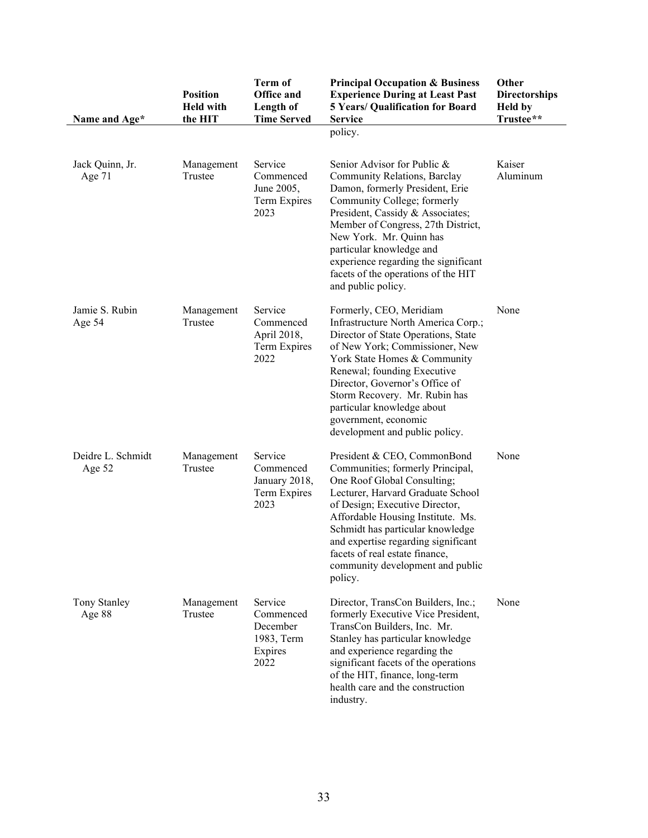| Name and Age*               | <b>Position</b><br><b>Held with</b><br>the HIT | <b>Term of</b><br><b>Office and</b><br>Length of<br><b>Time Served</b> | <b>Principal Occupation &amp; Business</b><br><b>Experience During at Least Past</b><br><b>5 Years/ Qualification for Board</b><br><b>Service</b><br>policy.                                                                                                                                                                                                           | Other<br><b>Directorships</b><br><b>Held</b> by<br>Trustee** |
|-----------------------------|------------------------------------------------|------------------------------------------------------------------------|------------------------------------------------------------------------------------------------------------------------------------------------------------------------------------------------------------------------------------------------------------------------------------------------------------------------------------------------------------------------|--------------------------------------------------------------|
| Jack Quinn, Jr.<br>Age 71   | Management<br>Trustee                          | Service<br>Commenced<br>June 2005,<br>Term Expires<br>2023             | Senior Advisor for Public &<br>Community Relations, Barclay<br>Damon, formerly President, Erie<br>Community College; formerly<br>President, Cassidy & Associates;<br>Member of Congress, 27th District,<br>New York. Mr. Quinn has<br>particular knowledge and<br>experience regarding the significant<br>facets of the operations of the HIT<br>and public policy.    | Kaiser<br>Aluminum                                           |
| Jamie S. Rubin<br>Age 54    | Management<br>Trustee                          | Service<br>Commenced<br>April 2018,<br>Term Expires<br>2022            | Formerly, CEO, Meridiam<br>Infrastructure North America Corp.;<br>Director of State Operations, State<br>of New York; Commissioner, New<br>York State Homes & Community<br>Renewal; founding Executive<br>Director, Governor's Office of<br>Storm Recovery. Mr. Rubin has<br>particular knowledge about<br>government, economic<br>development and public policy.      | None                                                         |
| Deidre L. Schmidt<br>Age 52 | Management<br>Trustee                          | Service<br>Commenced<br>January 2018,<br>Term Expires<br>2023          | President & CEO, CommonBond<br>Communities; formerly Principal,<br>One Roof Global Consulting;<br>Lecturer, Harvard Graduate School<br>of Design; Executive Director,<br>Affordable Housing Institute. Ms.<br>Schmidt has particular knowledge<br>and expertise regarding significant<br>facets of real estate finance,<br>community development and public<br>policy. | None                                                         |
| Tony Stanley<br>Age 88      | Management<br>Trustee                          | Service<br>Commenced<br>December<br>1983, Term<br>Expires<br>2022      | Director, TransCon Builders, Inc.;<br>formerly Executive Vice President,<br>TransCon Builders, Inc. Mr.<br>Stanley has particular knowledge<br>and experience regarding the<br>significant facets of the operations<br>of the HIT, finance, long-term<br>health care and the construction<br>industry.                                                                 | None                                                         |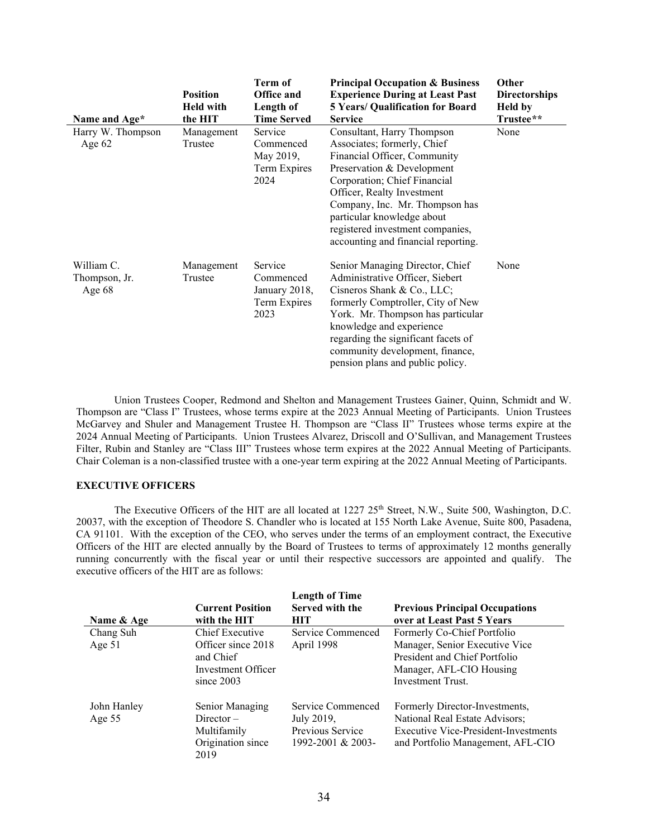| Name and Age*                           | <b>Position</b><br><b>Held with</b><br>the HIT | Term of<br><b>Office and</b><br>Length of<br><b>Time Served</b> | <b>Principal Occupation &amp; Business</b><br><b>Experience During at Least Past</b><br><b>5 Years/ Qualification for Board</b><br><b>Service</b>                                                                                                                                                                                | Other<br><b>Directorships</b><br><b>Held</b> by<br>Trustee** |
|-----------------------------------------|------------------------------------------------|-----------------------------------------------------------------|----------------------------------------------------------------------------------------------------------------------------------------------------------------------------------------------------------------------------------------------------------------------------------------------------------------------------------|--------------------------------------------------------------|
| Harry W. Thompson<br>Age $62$           | Management<br>Trustee                          | Service<br>Commenced<br>May 2019,<br>Term Expires<br>2024       | Consultant, Harry Thompson<br>Associates; formerly, Chief<br>Financial Officer, Community<br>Preservation & Development<br>Corporation; Chief Financial<br>Officer, Realty Investment<br>Company, Inc. Mr. Thompson has<br>particular knowledge about<br>registered investment companies,<br>accounting and financial reporting. | None                                                         |
| William C.<br>Thompson, Jr.<br>Age $68$ | Management<br>Trustee                          | Service<br>Commenced<br>January 2018,<br>Term Expires<br>2023   | Senior Managing Director, Chief<br>Administrative Officer, Siebert<br>Cisneros Shank & Co., LLC;<br>formerly Comptroller, City of New<br>York. Mr. Thompson has particular<br>knowledge and experience<br>regarding the significant facets of<br>community development, finance,<br>pension plans and public policy.             | None                                                         |

Union Trustees Cooper, Redmond and Shelton and Management Trustees Gainer, Quinn, Schmidt and W. Thompson are "Class I" Trustees, whose terms expire at the 2023 Annual Meeting of Participants. Union Trustees McGarvey and Shuler and Management Trustee H. Thompson are "Class II" Trustees whose terms expire at the 2024 Annual Meeting of Participants. Union Trustees Alvarez, Driscoll and O'Sullivan, and Management Trustees Filter, Rubin and Stanley are "Class III" Trustees whose term expires at the 2022 Annual Meeting of Participants. Chair Coleman is a non-classified trustee with a one-year term expiring at the 2022 Annual Meeting of Participants.

### **EXECUTIVE OFFICERS**

The Executive Officers of the HIT are all located at 1227 25<sup>th</sup> Street, N.W., Suite 500, Washington, D.C. 20037, with the exception of Theodore S. Chandler who is located at 155 North Lake Avenue, Suite 800, Pasadena, CA 91101. With the exception of the CEO, who serves under the terms of an employment contract, the Executive Officers of the HIT are elected annually by the Board of Trustees to terms of approximately 12 months generally running concurrently with the fiscal year or until their respective successors are appointed and qualify. The executive officers of the HIT are as follows:

| Name & Age              | <b>Current Position</b><br>with the HIT                                                  | <b>Length of Time</b><br>Served with the<br>HІТ                          | <b>Previous Principal Occupations</b><br>over at Least Past 5 Years                                                                                    |
|-------------------------|------------------------------------------------------------------------------------------|--------------------------------------------------------------------------|--------------------------------------------------------------------------------------------------------------------------------------------------------|
| Chang Suh<br>Age $51$   | Chief Executive<br>Officer since 2018<br>and Chief<br>Investment Officer<br>since $2003$ | Service Commenced<br>April 1998                                          | Formerly Co-Chief Portfolio<br>Manager, Senior Executive Vice<br>President and Chief Portfolio<br>Manager, AFL-CIO Housing<br><b>Investment Trust.</b> |
| John Hanley<br>Age $55$ | Senior Managing<br>$Director -$<br>Multifamily<br>Origination since<br>2019              | Service Commenced<br>July 2019,<br>Previous Service<br>1992-2001 & 2003- | Formerly Director-Investments,<br>National Real Estate Advisors;<br>Executive Vice-President-Investments<br>and Portfolio Management, AFL-CIO          |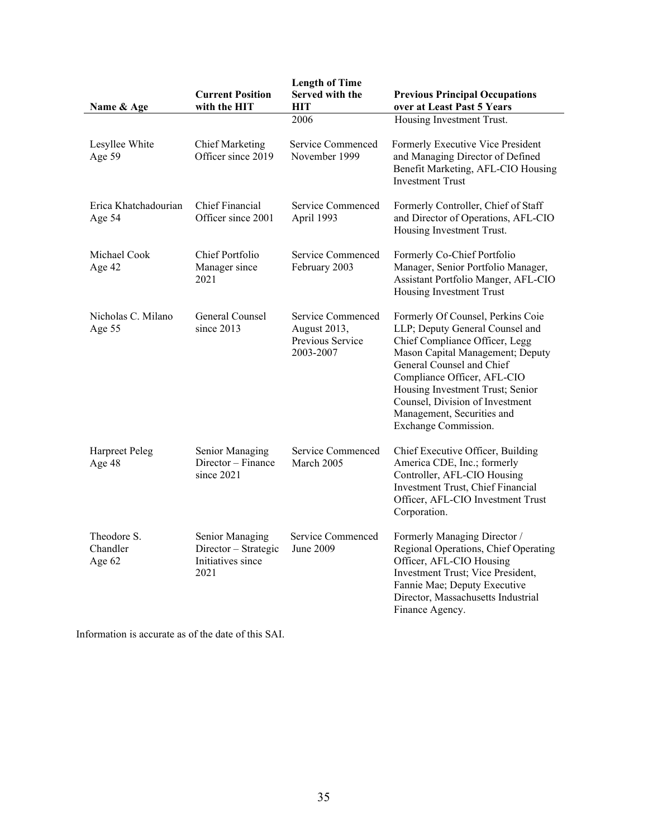| Name & Age                        | <b>Current Position</b><br>with the HIT                              | <b>Length of Time</b><br>Served with the<br>HІТ                    | <b>Previous Principal Occupations</b><br>over at Least Past 5 Years                                                                                                                                                                                                                                                                 |
|-----------------------------------|----------------------------------------------------------------------|--------------------------------------------------------------------|-------------------------------------------------------------------------------------------------------------------------------------------------------------------------------------------------------------------------------------------------------------------------------------------------------------------------------------|
|                                   |                                                                      | 2006                                                               | Housing Investment Trust.                                                                                                                                                                                                                                                                                                           |
| Lesyllee White<br>Age 59          | <b>Chief Marketing</b><br>Officer since 2019                         | Service Commenced<br>November 1999                                 | Formerly Executive Vice President<br>and Managing Director of Defined<br>Benefit Marketing, AFL-CIO Housing<br><b>Investment Trust</b>                                                                                                                                                                                              |
| Erica Khatchadourian<br>Age 54    | <b>Chief Financial</b><br>Officer since 2001                         | Service Commenced<br>April 1993                                    | Formerly Controller, Chief of Staff<br>and Director of Operations, AFL-CIO<br>Housing Investment Trust.                                                                                                                                                                                                                             |
| Michael Cook<br>Age 42            | Chief Portfolio<br>Manager since<br>2021                             | Service Commenced<br>February 2003                                 | Formerly Co-Chief Portfolio<br>Manager, Senior Portfolio Manager,<br>Assistant Portfolio Manger, AFL-CIO<br>Housing Investment Trust                                                                                                                                                                                                |
| Nicholas C. Milano<br>Age 55      | General Counsel<br>since $2013$                                      | Service Commenced<br>August 2013,<br>Previous Service<br>2003-2007 | Formerly Of Counsel, Perkins Coie<br>LLP; Deputy General Counsel and<br>Chief Compliance Officer, Legg<br>Mason Capital Management; Deputy<br>General Counsel and Chief<br>Compliance Officer, AFL-CIO<br>Housing Investment Trust; Senior<br>Counsel, Division of Investment<br>Management, Securities and<br>Exchange Commission. |
| Harpreet Peleg<br>Age 48          | Senior Managing<br>Director - Finance<br>since 2021                  | Service Commenced<br>March 2005                                    | Chief Executive Officer, Building<br>America CDE, Inc.; formerly<br>Controller, AFL-CIO Housing<br>Investment Trust, Chief Financial<br>Officer, AFL-CIO Investment Trust<br>Corporation.                                                                                                                                           |
| Theodore S.<br>Chandler<br>Age 62 | Senior Managing<br>Director - Strategic<br>Initiatives since<br>2021 | Service Commenced<br>June 2009                                     | Formerly Managing Director /<br>Regional Operations, Chief Operating<br>Officer, AFL-CIO Housing<br>Investment Trust; Vice President,<br>Fannie Mae; Deputy Executive<br>Director, Massachusetts Industrial<br>Finance Agency.                                                                                                      |

Information is accurate as of the date of this SAI.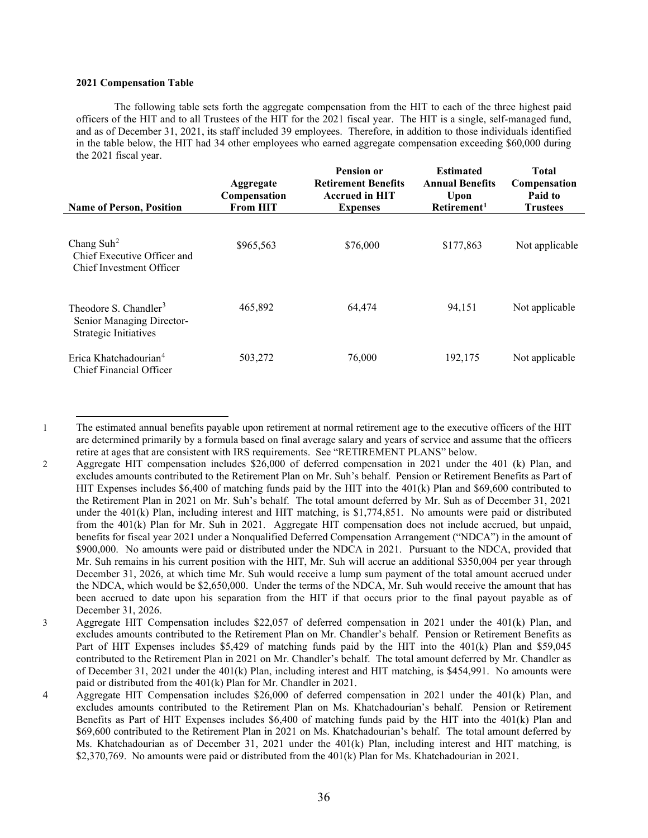### **2021 Compensation Table**

The following table sets forth the aggregate compensation from the HIT to each of the three highest paid officers of the HIT and to all Trustees of the HIT for the 2021 fiscal year. The HIT is a single, self-managed fund, and as of December 31, 2021, its staff included 39 employees. Therefore, in addition to those individuals identified in the table below, the HIT had 34 other employees who earned aggregate compensation exceeding \$60,000 during the 2021 fiscal year.

| <b>Name of Person, Position</b>                                                         | Aggregate<br>Compensation<br><b>From HIT</b> | <b>Pension or</b><br><b>Retirement Benefits</b><br><b>Accrued in HIT</b><br><b>Expenses</b> | <b>Estimated</b><br><b>Annual Benefits</b><br>Upon<br>Retirement <sup>1</sup> | Total<br>Compensation<br>Paid to<br>Trustees |
|-----------------------------------------------------------------------------------------|----------------------------------------------|---------------------------------------------------------------------------------------------|-------------------------------------------------------------------------------|----------------------------------------------|
| Chang Suh <sup>2</sup><br>Chief Executive Officer and<br>Chief Investment Officer       | \$965,563                                    | \$76,000                                                                                    | \$177,863                                                                     | Not applicable                               |
| Theodore S. Chandler <sup>3</sup><br>Senior Managing Director-<br>Strategic Initiatives | 465,892                                      | 64,474                                                                                      | 94,151                                                                        | Not applicable                               |
| Erica Khatchadourian <sup>4</sup><br>Chief Financial Officer                            | 503,272                                      | 76,000                                                                                      | 192,175                                                                       | Not applicable                               |

<span id="page-40-0"></span><sup>1</sup> The estimated annual benefits payable upon retirement at normal retirement age to the executive officers of the HIT are determined primarily by a formula based on final average salary and years of service and assume that the officers retire at ages that are consistent with IRS requirements. See "RETIREMENT PLANS" below.

<span id="page-40-1"></span><sup>2</sup> Aggregate HIT compensation includes \$26,000 of deferred compensation in 2021 under the 401 (k) Plan, and excludes amounts contributed to the Retirement Plan on Mr. Suh's behalf. Pension or Retirement Benefits as Part of HIT Expenses includes \$6,400 of matching funds paid by the HIT into the 401(k) Plan and \$69,600 contributed to the Retirement Plan in 2021 on Mr. Suh's behalf. The total amount deferred by Mr. Suh as of December 31, 2021 under the 401(k) Plan, including interest and HIT matching, is \$1,774,851. No amounts were paid or distributed from the 401(k) Plan for Mr. Suh in 2021. Aggregate HIT compensation does not include accrued, but unpaid, benefits for fiscal year 2021 under a Nonqualified Deferred Compensation Arrangement ("NDCA") in the amount of \$900,000. No amounts were paid or distributed under the NDCA in 2021. Pursuant to the NDCA, provided that Mr. Suh remains in his current position with the HIT, Mr. Suh will accrue an additional \$350,004 per year through December 31, 2026, at which time Mr. Suh would receive a lump sum payment of the total amount accrued under the NDCA, which would be \$2,650,000. Under the terms of the NDCA, Mr. Suh would receive the amount that has been accrued to date upon his separation from the HIT if that occurs prior to the final payout payable as of December 31, 2026.

<span id="page-40-2"></span><sup>3</sup> Aggregate HIT Compensation includes \$22,057 of deferred compensation in 2021 under the 401(k) Plan, and excludes amounts contributed to the Retirement Plan on Mr. Chandler's behalf. Pension or Retirement Benefits as Part of HIT Expenses includes \$5,429 of matching funds paid by the HIT into the 401(k) Plan and \$59,045 contributed to the Retirement Plan in 2021 on Mr. Chandler's behalf. The total amount deferred by Mr. Chandler as of December 31, 2021 under the 401(k) Plan, including interest and HIT matching, is \$454,991. No amounts were paid or distributed from the 401(k) Plan for Mr. Chandler in 2021.

<span id="page-40-3"></span><sup>4</sup> Aggregate HIT Compensation includes \$26,000 of deferred compensation in 2021 under the 401(k) Plan, and excludes amounts contributed to the Retirement Plan on Ms. Khatchadourian's behalf. Pension or Retirement Benefits as Part of HIT Expenses includes \$6,400 of matching funds paid by the HIT into the 401(k) Plan and \$69,600 contributed to the Retirement Plan in 2021 on Ms. Khatchadourian's behalf. The total amount deferred by Ms. Khatchadourian as of December 31, 2021 under the 401(k) Plan, including interest and HIT matching, is \$2,370,769. No amounts were paid or distributed from the 401(k) Plan for Ms. Khatchadourian in 2021.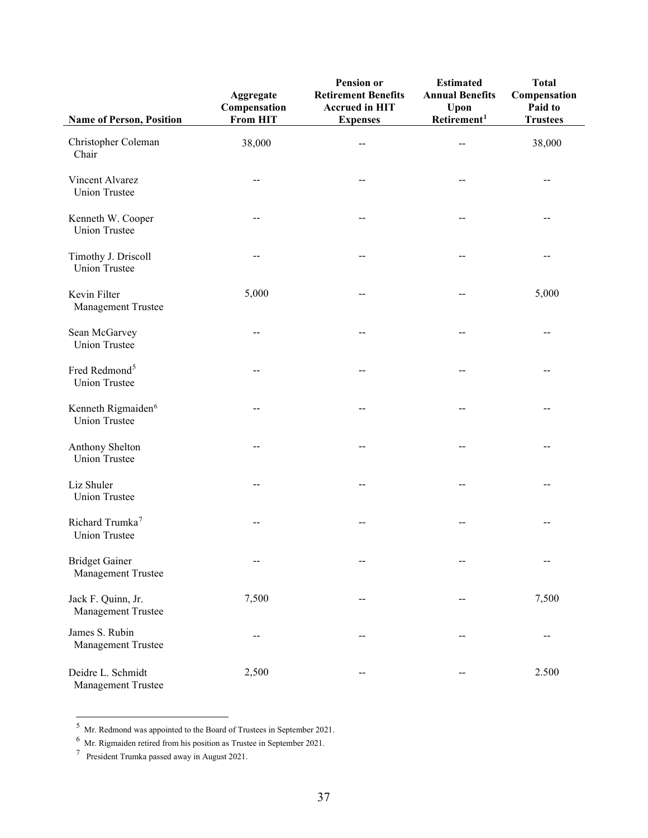| <b>Name of Person, Position</b>                        | Aggregate<br>Compensation<br><b>From HIT</b> | Pension or<br><b>Retirement Benefits</b><br><b>Accrued in HIT</b><br><b>Expenses</b> | <b>Estimated</b><br><b>Annual Benefits</b><br>Upon<br>$R$ etirement <sup>1</sup> | <b>Total</b><br>Compensation<br>Paid to<br><b>Trustees</b> |
|--------------------------------------------------------|----------------------------------------------|--------------------------------------------------------------------------------------|----------------------------------------------------------------------------------|------------------------------------------------------------|
| Christopher Coleman<br>Chair                           | 38,000                                       | $-$                                                                                  | $-$                                                                              | 38,000                                                     |
| Vincent Alvarez<br><b>Union Trustee</b>                |                                              |                                                                                      |                                                                                  |                                                            |
| Kenneth W. Cooper<br><b>Union Trustee</b>              |                                              |                                                                                      |                                                                                  |                                                            |
| Timothy J. Driscoll<br><b>Union Trustee</b>            |                                              |                                                                                      |                                                                                  | --                                                         |
| Kevin Filter<br>Management Trustee                     | 5,000                                        |                                                                                      |                                                                                  | 5,000                                                      |
| Sean McGarvey<br><b>Union Trustee</b>                  |                                              |                                                                                      |                                                                                  |                                                            |
| Fred Redmond <sup>5</sup><br><b>Union Trustee</b>      |                                              |                                                                                      |                                                                                  |                                                            |
| Kenneth Rigmaiden <sup>6</sup><br><b>Union Trustee</b> |                                              |                                                                                      |                                                                                  |                                                            |
| Anthony Shelton<br><b>Union Trustee</b>                |                                              |                                                                                      |                                                                                  |                                                            |
| Liz Shuler<br><b>Union Trustee</b>                     |                                              |                                                                                      |                                                                                  |                                                            |
| Richard Trumka <sup>7</sup><br><b>Union Trustee</b>    |                                              |                                                                                      |                                                                                  | --                                                         |
| <b>Bridget Gainer</b><br>Management Trustee            | --                                           |                                                                                      | --                                                                               | $-$                                                        |
| Jack F. Quinn, Jr.<br>Management Trustee               | 7,500                                        | --                                                                                   | --                                                                               | 7,500                                                      |
| James S. Rubin<br>Management Trustee                   | --                                           |                                                                                      | --                                                                               | --                                                         |
| Deidre L. Schmidt<br>Management Trustee                | 2,500                                        |                                                                                      | --                                                                               | 2.500                                                      |

<span id="page-41-0"></span><sup>&</sup>lt;sup>5</sup> Mr. Redmond was appointed to the Board of Trustees in September 2021.

<span id="page-41-1"></span> $^6$  Mr. Rigmaiden retired from his position as Trustee in September 2021.

<span id="page-41-2"></span> $7$  President Trumka passed away in August 2021.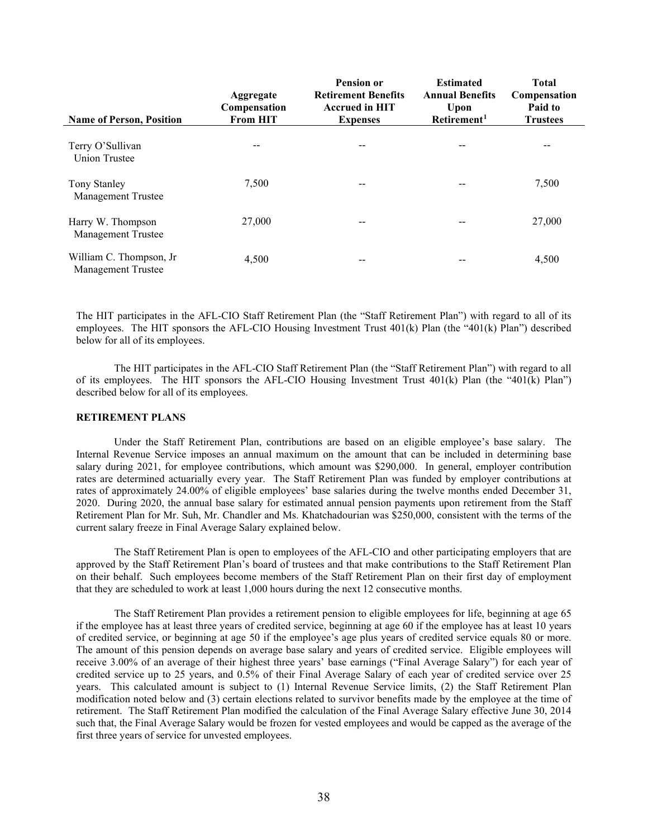| <b>Name of Person, Position</b>                      | Aggregate<br>Compensation<br><b>From HIT</b> | <b>Pension or</b><br><b>Retirement Benefits</b><br><b>Accrued in HIT</b><br><b>Expenses</b> | <b>Estimated</b><br><b>Annual Benefits</b><br>Upon<br>Retirement <sup>1</sup> | <b>Total</b><br>Compensation<br>Paid to<br><b>Trustees</b> |
|------------------------------------------------------|----------------------------------------------|---------------------------------------------------------------------------------------------|-------------------------------------------------------------------------------|------------------------------------------------------------|
| Terry O'Sullivan<br>Union Trustee                    |                                              |                                                                                             | --                                                                            | --                                                         |
| Tony Stanley<br><b>Management Trustee</b>            | 7,500                                        | --                                                                                          | --                                                                            | 7,500                                                      |
| Harry W. Thompson<br><b>Management Trustee</b>       | 27,000                                       | $- -$                                                                                       | --                                                                            | 27,000                                                     |
| William C. Thompson, Jr<br><b>Management Trustee</b> | 4,500                                        | --                                                                                          |                                                                               | 4,500                                                      |

The HIT participates in the AFL-CIO Staff Retirement Plan (the "Staff Retirement Plan") with regard to all of its employees. The HIT sponsors the AFL-CIO Housing Investment Trust 401(k) Plan (the "401(k) Plan") described below for all of its employees.

The HIT participates in the AFL-CIO Staff Retirement Plan (the "Staff Retirement Plan") with regard to all of its employees. The HIT sponsors the AFL-CIO Housing Investment Trust 401(k) Plan (the "401(k) Plan") described below for all of its employees.

### **RETIREMENT PLANS**

Under the Staff Retirement Plan, contributions are based on an eligible employee's base salary. The Internal Revenue Service imposes an annual maximum on the amount that can be included in determining base salary during 2021, for employee contributions, which amount was \$290,000. In general, employer contribution rates are determined actuarially every year. The Staff Retirement Plan was funded by employer contributions at rates of approximately 24.00% of eligible employees' base salaries during the twelve months ended December 31, 2020. During 2020, the annual base salary for estimated annual pension payments upon retirement from the Staff Retirement Plan for Mr. Suh, Mr. Chandler and Ms. Khatchadourian was \$250,000, consistent with the terms of the current salary freeze in Final Average Salary explained below.

The Staff Retirement Plan is open to employees of the AFL-CIO and other participating employers that are approved by the Staff Retirement Plan's board of trustees and that make contributions to the Staff Retirement Plan on their behalf. Such employees become members of the Staff Retirement Plan on their first day of employment that they are scheduled to work at least 1,000 hours during the next 12 consecutive months.

The Staff Retirement Plan provides a retirement pension to eligible employees for life, beginning at age 65 if the employee has at least three years of credited service, beginning at age 60 if the employee has at least 10 years of credited service, or beginning at age 50 if the employee's age plus years of credited service equals 80 or more. The amount of this pension depends on average base salary and years of credited service. Eligible employees will receive 3.00% of an average of their highest three years' base earnings ("Final Average Salary") for each year of credited service up to 25 years, and 0.5% of their Final Average Salary of each year of credited service over 25 years. This calculated amount is subject to (1) Internal Revenue Service limits, (2) the Staff Retirement Plan modification noted below and (3) certain elections related to survivor benefits made by the employee at the time of retirement. The Staff Retirement Plan modified the calculation of the Final Average Salary effective June 30, 2014 such that, the Final Average Salary would be frozen for vested employees and would be capped as the average of the first three years of service for unvested employees.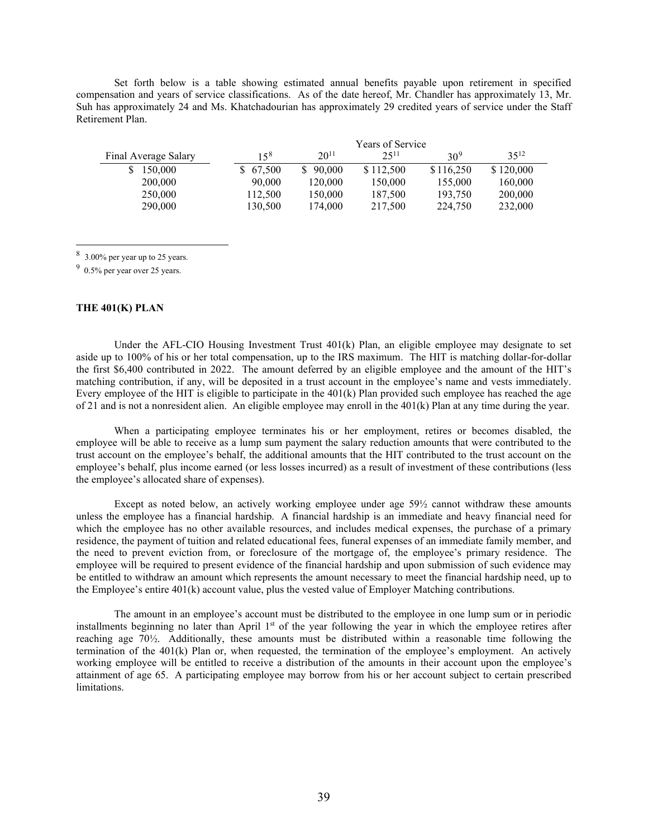Set forth below is a table showing estimated annual benefits payable upon retirement in specified compensation and years of service classifications. As of the date hereof, Mr. Chandler has approximately 13, Mr. Suh has approximately 24 and Ms. Khatchadourian has approximately 29 credited years of service under the Staff Retirement Plan.

|                      | Years of Service |           |            |                 |           |
|----------------------|------------------|-----------|------------|-----------------|-----------|
| Final Average Salary | $15^{8}$         | $20^{11}$ | $2.5^{11}$ | 30 <sup>9</sup> | $35^{12}$ |
| 150,000              | \$67,500         | 90,000    | \$112,500  | \$116,250       | \$120,000 |
| 200,000              | 90,000           | 120,000   | 150,000    | 155,000         | 160,000   |
| 250,000              | 112,500          | 150,000   | 187,500    | 193,750         | 200,000   |
| 290,000              | 130,500          | 174,000   | 217,500    | 224,750         | 232,000   |

<span id="page-43-0"></span><sup>8</sup> 3.00% per year up to 25 years.

<span id="page-43-1"></span> $9\,$  0.5% per year over 25 years.

# **THE 401(K) PLAN**

Under the AFL-CIO Housing Investment Trust  $401(k)$  Plan, an eligible employee may designate to set aside up to 100% of his or her total compensation, up to the IRS maximum. The HIT is matching dollar-for-dollar the first \$6,400 contributed in 2022. The amount deferred by an eligible employee and the amount of the HIT's matching contribution, if any, will be deposited in a trust account in the employee's name and vests immediately. Every employee of the HIT is eligible to participate in the  $401(k)$  Plan provided such employee has reached the age of 21 and is not a nonresident alien. An eligible employee may enroll in the  $401(k)$  Plan at any time during the year.

When a participating employee terminates his or her employment, retires or becomes disabled, the employee will be able to receive as a lump sum payment the salary reduction amounts that were contributed to the trust account on the employee's behalf, the additional amounts that the HIT contributed to the trust account on the employee's behalf, plus income earned (or less losses incurred) as a result of investment of these contributions (less the employee's allocated share of expenses).

Except as noted below, an actively working employee under age 59½ cannot withdraw these amounts unless the employee has a financial hardship. A financial hardship is an immediate and heavy financial need for which the employee has no other available resources, and includes medical expenses, the purchase of a primary residence, the payment of tuition and related educational fees, funeral expenses of an immediate family member, and the need to prevent eviction from, or foreclosure of the mortgage of, the employee's primary residence. The employee will be required to present evidence of the financial hardship and upon submission of such evidence may be entitled to withdraw an amount which represents the amount necessary to meet the financial hardship need, up to the Employee's entire 401(k) account value, plus the vested value of Employer Matching contributions.

The amount in an employee's account must be distributed to the employee in one lump sum or in periodic installments beginning no later than April  $1<sup>st</sup>$  of the year following the year in which the employee retires after reaching age 70½. Additionally, these amounts must be distributed within a reasonable time following the termination of the 401(k) Plan or, when requested, the termination of the employee's employment. An actively working employee will be entitled to receive a distribution of the amounts in their account upon the employee's attainment of age 65. A participating employee may borrow from his or her account subject to certain prescribed limitations.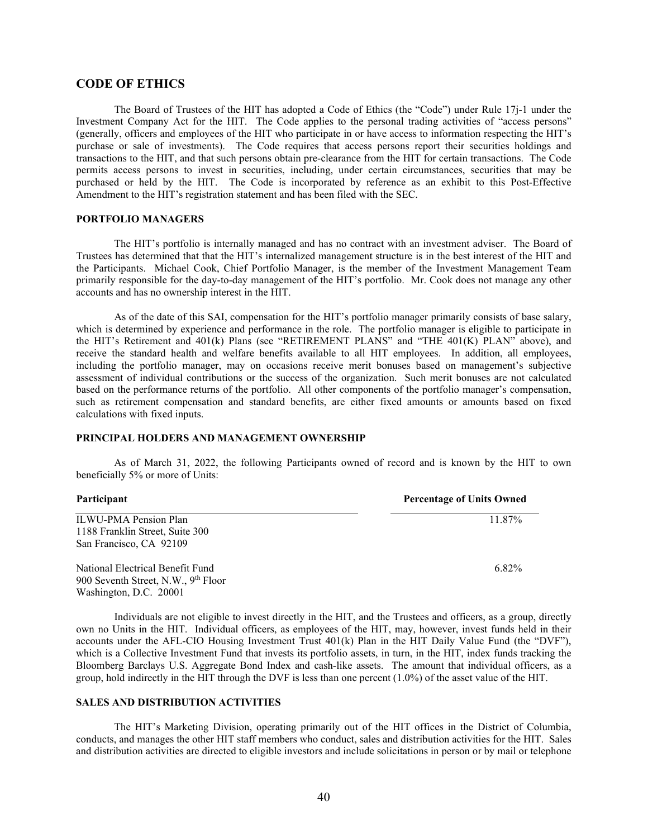# **CODE OF ETHICS**

The Board of Trustees of the HIT has adopted a Code of Ethics (the "Code") under Rule 17j-1 under the Investment Company Act for the HIT. The Code applies to the personal trading activities of "access persons" (generally, officers and employees of the HIT who participate in or have access to information respecting the HIT's purchase or sale of investments). The Code requires that access persons report their securities holdings and transactions to the HIT, and that such persons obtain pre-clearance from the HIT for certain transactions. The Code permits access persons to invest in securities, including, under certain circumstances, securities that may be purchased or held by the HIT. The Code is incorporated by reference as an exhibit to this Post-Effective Amendment to the HIT's registration statement and has been filed with the SEC.

# **PORTFOLIO MANAGERS**

The HIT's portfolio is internally managed and has no contract with an investment adviser. The Board of Trustees has determined that that the HIT's internalized management structure is in the best interest of the HIT and the Participants. Michael Cook, Chief Portfolio Manager, is the member of the Investment Management Team primarily responsible for the day-to-day management of the HIT's portfolio. Mr. Cook does not manage any other accounts and has no ownership interest in the HIT.

As of the date of this SAI, compensation for the HIT's portfolio manager primarily consists of base salary, which is determined by experience and performance in the role. The portfolio manager is eligible to participate in the HIT's Retirement and 401(k) Plans (see "RETIREMENT PLANS" and "THE 401(K) PLAN" above), and receive the standard health and welfare benefits available to all HIT employees. In addition, all employees, including the portfolio manager, may on occasions receive merit bonuses based on management's subjective assessment of individual contributions or the success of the organization. Such merit bonuses are not calculated based on the performance returns of the portfolio. All other components of the portfolio manager's compensation, such as retirement compensation and standard benefits, are either fixed amounts or amounts based on fixed calculations with fixed inputs.

#### **PRINCIPAL HOLDERS AND MANAGEMENT OWNERSHIP**

As of March 31, 2022, the following Participants owned of record and is known by the HIT to own beneficially 5% or more of Units:

| Participant                                     | <b>Percentage of Units Owned</b> |
|-------------------------------------------------|----------------------------------|
| <b>ILWU-PMA Pension Plan</b>                    | 11.87%                           |
| 1188 Franklin Street, Suite 300                 |                                  |
| San Francisco, CA 92109                         |                                  |
| National Electrical Benefit Fund                | 6.82%                            |
| 900 Seventh Street, N.W., 9 <sup>th</sup> Floor |                                  |

Individuals are not eligible to invest directly in the HIT, and the Trustees and officers, as a group, directly own no Units in the HIT. Individual officers, as employees of the HIT, may, however, invest funds held in their accounts under the AFL-CIO Housing Investment Trust 401(k) Plan in the HIT Daily Value Fund (the "DVF"), which is a Collective Investment Fund that invests its portfolio assets, in turn, in the HIT, index funds tracking the Bloomberg Barclays U.S. Aggregate Bond Index and cash-like assets. The amount that individual officers, as a group, hold indirectly in the HIT through the DVF is less than one percent (1.0%) of the asset value of the HIT.

### **SALES AND DISTRIBUTION ACTIVITIES**

Washington, D.C. 20001

The HIT's Marketing Division, operating primarily out of the HIT offices in the District of Columbia, conducts, and manages the other HIT staff members who conduct, sales and distribution activities for the HIT. Sales and distribution activities are directed to eligible investors and include solicitations in person or by mail or telephone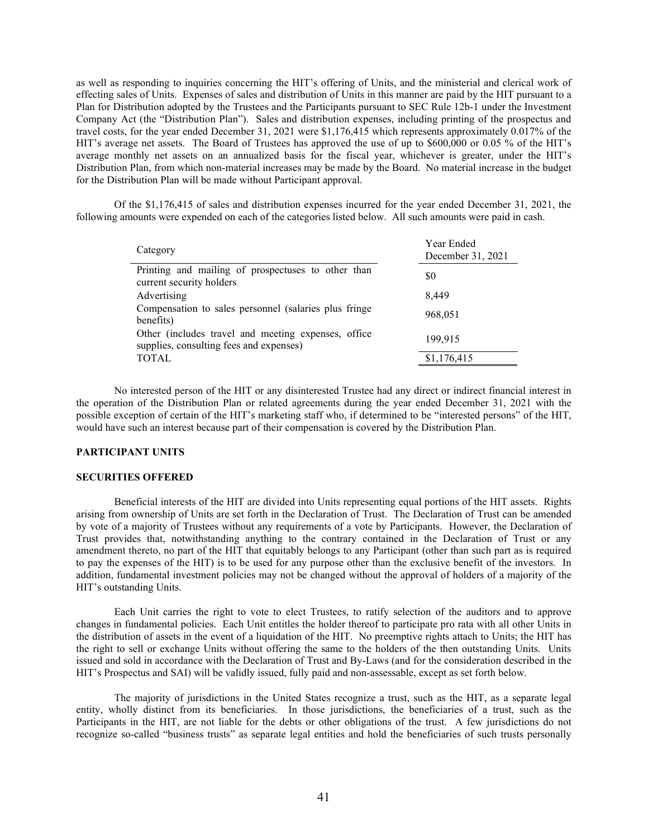as well as responding to inquiries concerning the HIT's offering of Units, and the ministerial and clerical work of effecting sales of Units. Expenses of sales and distribution of Units in this manner are paid by the HIT pursuant to a Plan for Distribution adopted by the Trustees and the Participants pursuant to SEC Rule 12b-1 under the Investment Company Act (the "Distribution Plan"). Sales and distribution expenses, including printing of the prospectus and travel costs, for the year ended December 31, 2021 were \$1,176,415 which represents approximately 0.017% of the HIT's average net assets. The Board of Trustees has approved the use of up to \$600,000 or 0.05 % of the HIT's average monthly net assets on an annualized basis for the fiscal year, whichever is greater, under the HIT's Distribution Plan, from which non-material increases may be made by the Board. No material increase in the budget for the Distribution Plan will be made without Participant approval.

Of the \$1,176,415 of sales and distribution expenses incurred for the year ended December 31, 2021, the following amounts were expended on each of the categories listed below. All such amounts were paid in cash.

| Category                                                                                       | Year Ended<br>December 31, 2021 |
|------------------------------------------------------------------------------------------------|---------------------------------|
| Printing and mailing of prospectuses to other than<br>current security holders                 | \$0                             |
| Advertising                                                                                    | 8.449                           |
| Compensation to sales personnel (salaries plus fringe<br>benefits)                             | 968,051                         |
| Other (includes travel and meeting expenses, office<br>supplies, consulting fees and expenses) | 199,915                         |
| <b>TOTAL</b>                                                                                   | \$1,176,415                     |

No interested person of the HIT or any disinterested Trustee had any direct or indirect financial interest in the operation of the Distribution Plan or related agreements during the year ended December 31, 2021 with the possible exception of certain of the HIT's marketing staff who, if determined to be "interested persons" of the HIT, would have such an interest because part of their compensation is covered by the Distribution Plan.

### **PARTICIPANT UNITS**

#### **SECURITIES OFFERED**

Beneficial interests of the HIT are divided into Units representing equal portions of the HIT assets. Rights arising from ownership of Units are set forth in the Declaration of Trust. The Declaration of Trust can be amended by vote of a majority of Trustees without any requirements of a vote by Participants. However, the Declaration of Trust provides that, notwithstanding anything to the contrary contained in the Declaration of Trust or any amendment thereto, no part of the HIT that equitably belongs to any Participant (other than such part as is required to pay the expenses of the HIT) is to be used for any purpose other than the exclusive benefit of the investors. In addition, fundamental investment policies may not be changed without the approval of holders of a majority of the HIT's outstanding Units.

Each Unit carries the right to vote to elect Trustees, to ratify selection of the auditors and to approve changes in fundamental policies. Each Unit entitles the holder thereof to participate pro rata with all other Units in the distribution of assets in the event of a liquidation of the HIT. No preemptive rights attach to Units; the HIT has the right to sell or exchange Units without offering the same to the holders of the then outstanding Units. Units issued and sold in accordance with the Declaration of Trust and By-Laws (and for the consideration described in the HIT's Prospectus and SAI) will be validly issued, fully paid and non-assessable, except as set forth below.

The majority of jurisdictions in the United States recognize a trust, such as the HIT, as a separate legal entity, wholly distinct from its beneficiaries. In those jurisdictions, the beneficiaries of a trust, such as the Participants in the HIT, are not liable for the debts or other obligations of the trust. A few jurisdictions do not recognize so-called "business trusts" as separate legal entities and hold the beneficiaries of such trusts personally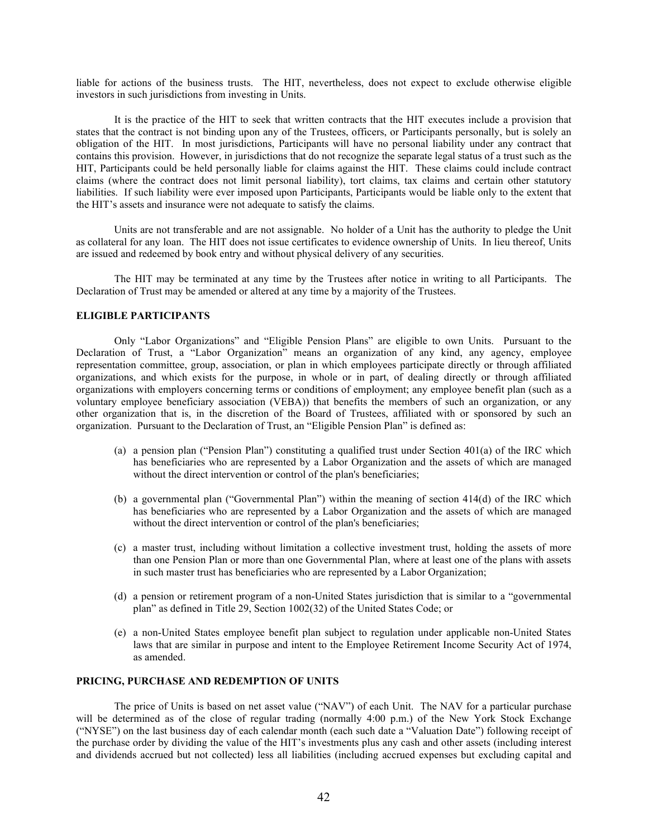liable for actions of the business trusts. The HIT, nevertheless, does not expect to exclude otherwise eligible investors in such jurisdictions from investing in Units.

It is the practice of the HIT to seek that written contracts that the HIT executes include a provision that states that the contract is not binding upon any of the Trustees, officers, or Participants personally, but is solely an obligation of the HIT. In most jurisdictions, Participants will have no personal liability under any contract that contains this provision. However, in jurisdictions that do not recognize the separate legal status of a trust such as the HIT, Participants could be held personally liable for claims against the HIT. These claims could include contract claims (where the contract does not limit personal liability), tort claims, tax claims and certain other statutory liabilities. If such liability were ever imposed upon Participants, Participants would be liable only to the extent that the HIT's assets and insurance were not adequate to satisfy the claims.

Units are not transferable and are not assignable. No holder of a Unit has the authority to pledge the Unit as collateral for any loan. The HIT does not issue certificates to evidence ownership of Units. In lieu thereof, Units are issued and redeemed by book entry and without physical delivery of any securities.

The HIT may be terminated at any time by the Trustees after notice in writing to all Participants. The Declaration of Trust may be amended or altered at any time by a majority of the Trustees.

# **ELIGIBLE PARTICIPANTS**

Only "Labor Organizations" and "Eligible Pension Plans" are eligible to own Units. Pursuant to the Declaration of Trust, a "Labor Organization" means an organization of any kind, any agency, employee representation committee, group, association, or plan in which employees participate directly or through affiliated organizations, and which exists for the purpose, in whole or in part, of dealing directly or through affiliated organizations with employers concerning terms or conditions of employment; any employee benefit plan (such as a voluntary employee beneficiary association (VEBA)) that benefits the members of such an organization, or any other organization that is, in the discretion of the Board of Trustees, affiliated with or sponsored by such an organization. Pursuant to the Declaration of Trust, an "Eligible Pension Plan" is defined as:

- (a) a pension plan ("Pension Plan") constituting a qualified trust under Section 401(a) of the IRC which has beneficiaries who are represented by a Labor Organization and the assets of which are managed without the direct intervention or control of the plan's beneficiaries;
- (b) a governmental plan ("Governmental Plan") within the meaning of section 414(d) of the IRC which has beneficiaries who are represented by a Labor Organization and the assets of which are managed without the direct intervention or control of the plan's beneficiaries;
- (c) a master trust, including without limitation a collective investment trust, holding the assets of more than one Pension Plan or more than one Governmental Plan, where at least one of the plans with assets in such master trust has beneficiaries who are represented by a Labor Organization;
- (d) a pension or retirement program of a non-United States jurisdiction that is similar to a "governmental plan" as defined in Title 29, Section 1002(32) of the United States Code; or
- (e) a non-United States employee benefit plan subject to regulation under applicable non-United States laws that are similar in purpose and intent to the Employee Retirement Income Security Act of 1974, as amended.

# **PRICING, PURCHASE AND REDEMPTION OF UNITS**

The price of Units is based on net asset value ("NAV") of each Unit. The NAV for a particular purchase will be determined as of the close of regular trading (normally 4:00 p.m.) of the New York Stock Exchange ("NYSE") on the last business day of each calendar month (each such date a "Valuation Date") following receipt of the purchase order by dividing the value of the HIT's investments plus any cash and other assets (including interest and dividends accrued but not collected) less all liabilities (including accrued expenses but excluding capital and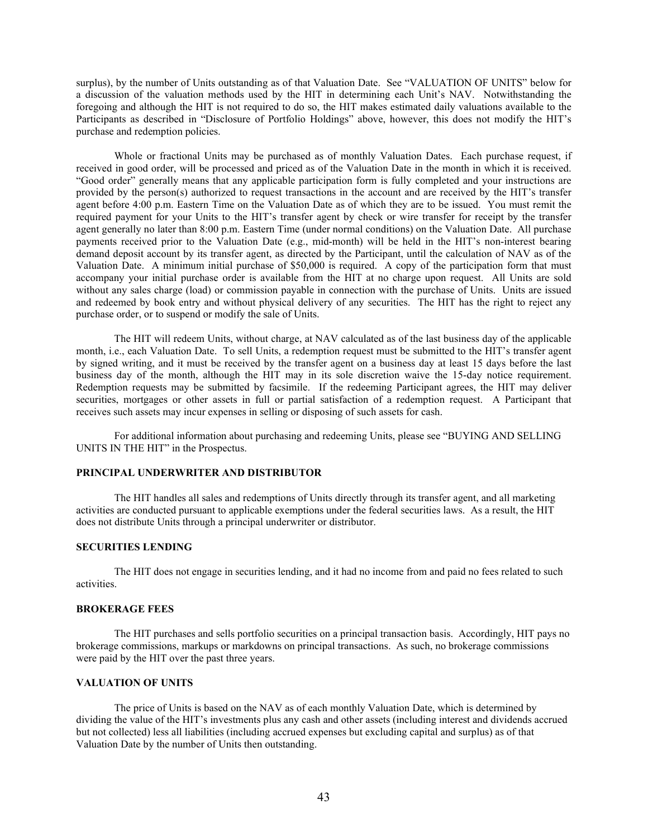surplus), by the number of Units outstanding as of that Valuation Date. See "VALUATION OF UNITS" below for a discussion of the valuation methods used by the HIT in determining each Unit's NAV. Notwithstanding the foregoing and although the HIT is not required to do so, the HIT makes estimated daily valuations available to the Participants as described in "Disclosure of Portfolio Holdings" above, however, this does not modify the HIT's purchase and redemption policies.

Whole or fractional Units may be purchased as of monthly Valuation Dates. Each purchase request, if received in good order, will be processed and priced as of the Valuation Date in the month in which it is received. "Good order" generally means that any applicable participation form is fully completed and your instructions are provided by the person(s) authorized to request transactions in the account and are received by the HIT's transfer agent before 4:00 p.m. Eastern Time on the Valuation Date as of which they are to be issued. You must remit the required payment for your Units to the HIT's transfer agent by check or wire transfer for receipt by the transfer agent generally no later than 8:00 p.m. Eastern Time (under normal conditions) on the Valuation Date. All purchase payments received prior to the Valuation Date (e.g., mid-month) will be held in the HIT's non-interest bearing demand deposit account by its transfer agent, as directed by the Participant, until the calculation of NAV as of the Valuation Date. A minimum initial purchase of \$50,000 is required. A copy of the participation form that must accompany your initial purchase order is available from the HIT at no charge upon request. All Units are sold without any sales charge (load) or commission payable in connection with the purchase of Units. Units are issued and redeemed by book entry and without physical delivery of any securities. The HIT has the right to reject any purchase order, or to suspend or modify the sale of Units.

The HIT will redeem Units, without charge, at NAV calculated as of the last business day of the applicable month, i.e., each Valuation Date. To sell Units, a redemption request must be submitted to the HIT's transfer agent by signed writing, and it must be received by the transfer agent on a business day at least 15 days before the last business day of the month, although the HIT may in its sole discretion waive the 15-day notice requirement. Redemption requests may be submitted by facsimile. If the redeeming Participant agrees, the HIT may deliver securities, mortgages or other assets in full or partial satisfaction of a redemption request. A Participant that receives such assets may incur expenses in selling or disposing of such assets for cash.

For additional information about purchasing and redeeming Units, please see "BUYING AND SELLING UNITS IN THE HIT" in the Prospectus.

### **PRINCIPAL UNDERWRITER AND DISTRIBUTOR**

The HIT handles all sales and redemptions of Units directly through its transfer agent, and all marketing activities are conducted pursuant to applicable exemptions under the federal securities laws. As a result, the HIT does not distribute Units through a principal underwriter or distributor.

### **SECURITIES LENDING**

The HIT does not engage in securities lending, and it had no income from and paid no fees related to such activities.

### **BROKERAGE FEES**

The HIT purchases and sells portfolio securities on a principal transaction basis. Accordingly, HIT pays no brokerage commissions, markups or markdowns on principal transactions. As such, no brokerage commissions were paid by the HIT over the past three years.

# **VALUATION OF UNITS**

The price of Units is based on the NAV as of each monthly Valuation Date, which is determined by dividing the value of the HIT's investments plus any cash and other assets (including interest and dividends accrued but not collected) less all liabilities (including accrued expenses but excluding capital and surplus) as of that Valuation Date by the number of Units then outstanding.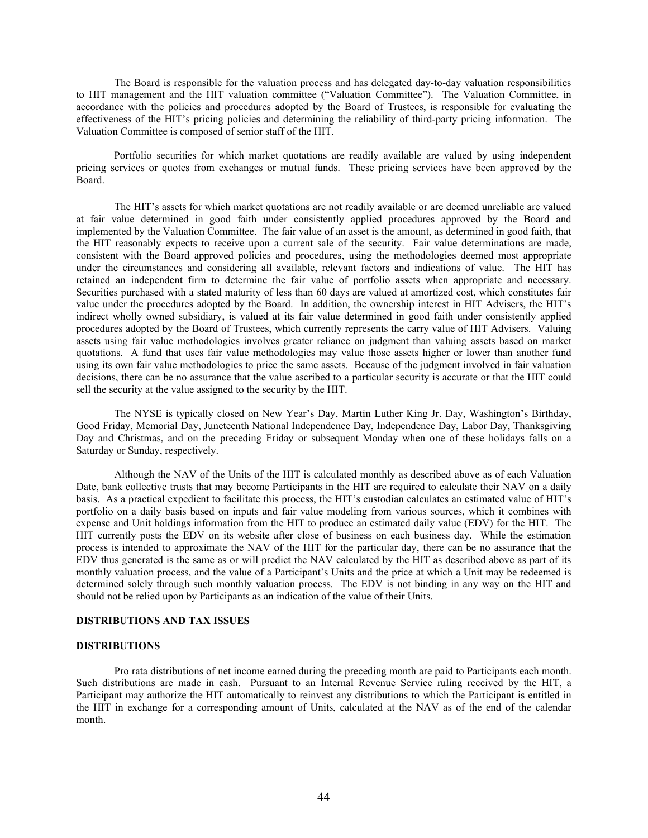The Board is responsible for the valuation process and has delegated day-to-day valuation responsibilities to HIT management and the HIT valuation committee ("Valuation Committee"). The Valuation Committee, in accordance with the policies and procedures adopted by the Board of Trustees, is responsible for evaluating the effectiveness of the HIT's pricing policies and determining the reliability of third-party pricing information. The Valuation Committee is composed of senior staff of the HIT.

Portfolio securities for which market quotations are readily available are valued by using independent pricing services or quotes from exchanges or mutual funds. These pricing services have been approved by the Board.

The HIT's assets for which market quotations are not readily available or are deemed unreliable are valued at fair value determined in good faith under consistently applied procedures approved by the Board and implemented by the Valuation Committee. The fair value of an asset is the amount, as determined in good faith, that the HIT reasonably expects to receive upon a current sale of the security. Fair value determinations are made, consistent with the Board approved policies and procedures, using the methodologies deemed most appropriate under the circumstances and considering all available, relevant factors and indications of value. The HIT has retained an independent firm to determine the fair value of portfolio assets when appropriate and necessary. Securities purchased with a stated maturity of less than 60 days are valued at amortized cost, which constitutes fair value under the procedures adopted by the Board. In addition, the ownership interest in HIT Advisers, the HIT's indirect wholly owned subsidiary, is valued at its fair value determined in good faith under consistently applied procedures adopted by the Board of Trustees, which currently represents the carry value of HIT Advisers. Valuing assets using fair value methodologies involves greater reliance on judgment than valuing assets based on market quotations. A fund that uses fair value methodologies may value those assets higher or lower than another fund using its own fair value methodologies to price the same assets. Because of the judgment involved in fair valuation decisions, there can be no assurance that the value ascribed to a particular security is accurate or that the HIT could sell the security at the value assigned to the security by the HIT.

The NYSE is typically closed on New Year's Day, Martin Luther King Jr. Day, Washington's Birthday, Good Friday, Memorial Day, Juneteenth National Independence Day, Independence Day, Labor Day, Thanksgiving Day and Christmas, and on the preceding Friday or subsequent Monday when one of these holidays falls on a Saturday or Sunday, respectively.

Although the NAV of the Units of the HIT is calculated monthly as described above as of each Valuation Date, bank collective trusts that may become Participants in the HIT are required to calculate their NAV on a daily basis. As a practical expedient to facilitate this process, the HIT's custodian calculates an estimated value of HIT's portfolio on a daily basis based on inputs and fair value modeling from various sources, which it combines with expense and Unit holdings information from the HIT to produce an estimated daily value (EDV) for the HIT. The HIT currently posts the EDV on its website after close of business on each business day. While the estimation process is intended to approximate the NAV of the HIT for the particular day, there can be no assurance that the EDV thus generated is the same as or will predict the NAV calculated by the HIT as described above as part of its monthly valuation process, and the value of a Participant's Units and the price at which a Unit may be redeemed is determined solely through such monthly valuation process. The EDV is not binding in any way on the HIT and should not be relied upon by Participants as an indication of the value of their Units.

#### **DISTRIBUTIONS AND TAX ISSUES**

### **DISTRIBUTIONS**

Pro rata distributions of net income earned during the preceding month are paid to Participants each month. Such distributions are made in cash. Pursuant to an Internal Revenue Service ruling received by the HIT, a Participant may authorize the HIT automatically to reinvest any distributions to which the Participant is entitled in the HIT in exchange for a corresponding amount of Units, calculated at the NAV as of the end of the calendar month.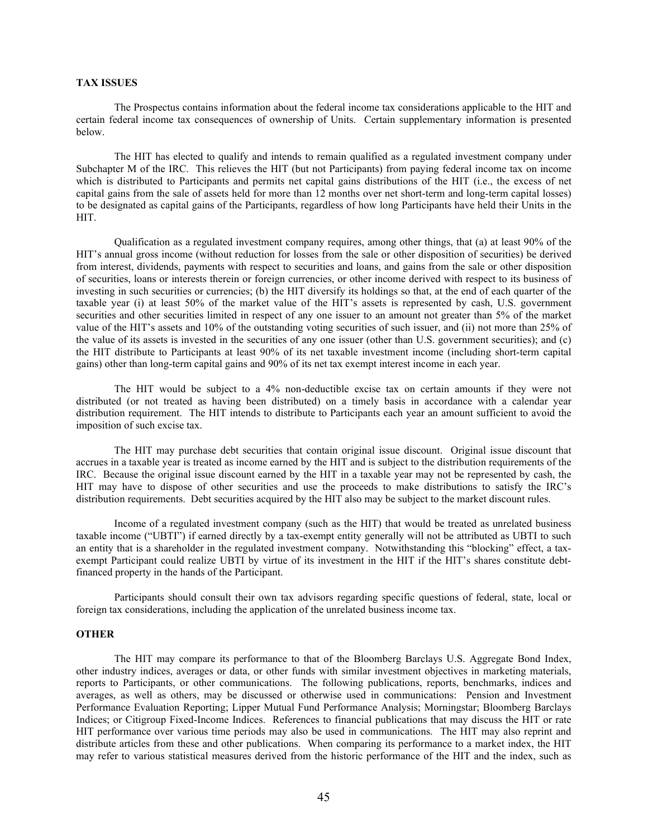# **TAX ISSUES**

The Prospectus contains information about the federal income tax considerations applicable to the HIT and certain federal income tax consequences of ownership of Units. Certain supplementary information is presented below.

The HIT has elected to qualify and intends to remain qualified as a regulated investment company under Subchapter M of the IRC. This relieves the HIT (but not Participants) from paying federal income tax on income which is distributed to Participants and permits net capital gains distributions of the HIT (i.e., the excess of net capital gains from the sale of assets held for more than 12 months over net short-term and long-term capital losses) to be designated as capital gains of the Participants, regardless of how long Participants have held their Units in the HIT.

Qualification as a regulated investment company requires, among other things, that (a) at least 90% of the HIT's annual gross income (without reduction for losses from the sale or other disposition of securities) be derived from interest, dividends, payments with respect to securities and loans, and gains from the sale or other disposition of securities, loans or interests therein or foreign currencies, or other income derived with respect to its business of investing in such securities or currencies; (b) the HIT diversify its holdings so that, at the end of each quarter of the taxable year (i) at least 50% of the market value of the HIT's assets is represented by cash, U.S. government securities and other securities limited in respect of any one issuer to an amount not greater than 5% of the market value of the HIT's assets and 10% of the outstanding voting securities of such issuer, and (ii) not more than 25% of the value of its assets is invested in the securities of any one issuer (other than U.S. government securities); and (c) the HIT distribute to Participants at least 90% of its net taxable investment income (including short-term capital gains) other than long-term capital gains and 90% of its net tax exempt interest income in each year.

The HIT would be subject to a 4% non-deductible excise tax on certain amounts if they were not distributed (or not treated as having been distributed) on a timely basis in accordance with a calendar year distribution requirement. The HIT intends to distribute to Participants each year an amount sufficient to avoid the imposition of such excise tax.

The HIT may purchase debt securities that contain original issue discount. Original issue discount that accrues in a taxable year is treated as income earned by the HIT and is subject to the distribution requirements of the IRC. Because the original issue discount earned by the HIT in a taxable year may not be represented by cash, the HIT may have to dispose of other securities and use the proceeds to make distributions to satisfy the IRC's distribution requirements. Debt securities acquired by the HIT also may be subject to the market discount rules.

Income of a regulated investment company (such as the HIT) that would be treated as unrelated business taxable income ("UBTI") if earned directly by a tax-exempt entity generally will not be attributed as UBTI to such an entity that is a shareholder in the regulated investment company. Notwithstanding this "blocking" effect, a taxexempt Participant could realize UBTI by virtue of its investment in the HIT if the HIT's shares constitute debtfinanced property in the hands of the Participant.

Participants should consult their own tax advisors regarding specific questions of federal, state, local or foreign tax considerations, including the application of the unrelated business income tax.

# **OTHER**

The HIT may compare its performance to that of the Bloomberg Barclays U.S. Aggregate Bond Index, other industry indices, averages or data, or other funds with similar investment objectives in marketing materials, reports to Participants, or other communications. The following publications, reports, benchmarks, indices and averages, as well as others, may be discussed or otherwise used in communications: Pension and Investment Performance Evaluation Reporting; Lipper Mutual Fund Performance Analysis; Morningstar; Bloomberg Barclays Indices; or Citigroup Fixed-Income Indices. References to financial publications that may discuss the HIT or rate HIT performance over various time periods may also be used in communications. The HIT may also reprint and distribute articles from these and other publications. When comparing its performance to a market index, the HIT may refer to various statistical measures derived from the historic performance of the HIT and the index, such as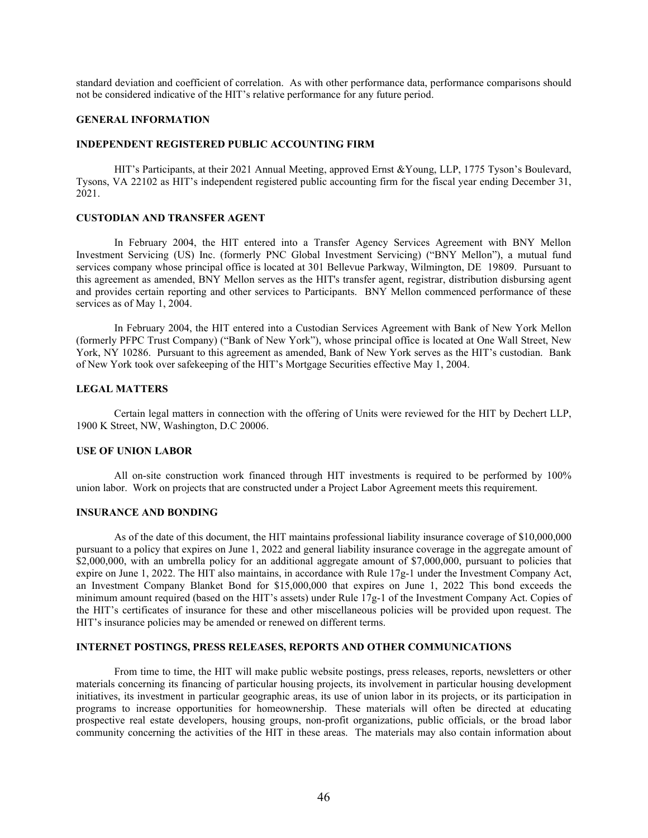standard deviation and coefficient of correlation. As with other performance data, performance comparisons should not be considered indicative of the HIT's relative performance for any future period.

### **GENERAL INFORMATION**

### **INDEPENDENT REGISTERED PUBLIC ACCOUNTING FIRM**

HIT's Participants, at their 2021 Annual Meeting, approved Ernst &Young, LLP, 1775 Tyson's Boulevard, Tysons, VA 22102 as HIT's independent registered public accounting firm for the fiscal year ending December 31, 2021.

#### **CUSTODIAN AND TRANSFER AGENT**

In February 2004, the HIT entered into a Transfer Agency Services Agreement with BNY Mellon Investment Servicing (US) Inc. (formerly PNC Global Investment Servicing) ("BNY Mellon"), a mutual fund services company whose principal office is located at 301 Bellevue Parkway, Wilmington, DE 19809. Pursuant to this agreement as amended, BNY Mellon serves as the HIT's transfer agent, registrar, distribution disbursing agent and provides certain reporting and other services to Participants. BNY Mellon commenced performance of these services as of May 1, 2004.

In February 2004, the HIT entered into a Custodian Services Agreement with Bank of New York Mellon (formerly PFPC Trust Company) ("Bank of New York"), whose principal office is located at One Wall Street, New York, NY 10286. Pursuant to this agreement as amended, Bank of New York serves as the HIT's custodian. Bank of New York took over safekeeping of the HIT's Mortgage Securities effective May 1, 2004.

#### **LEGAL MATTERS**

Certain legal matters in connection with the offering of Units were reviewed for the HIT by Dechert LLP, 1900 K Street, NW, Washington, D.C 20006.

### **USE OF UNION LABOR**

All on-site construction work financed through HIT investments is required to be performed by 100% union labor. Work on projects that are constructed under a Project Labor Agreement meets this requirement.

# **INSURANCE AND BONDING**

As of the date of this document, the HIT maintains professional liability insurance coverage of \$10,000,000 pursuant to a policy that expires on June 1, 2022 and general liability insurance coverage in the aggregate amount of \$2,000,000, with an umbrella policy for an additional aggregate amount of \$7,000,000, pursuant to policies that expire on June 1, 2022. The HIT also maintains, in accordance with Rule 17g-1 under the Investment Company Act, an Investment Company Blanket Bond for \$15,000,000 that expires on June 1, 2022 This bond exceeds the minimum amount required (based on the HIT's assets) under Rule 17g-1 of the Investment Company Act. Copies of the HIT's certificates of insurance for these and other miscellaneous policies will be provided upon request. The HIT's insurance policies may be amended or renewed on different terms.

### **INTERNET POSTINGS, PRESS RELEASES, REPORTS AND OTHER COMMUNICATIONS**

From time to time, the HIT will make public website postings, press releases, reports, newsletters or other materials concerning its financing of particular housing projects, its involvement in particular housing development initiatives, its investment in particular geographic areas, its use of union labor in its projects, or its participation in programs to increase opportunities for homeownership. These materials will often be directed at educating prospective real estate developers, housing groups, non-profit organizations, public officials, or the broad labor community concerning the activities of the HIT in these areas. The materials may also contain information about